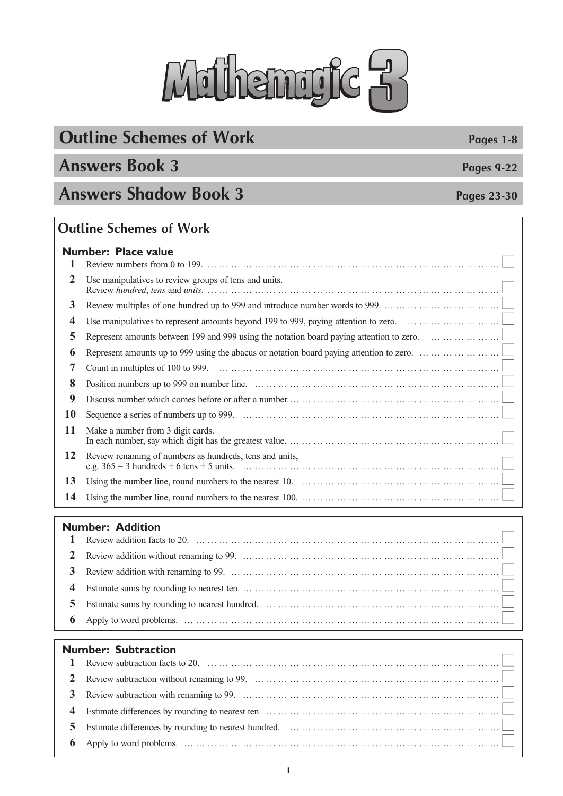# Mithemryte 3

### **Outline Schemes of Work Pages 1-8**

### **Answers Book 3 Pages 9-22**

### **Answers Shadow Book 3 Pages 23-30**

#### **Outline Schemes of Work**

|           | <b>Number: Place value</b>                                                                                                                                       |
|-----------|------------------------------------------------------------------------------------------------------------------------------------------------------------------|
| 2         | Use manipulatives to review groups of tens and units.                                                                                                            |
| 3         |                                                                                                                                                                  |
| 4         | Use manipulatives to represent amounts beyond 199 to 999, paying attention to zero. $\dots \dots \dots \dots \dots \dots \dots$                                  |
| 5         | Represent amounts between 199 and 999 using the notation board paying attention to zero. $\dots \dots \dots \dots \dots \dots$                                   |
| 6         | Represent amounts up to 999 using the abacus or notation board paying attention to zero.                                                                         |
| 7         |                                                                                                                                                                  |
| 8         |                                                                                                                                                                  |
| 9         |                                                                                                                                                                  |
| <b>10</b> |                                                                                                                                                                  |
| 11        | Make a number from 3 digit cards.                                                                                                                                |
| 12        | Review renaming of numbers as hundreds, tens and units,                                                                                                          |
| 13        | Using the number line, round numbers to the nearest 10. $\dots \dots \dots \dots \dots \dots \dots \dots \dots \dots \dots \dots \dots \dots \dots \dots \dots$  |
| 14        | Using the number line, round numbers to the nearest 100. $\dots \dots \dots \dots \dots \dots \dots \dots \dots \dots \dots \dots \dots \dots \dots \dots \dots$ |

#### **Number: Addition**

| TUITIVEI. AUUILIVII                                                                                                                                           |
|---------------------------------------------------------------------------------------------------------------------------------------------------------------|
|                                                                                                                                                               |
|                                                                                                                                                               |
|                                                                                                                                                               |
|                                                                                                                                                               |
| 5 Estimate sums by rounding to nearest hundred. $\dots \dots \dots \dots \dots \dots \dots \dots \dots \dots \dots \dots \dots \dots \dots \dots \dots \dots$ |
|                                                                                                                                                               |

#### **Number: Subtraction**  Review subtraction facts to 20. … … … … … … … … … … … … … … … … … … … … … … … … … ■ Review subtraction without renaming to 99. … … … … … … … … … … … … … … … … … … … … … ■ Review subtraction with renaming to 99. … … … … … … … … … … … … … … … … … … … … … … ■ Estimate differences by rounding to nearest ten. … … … … … … … … … … … … … … … Estimate differences by rounding to nearest hundred. … … … … … … … … … … … … … … Apply to word problems. … … … … … … … … … … … … … … … … … … … … … … … … … … … ■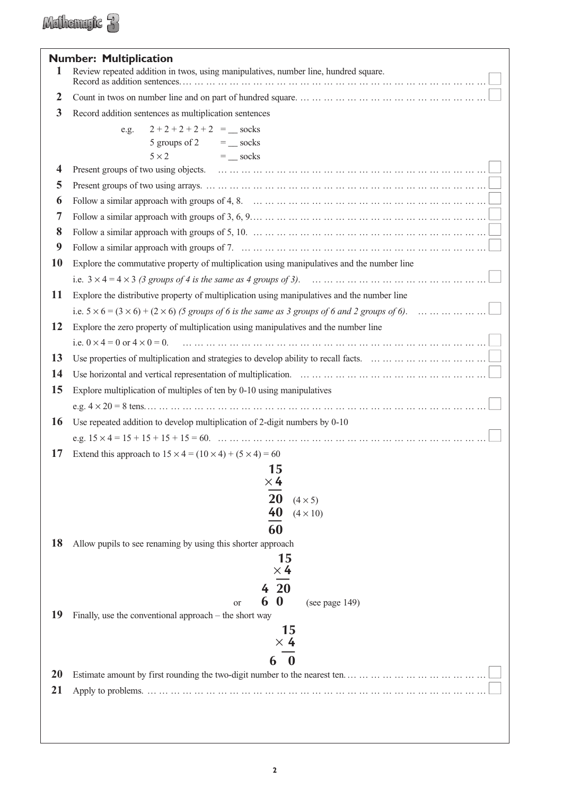|                | <b>Number: Multiplication</b>                                                                                                                                       |
|----------------|---------------------------------------------------------------------------------------------------------------------------------------------------------------------|
| 1              | Review repeated addition in twos, using manipulatives, number line, hundred square.                                                                                 |
| $\overline{2}$ |                                                                                                                                                                     |
| 3              | Record addition sentences as multiplication sentences                                                                                                               |
|                | $2+2+2+2+2 =$ socks<br>e.g.                                                                                                                                         |
|                | 5 groups of 2 $=$ _ socks                                                                                                                                           |
|                | $5 \times 2$<br>$=$ socks                                                                                                                                           |
| 4              |                                                                                                                                                                     |
| 5              |                                                                                                                                                                     |
| 6              |                                                                                                                                                                     |
| 7              |                                                                                                                                                                     |
| 8              | Follow a similar approach with groups of 5, 10. $\dots \dots \dots \dots \dots \dots \dots \dots \dots \dots \dots \dots \dots \dots \dots \dots \dots \dots \dots$ |
| 9              |                                                                                                                                                                     |
| 10             | Explore the commutative property of multiplication using manipulatives and the number line                                                                          |
|                |                                                                                                                                                                     |
| <b>11</b>      | Explore the distributive property of multiplication using manipulatives and the number line                                                                         |
|                | i.e. $5 \times 6 = (3 \times 6) + (2 \times 6)$ (5 groups of 6 is the same as 3 groups of 6 and 2 groups of 6).                                                     |
| 12             | Explore the zero property of multiplication using manipulatives and the number line                                                                                 |
|                |                                                                                                                                                                     |
| 13             | Use properties of multiplication and strategies to develop ability to recall facts. $\dots \dots \dots \dots \dots \dots \dots \dots \dots$                         |
| 14             |                                                                                                                                                                     |
| 15             | Explore multiplication of multiples of ten by 0-10 using manipulatives                                                                                              |
|                |                                                                                                                                                                     |
| <b>16</b>      | Use repeated addition to develop multiplication of 2-digit numbers by 0-10                                                                                          |
|                |                                                                                                                                                                     |
| 17             | Extend this approach to $15 \times 4 = (10 \times 4) + (5 \times 4) = 60$                                                                                           |
|                | 15                                                                                                                                                                  |
|                | $\times$ 4                                                                                                                                                          |
|                | 20<br>$(4 \times 5)$                                                                                                                                                |
|                | 40<br>$(4 \times 10)$                                                                                                                                               |
|                | 60                                                                                                                                                                  |
| 18             | Allow pupils to see renaming by using this shorter approach                                                                                                         |
|                | 15<br>$\times$ 4                                                                                                                                                    |
|                | <b>20</b>                                                                                                                                                           |
|                | 6<br>$\bf{0}$<br>(see page 149)<br>or                                                                                                                               |
| 19             | Finally, use the conventional approach – the short way                                                                                                              |
|                | 15                                                                                                                                                                  |
|                | $\times$ 4                                                                                                                                                          |
|                | $\boldsymbol{0}$                                                                                                                                                    |
| <b>20</b>      |                                                                                                                                                                     |
| 21             |                                                                                                                                                                     |
|                |                                                                                                                                                                     |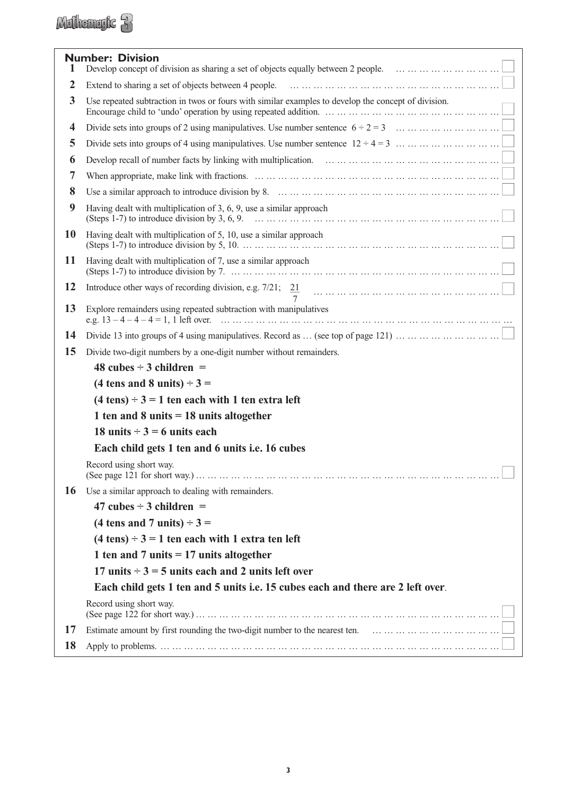### Mulhemryk 3

| 1  | <b>Number: Division</b>                                                                                                                                                                                                                                      |
|----|--------------------------------------------------------------------------------------------------------------------------------------------------------------------------------------------------------------------------------------------------------------|
| 2  |                                                                                                                                                                                                                                                              |
| 3  | Use repeated subtraction in twos or fours with similar examples to develop the concept of division.<br>Encourage child to 'undo' operation by using repeated addition. $\dots \dots \dots \dots \dots \dots \dots \dots \dots \dots \dots \dots \dots \dots$ |
| 4  | Divide sets into groups of 2 using manipulatives. Use number sentence $6 \div 2 = 3$                                                                                                                                                                         |
| 5  | Divide sets into groups of 4 using manipulatives. Use number sentence $12 \div 4 = 3$                                                                                                                                                                        |
| 6  | Develop recall of number facts by linking with multiplication. $\ldots \ldots \ldots \ldots \ldots \ldots \ldots \ldots \ldots \ldots \ldots \ldots \ldots$                                                                                                  |
| 7  |                                                                                                                                                                                                                                                              |
| 8  | Use a similar approach to introduce division by 8. $\dots \dots \dots \dots \dots \dots \dots \dots \dots \dots \dots \dots \dots \dots \dots \dots \dots \dots \dots$                                                                                       |
| 9  | Having dealt with multiplication of $3, 6, 9$ , use a similar approach                                                                                                                                                                                       |
| 10 | Having dealt with multiplication of 5, 10, use a similar approach                                                                                                                                                                                            |
| 11 | Having dealt with multiplication of 7, use a similar approach                                                                                                                                                                                                |
| 12 |                                                                                                                                                                                                                                                              |
| 13 | Explore remainders using repeated subtraction with manipulatives                                                                                                                                                                                             |
| 14 |                                                                                                                                                                                                                                                              |
| 15 | Divide two-digit numbers by a one-digit number without remainders.                                                                                                                                                                                           |
|    | 48 cubes $\div$ 3 children =                                                                                                                                                                                                                                 |
|    | (4 tens and 8 units) $\div$ 3 =                                                                                                                                                                                                                              |
|    | $(4 \text{ tens}) \div 3 = 1$ ten each with 1 ten extra left                                                                                                                                                                                                 |
|    | 1 ten and 8 units $= 18$ units altogether                                                                                                                                                                                                                    |
|    | 18 units $\div$ 3 = 6 units each                                                                                                                                                                                                                             |
|    | Each child gets 1 ten and 6 units i.e. 16 cubes                                                                                                                                                                                                              |
|    | Record using short way.                                                                                                                                                                                                                                      |
| 16 | Use a similar approach to dealing with remainders.                                                                                                                                                                                                           |
|    | 47 cubes $\div$ 3 children =                                                                                                                                                                                                                                 |
|    | (4 tens and 7 units) $\div$ 3 =                                                                                                                                                                                                                              |
|    | $(4 \text{ tens}) \div 3 = 1$ ten each with 1 extra ten left                                                                                                                                                                                                 |
|    | 1 ten and 7 units $= 17$ units altogether                                                                                                                                                                                                                    |
|    | 17 units $\div$ 3 = 5 units each and 2 units left over                                                                                                                                                                                                       |
|    | Each child gets 1 ten and 5 units i.e. 15 cubes each and there are 2 left over.                                                                                                                                                                              |
|    | Record using short way.                                                                                                                                                                                                                                      |
| 17 |                                                                                                                                                                                                                                                              |
| 18 |                                                                                                                                                                                                                                                              |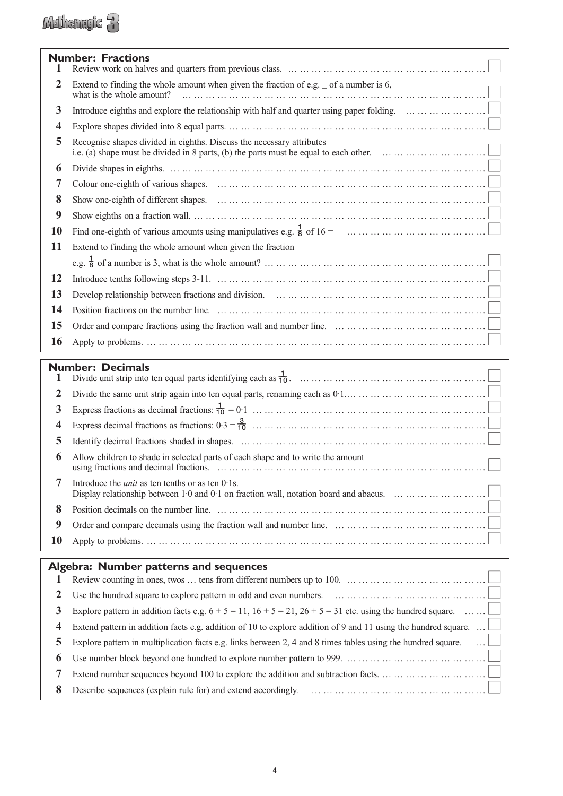|                         | <b>Number: Fractions</b>                                                                                                                                                                                         |
|-------------------------|------------------------------------------------------------------------------------------------------------------------------------------------------------------------------------------------------------------|
| 1                       |                                                                                                                                                                                                                  |
| $\overline{2}$          | Extend to finding the whole amount when given the fraction of e.g. $\angle$ of a number is 6,<br>what is the whole amount?<br>                                                                                   |
| 3                       | Introduce eighths and explore the relationship with half and quarter using paper folding. $\dots \dots \dots \dots \dots \dots$                                                                                  |
| $\overline{\mathbf{4}}$ |                                                                                                                                                                                                                  |
| 5                       | Recognise shapes divided in eighths. Discuss the necessary attributes<br>i.e. (a) shape must be divided in 8 parts, (b) the parts must be equal to each other. $\dots \dots \dots \dots \dots \dots \dots \dots$ |
| 6                       |                                                                                                                                                                                                                  |
| 7                       |                                                                                                                                                                                                                  |
| 8                       |                                                                                                                                                                                                                  |
| 9                       |                                                                                                                                                                                                                  |
| <b>10</b>               |                                                                                                                                                                                                                  |
| <b>11</b>               | Extend to finding the whole amount when given the fraction                                                                                                                                                       |
|                         |                                                                                                                                                                                                                  |
| <b>12</b>               |                                                                                                                                                                                                                  |
| 13                      |                                                                                                                                                                                                                  |
| 14                      |                                                                                                                                                                                                                  |
| 15                      |                                                                                                                                                                                                                  |
| 16                      |                                                                                                                                                                                                                  |
|                         | <b>Number: Decimals</b>                                                                                                                                                                                          |
| 1                       |                                                                                                                                                                                                                  |
| $\overline{2}$          | Divide the same unit strip again into ten equal parts, renaming each as $0.1$                                                                                                                                    |
| 3                       |                                                                                                                                                                                                                  |
| 4                       |                                                                                                                                                                                                                  |
| 5                       |                                                                                                                                                                                                                  |
| 6                       | Allow children to shade in selected parts of each shape and to write the amount                                                                                                                                  |
| 7                       | Introduce the <i>unit</i> as ten tenths or as ten $0.1$ s.<br>Display relationship between 1.0 and 0.1 on fraction wall, notation board and abacus.                                                              |
| 8                       |                                                                                                                                                                                                                  |
| $\boldsymbol{9}$        | Order and compare decimals using the fraction wall and number line. $\dots \dots \dots \dots \dots \dots \dots \dots \dots \dots \dots \dots$                                                                    |
| <b>10</b>               |                                                                                                                                                                                                                  |
|                         | Algebra: Number patterns and sequences                                                                                                                                                                           |
| 1                       | Review counting in ones, twos  tens from different numbers up to 100. $\dots \dots \dots \dots \dots \dots \dots \dots \dots \dots \dots$                                                                        |
| $\overline{2}$          | Use the hundred square to explore pattern in odd and even numbers. $\dots \dots \dots \dots \dots \dots \dots \dots \dots \dots \dots \dots$                                                                     |
| 3                       | Explore pattern in addition facts e.g. $6 + 5 = 11$ , $16 + 5 = 21$ , $26 + 5 = 31$ etc. using the hundred square.                                                                                               |
| 4                       | Extend pattern in addition facts e.g. addition of 10 to explore addition of 9 and 11 using the hundred square                                                                                                    |
| 5                       | Explore pattern in multiplication facts e.g. links between 2, 4 and 8 times tables using the hundred square.                                                                                                     |
| 6                       | Use number block beyond one hundred to explore number pattern to 999. $\dots \dots \dots \dots \dots \dots \dots \dots \dots \dots \dots$                                                                        |
| 7                       |                                                                                                                                                                                                                  |
| 8                       |                                                                                                                                                                                                                  |

**4**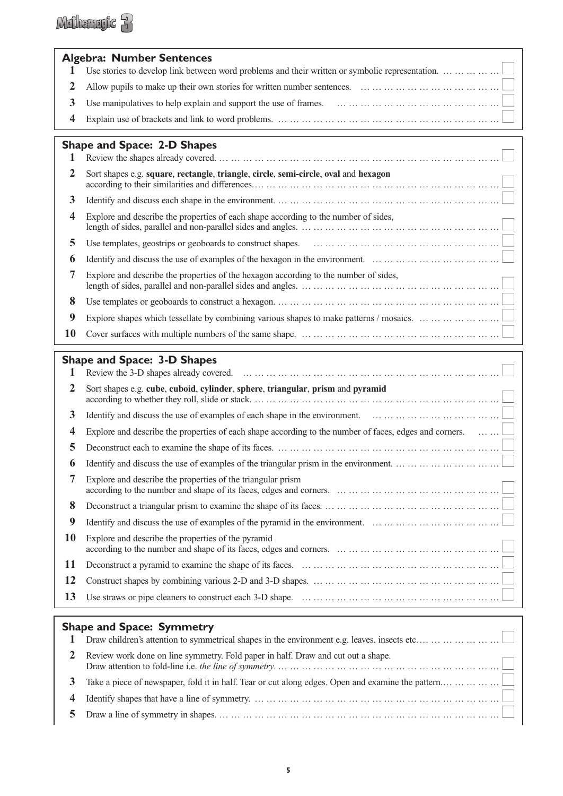|                | <b>Algebra: Number Sentences</b>                                                                                                                           |  |
|----------------|------------------------------------------------------------------------------------------------------------------------------------------------------------|--|
|                | Use stories to develop link between word problems and their written or symbolic representation. $\dots \dots \dots \dots \dots$                            |  |
|                | 2 Allow pupils to make up their own stories for written number sentences. $\dots \dots \dots \dots \dots \dots \dots \dots \dots \dots \dots$              |  |
| 3              |                                                                                                                                                            |  |
| $\overline{4}$ | Explain use of brackets and link to word problems. $\dots \dots \dots \dots \dots \dots \dots \dots \dots \dots \dots \dots \dots \dots \dots \dots \dots$ |  |
|                |                                                                                                                                                            |  |

|    | <b>Shape and Space: 2-D Shapes</b>                                                                                                  |
|----|-------------------------------------------------------------------------------------------------------------------------------------|
|    |                                                                                                                                     |
| 2  | Sort shapes e.g. square, rectangle, triangle, circle, semi-circle, oval and hexagon                                                 |
| 3  |                                                                                                                                     |
| 4  | Explore and describe the properties of each shape according to the number of sides,                                                 |
| 5  |                                                                                                                                     |
| 6  | Identify and discuss the use of examples of the hexagon in the environment. $\dots \dots \dots \dots \dots \dots \dots \dots \dots$ |
|    | Explore and describe the properties of the hexagon according to the number of sides,                                                |
| 8  |                                                                                                                                     |
| 9  |                                                                                                                                     |
| 10 |                                                                                                                                     |

#### **Shape and Space: 3-D Shapes**

|           | $S_1$ and $S_2$ and $S_3$ and $S_4$ and $S_5$                                                                                             |
|-----------|-------------------------------------------------------------------------------------------------------------------------------------------|
| 2         | Sort shapes e.g. cube, cuboid, cylinder, sphere, triangular, prism and pyramid                                                            |
| 3         | Identify and discuss the use of examples of each shape in the environment. $\dots \dots \dots \dots \dots \dots \dots \dots \dots \dots$  |
| 4         | Explore and describe the properties of each shape according to the number of faces, edges and corners. $\dots \dots \square$              |
| 5         |                                                                                                                                           |
| 6         |                                                                                                                                           |
| 7         | Explore and describe the properties of the triangular prism                                                                               |
| 8         |                                                                                                                                           |
| 9         | Identify and discuss the use of examples of the pyramid in the environment. $\dots \dots \dots \dots \dots \dots \dots \dots \dots \dots$ |
| <b>10</b> | Explore and describe the properties of the pyramid                                                                                        |
| 11        |                                                                                                                                           |
| 12        |                                                                                                                                           |
| 13        |                                                                                                                                           |

#### **Shape and Space: Symmetry**

|              | $\alpha$                                                                                          |
|--------------|---------------------------------------------------------------------------------------------------|
|              | Draw children's attention to symmetrical shapes in the environment e.g. leaves, insects etc       |
| <sup>2</sup> | Review work done on line symmetry. Fold paper in half. Draw and cut out a shape.                  |
| 3            | Take a piece of newspaper, fold it in half. Tear or cut along edges. Open and examine the pattern |
| 4            |                                                                                                   |
|              |                                                                                                   |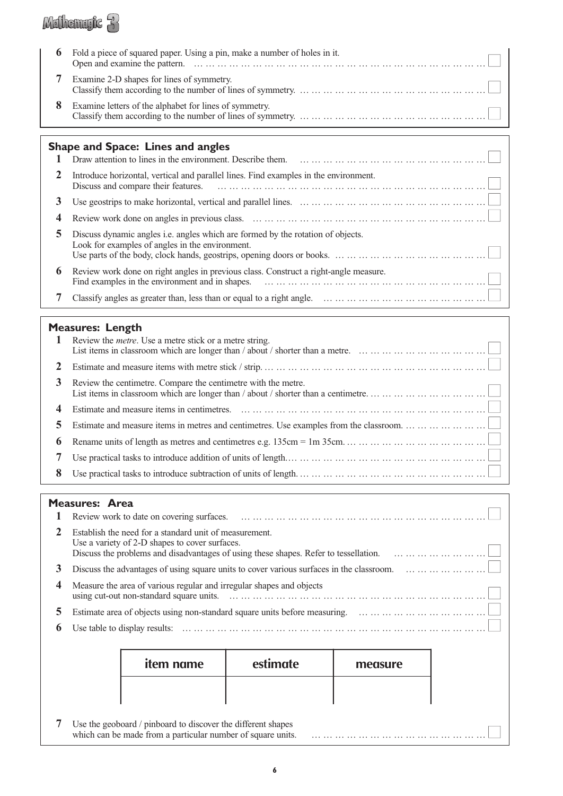### Mathematic 3

| 6 | Fold a piece of squared paper. Using a pin, make a number of holes in it.                                                                                                                                         |
|---|-------------------------------------------------------------------------------------------------------------------------------------------------------------------------------------------------------------------|
|   | Examine 2-D shapes for lines of symmetry.                                                                                                                                                                         |
|   | Examine letters of the alphabet for lines of symmetry.<br>Classify them according to the number of lines of symmetry. $\dots \dots \dots \dots \dots \dots \dots \dots \dots \dots \dots \dots \dots \dots \dots$ |

#### **Shape and Space: Lines and angles**

|              | m<br>Draw attention to lines in the environment. Describe them.                                                                    |
|--------------|------------------------------------------------------------------------------------------------------------------------------------|
| 2            | Introduce horizontal, vertical and parallel lines. Find examples in the environment.                                               |
| 3.           |                                                                                                                                    |
| 4            |                                                                                                                                    |
| 5.           | Discuss dynamic angles i.e. angles which are formed by the rotation of objects.<br>Look for examples of angles in the environment. |
| $\mathbf{a}$ | Review work done on right angles in previous class. Construct a right-angle measure.                                               |
|              |                                                                                                                                    |

#### **Measures: Length**

|                | <b>1</b> Review the <i>metre</i> . Use a metre stick or a metre string.               |
|----------------|---------------------------------------------------------------------------------------|
| <b>2</b>       |                                                                                       |
| 3              | Review the centimetre. Compare the centimetre with the metre.                         |
|                |                                                                                       |
| 5 <sup>1</sup> | Estimate and measure items in metres and centimetres. Use examples from the classroom |
|                |                                                                                       |
| 7              |                                                                                       |
| 8              |                                                                                       |

#### **Measures: Area**

|             | <u>казагез. Ага</u> |                                                                                                                                                                                                  |          |         |  |
|-------------|---------------------|--------------------------------------------------------------------------------------------------------------------------------------------------------------------------------------------------|----------|---------|--|
| 2           |                     | Establish the need for a standard unit of measurement.<br>Use a variety of 2-D shapes to cover surfaces.<br>Discuss the problems and disadvantages of using these shapes. Refer to tessellation. |          |         |  |
| 3           |                     | Discuss the advantages of using square units to cover various surfaces in the classroom.                                                                                                         |          |         |  |
|             |                     | Measure the area of various regular and irregular shapes and objects                                                                                                                             |          |         |  |
| 5.          |                     |                                                                                                                                                                                                  |          |         |  |
| $\mathbf b$ |                     |                                                                                                                                                                                                  |          |         |  |
|             |                     |                                                                                                                                                                                                  |          |         |  |
|             |                     | <i>item</i> name                                                                                                                                                                                 | estimate | measure |  |
|             |                     |                                                                                                                                                                                                  |          |         |  |
|             |                     | Use the geoboard / pinboard to discover the different shapes<br>which can be made from a particular number of square units.                                                                      |          |         |  |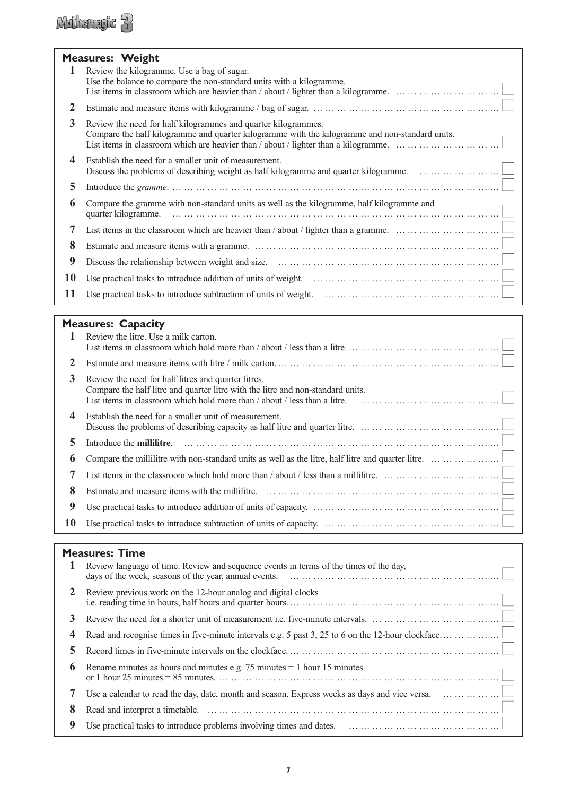### Millemyte 3

|           | <b>Measures: Weight</b><br>Review the kilogramme. Use a bag of sugar.<br>Use the balance to compare the non-standard units with a kilogramme.                   |
|-----------|-----------------------------------------------------------------------------------------------------------------------------------------------------------------|
| 2         | Estimate and measure items with kilogramme / bag of sugar. $\dots \dots \dots \dots \dots \dots \dots \dots \dots \dots \dots \dots \dots \dots \dots$          |
| 3         | Review the need for half kilogrammes and quarter kilogrammes.<br>Compare the half kilogramme and quarter kilogramme with the kilogramme and non-standard units. |
| 4         | Establish the need for a smaller unit of measurement.<br>Discuss the problems of describing weight as half kilogramme and quarter kilogramme.                   |
| 5         |                                                                                                                                                                 |
| 6         | Compare the gramme with non-standard units as well as the kilogramme, half kilogramme and<br>quarter kilogramme.                                                |
| 7         | List items in the classroom which are heavier than / about / lighter than a gramme. $\dots \dots \dots \dots \dots \dots \dots \dots$                           |
| 8         |                                                                                                                                                                 |
| 9         |                                                                                                                                                                 |
| <b>10</b> | Use practical tasks to introduce addition of units of weight. $\ldots \ldots \ldots \ldots \ldots \ldots \ldots \ldots \ldots \ldots \ldots \ldots \ldots$      |
| 11        | Use practical tasks to introduce subtraction of units of weight. $\ldots \ldots \ldots \ldots \ldots \ldots \ldots \ldots \ldots \ldots \ldots \ldots$          |

#### **Measures: Capacity**

|              | Review the litre. Use a milk carton.                                                                                                                                                                                                                                                        |
|--------------|---------------------------------------------------------------------------------------------------------------------------------------------------------------------------------------------------------------------------------------------------------------------------------------------|
| <sup>2</sup> |                                                                                                                                                                                                                                                                                             |
| 3            | Review the need for half litres and quarter litres.<br>Compare the half litre and quarter litre with the litre and non-standard units.<br>List items in classroom which hold more than / about / less than a litre. $\ldots \ldots \ldots \ldots \ldots \ldots \ldots \ldots \ldots \ldots$ |
| 4            | Establish the need for a smaller unit of measurement.<br>Discuss the problems of describing capacity as half litre and quarter litre. $\dots \dots \dots \dots \dots \dots \dots \dots \dots \dots$                                                                                         |
| 5.           |                                                                                                                                                                                                                                                                                             |
| 6            | Compare the millilitre with non-standard units as well as the litre, half litre and quarter litre. $\dots \dots \dots \dots \dots$                                                                                                                                                          |
|              | List items in the classroom which hold more than / about / less than a millilitre. $\dots \dots \dots \dots \dots \dots \dots \dots \dots$                                                                                                                                                  |
| 8            |                                                                                                                                                                                                                                                                                             |
| 9            |                                                                                                                                                                                                                                                                                             |
| 10           |                                                                                                                                                                                                                                                                                             |

### **Measures: Time**

| 1           | Review language of time. Review and sequence events in terms of the times of the day,                                                          |
|-------------|------------------------------------------------------------------------------------------------------------------------------------------------|
| 2           | Review previous work on the 12-hour analog and digital clocks                                                                                  |
| 3           |                                                                                                                                                |
| 4           | Read and recognise times in five-minute intervals e.g. 5 past 3, 25 to 6 on the 12-hour clockface                                              |
| 5           |                                                                                                                                                |
| $\mathbf b$ | Rename minutes as hours and minutes e.g. 75 minutes $= 1$ hour 15 minutes                                                                      |
|             | Use a calendar to read the day, date, month and season. Express weeks as days and vice versa.                                                  |
| 8           |                                                                                                                                                |
| 9           | Use practical tasks to introduce problems involving times and dates. $\dots \dots \dots \dots \dots \dots \dots \dots \dots \dots \dots \dots$ |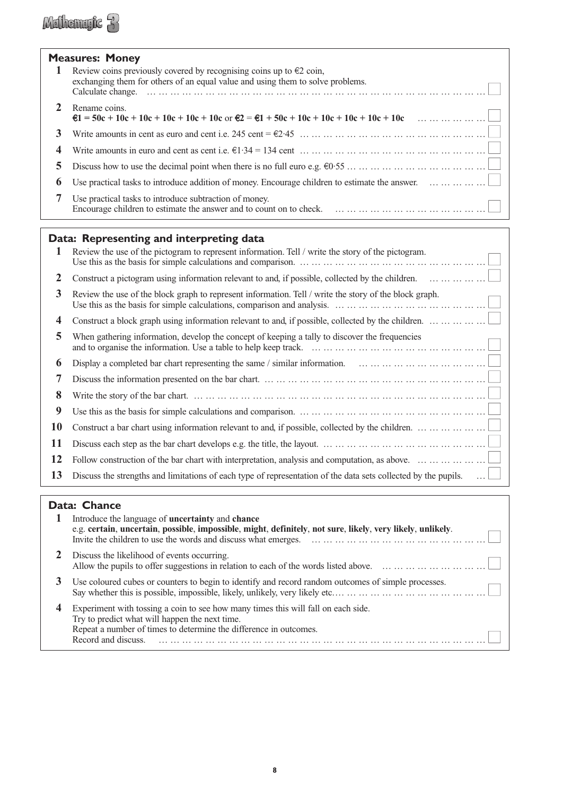### **Measures: Money**

Mulhemryte 3

|   | Measures: Money                                                                                                                                                 |
|---|-----------------------------------------------------------------------------------------------------------------------------------------------------------------|
|   | Review coins previously covered by recognising coins up to $\epsilon$ 2 coin,<br>exchanging them for others of an equal value and using them to solve problems. |
|   | Rename coins.<br>$\mathfrak{E}1 = 50c + 10c + 10c + 10c + 10c + 10c$ or $\mathfrak{E}2 = \mathfrak{E}1 + 50c + 10c + 10c + 10c + 10c + 10c$                     |
|   |                                                                                                                                                                 |
|   |                                                                                                                                                                 |
|   | Discuss how to use the decimal point when there is no full euro e.g. $60.55$                                                                                    |
| 6 | Use practical tasks to introduce addition of money. Encourage children to estimate the answer. $\dots \dots \dots \dots \dots$                                  |
|   | Use practical tasks to introduce subtraction of money.                                                                                                          |

#### **Data: Representing and interpreting data**

| -1 | Review the use of the pictogram to represent information. Tell / write the story of the pictogram.<br>Use this as the basis for simple calculations and comparison. $\dots \dots \dots \dots \dots \dots \dots \dots \dots \dots \dots \dots \dots \dots \dots$ |
|----|-----------------------------------------------------------------------------------------------------------------------------------------------------------------------------------------------------------------------------------------------------------------|
| 2  | Construct a pictogram using information relevant to and, if possible, collected by the children.                                                                                                                                                                |
| 3  | Review the use of the block graph to represent information. Tell / write the story of the block graph.                                                                                                                                                          |
| 4  | Construct a block graph using information relevant to and, if possible, collected by the children.                                                                                                                                                              |
| 5  | When gathering information, develop the concept of keeping a tally to discover the frequencies                                                                                                                                                                  |
| 6  | Display a completed bar chart representing the same / similar information. $\dots \dots \dots \dots \dots \dots \dots \dots \dots \dots$                                                                                                                        |
| 7  |                                                                                                                                                                                                                                                                 |
| 8  |                                                                                                                                                                                                                                                                 |
| 9  |                                                                                                                                                                                                                                                                 |
| 10 | Construct a bar chart using information relevant to and, if possible, collected by the children. $\dots \dots \dots \dots \dots$                                                                                                                                |
| 11 |                                                                                                                                                                                                                                                                 |
| 12 | Follow construction of the bar chart with interpretation, analysis and computation, as above. $\dots \dots \dots \dots \dots \dots$                                                                                                                             |
| 13 | Discuss the strengths and limitations of each type of representation of the data sets collected by the pupils.                                                                                                                                                  |

#### **Data: Chance**

| Introduce the language of <b>uncertainty</b> and <b>chance</b><br>e.g. certain, uncertain, possible, impossible, might, definitely, not sure, likely, very likely, unlikely.<br>Invite the children to use the words and discuss what emerges.                    |
|-------------------------------------------------------------------------------------------------------------------------------------------------------------------------------------------------------------------------------------------------------------------|
| Discuss the likelihood of events occurring.<br>Allow the pupils to offer suggestions in relation to each of the words listed above.                                                                                                                               |
| Use coloured cubes or counters to begin to identify and record random outcomes of simple processes.<br>Say whether this is possible, impossible, likely, unlikely, very likely etc $\ldots \ldots \ldots \ldots \ldots \ldots \ldots \ldots \ldots \ldots \ldots$ |
| Experiment with tossing a coin to see how many times this will fall on each side.<br>Try to predict what will happen the next time.<br>Repeat a number of times to determine the difference in outcomes.<br>Record and discuss                                    |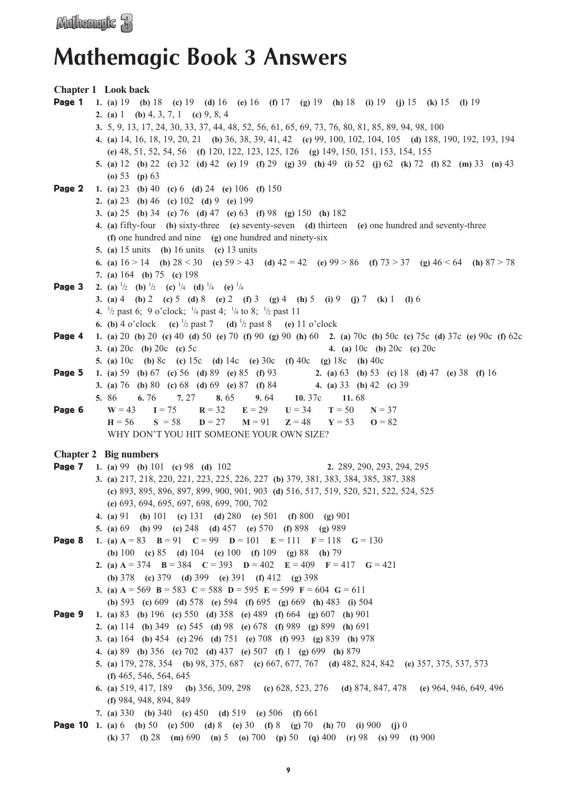### **Mathemagic Book 3 Answers**

**Chapter 1 Look back** Page 1 **1. (a)** 19 **(b)** 18 **(c)** 19 **(d)** 16 **(e)** 16 **(f)** 17 **(g)** 19 **(h)** 18 **(i)** 19 **(j)** 15 **(k)** 15 **(l)** 19 **2. (a)** 1 **(b)** 4, 3, 7, 1 **(c)** 9, 8, 4 **3.** 5, 9, 13, 17, 24, 30, 33, 37, 44, 48, 52, 56, 61, 65, 69, 73, 76, 80, 81, 85, 89, 94, 98, 100 **4. (a)** 14, 16, 18, 19, 20, 21 **(b)** 36, 38, 39, 41, 42 **(c)** 99, 100, 102, 104, 105 **(d)** 188, 190, 192, 193, 194 **(e)** 48, 51, 52, 54, 56 **(f)** 120, 122, 123, 125, 126 **(g)** 149, 150, 151, 153, 154, 155 **5. (a)** 12 **(b)** 22 **(c)** 32 **(d)** 42 **(e)** 19 **(f)** 29 **(g)** 39 **(h)** 49 **(i)** 52 **(j)** 62 **(k)** 72 **(l)** 82 **(m)** 33 **(n)** 43 **(o)** 53 **(p)** 63 Page 2 **1. (a)** 23 **(b)** 40 **(c)** 6 **(d)** 24 **(e)** 106 **(f)** 150 **2. (a)** 23 **(b)** 46 **(c)** 102 **(d)** 9 **(e)** 199 **3. (a)** 25 **(b)** 34 **(c)** 76 **(d)** 47 **(e)** 63 **(f)** 98 **(g)** 150 **(h)** 182 **4. (a)** fifty-four **(b)** sixty-three **(c)** seventy-seven **(d)** thirteen **(e)** one hundred and seventy-three **(f)** one hundred and nine **(g)** one hundred and ninety-six **5. (a)** 15 units **(b)** 16 units **(c)** 13 units **6. (a)** 16 > 14 **(b)** 28 < 30 **(c)** 59 > 43 **(d)** 42 = 42 **(e)** 99 > 86 **(f)** 73 > 37 **(g)** 46 < 64 **(h)** 87 > 78 **7. (a)** 164 **(b)** 75 **(c)** 198 **Page 3** 2. (a)  $\frac{1}{2}$  (b)  $\frac{1}{2}$  (c)  $\frac{1}{4}$  (d)  $\frac{1}{4}$  (e)  $\frac{1}{4}$ **3. (a)** 4 **(b)** 2 **(c)** 5 **(d)** 8 **(e)** 2 **(f)** 3 **(g)** 4 **(h)** 5 **(i)** 9 **(j)** 7 **(k)** 1 **(l)** 6 **4.**  $\frac{1}{2}$  past 6; 9 o'clock;  $\frac{1}{4}$  past 4;  $\frac{1}{4}$  to 8;  $\frac{1}{2}$  past 11 **6.** (**b**) 4 o'clock **(c)**  $\frac{1}{2}$  past 7 **(d)**  $\frac{1}{2}$  past 8 **(e)** 11 o'clock Page 4 **1. (a)** 20 **(b)** 20 **(c)** 40 **(d)** 50 **(e)** 70 **(f)** 90 **(g)** 90 **(h)** 60 **2. (a)** 70c **(b)** 50c **(c)** 75c **(d)** 37c **(e)** 90c **(f)** 62c **3. (a)** 20c **(b)** 20c **(c)** 5c **4. (a)** 10c **(b)** 20c **(c)** 20c **5. (a)** 10c **(b)** 8c **(c)** 15c **(d)** 14c **(e)** 30c **(f)** 40c **(g)** 18c **(h)** 40c Page 5 **1. (a)** 59 **(b)** 67 **(c)** 56 **(d)** 89 **(e)** 85 **(f)** 93 **2. (a)** 63 **(b)** 53 **(c)** 18 **(d)** 47 **(e)** 38 **(f)** 16 **3. (a)** 76 **(b)** 80 **(c)** 68 **(d)** 69 **(e)** 87 **(f)** 84 **4. (a)** 33 **(b)** 42 **(c)** 39 **5.** 86 **6.** 76 **7.** 27 **8.** 65 **9.** 64 **10.** 37c **11.** 68 **Page 6**  $W = 43$   $I = 75$   $R = 32$   $E = 29$   $U = 34$   $T = 50$   $N = 37$ **H** = 56 **S** = 58 **D** = 27 **M** = 91 **Z** = 48 **Y** = 53 **O** = 82 WHY DON'T YOU HIT SOMEONE YOUR OWN SIZE? **Chapter 2 Big numbers** Page 7 **1. (a)** 99 **(b)** 101 **(c)** 98 **(d)** 102 **2.** 289, 290, 293, 294, 295 **3. (a)** 217, 218, 220, 221, 223, 225, 226, 227 **(b)** 379, 381, 383, 384, 385, 387, 388 **(c)** 893, 895, 896, 897, 899, 900, 901, 903 **(d)** 516, 517, 519, 520, 521, 522, 524, 525 **(e)** 693, 694, 695, 697, 698, 699, 700, 702 **4. (a)** 91 **(b)** 101 **(c)** 131 **(d)** 280 **(e)** 501 **(f)** 800 **(g)** 901 **5. (a)** 69 **(b)** 99 **(c)** 248 **(d)** 457 **(e)** 570 **(f)** 898 **(g)** 989 **Page 8 1.** (a)  $A = 83$  **B** = 91 **C** = 99 **D** = 101 **E** = 111 **F** = 118 **G** = 130 **(b)** 100 **(c)** 85 **(d)** 104 **(e)** 100 **(f)** 109 **(g)** 88 **(h)** 79 **2.** (a)  $A = 374$  **B** = 384 **C** = 393 **D** = 402 **E** = 409 **F** = 417 **G** = 421 **(b)** 378 **(c)** 379 **(d)** 399 **(e)** 391 **(f)** 412 **(g)** 398 **3.** (a)  $A = 569$  **B** = 583 **C** = 588 **D** = 595 **E** = 599 **F** = 604 **G** = 611 **(b)** 593 **(c)** 609 **(d)** 578 **(e)** 594 **(f)** 695 **(g)** 669 **(h)** 483 **(i)** 504 Page 9 **1. (a)** 83 **(b)** 196 **(c)** 550 **(d)** 358 **(e)** 489 **(f)** 664 **(g)** 607 **(h)** 901 **2. (a)** 114 **(b)** 349 **(c)** 545 **(d)** 98 **(e)** 678 **(f)** 989 **(g)** 899 **(h)** 691 **3. (a)** 164 **(b)** 454 **(c)** 296 **(d)** 751 **(e)** 708 **(f)** 993 **(g)** 839 **(h)** 978 **4. (a)** 89 **(b)** 356 **(c)** 702 **(d)** 437 **(e)** 507 **(f)** 1 **(g)** 699 **(h)** 879 **5. (a)** 179, 278, 354 **(b)** 98, 375, 687 **(c)** 667, 677, 767 **(d)** 482, 824, 842 **(e)** 357, 375, 537, 573 **(f)** 465, 546, 564, 645 **6. (a)** 519, 417, 189 **(b)** 356, 309, 298 **(c)** 628, 523, 276 **(d)** 874, 847, 478 **(e)** 964, 946, 649, 496 **(f)** 984, 948, 894, 849 **7. (a)** 330 **(b)** 340 **(c)** 450 **(d)** 519 **(e)** 506 **(f)** 661 Page 10 **1. (a)** 6 **(b)** 50 **(c)** 500 **(d)** 8 **(e)** 30 **(f)** 8 **(g)** 70 **(h)** 70 **(i)** 900 **(j)** 0

**(k)** 37 **(l)** 28 **(m)** 690 **(n)** 5 **(o)** 700 **(p)** 50 **(q)** 400 **(r)** 98 **(s)** 99 **(t)** 900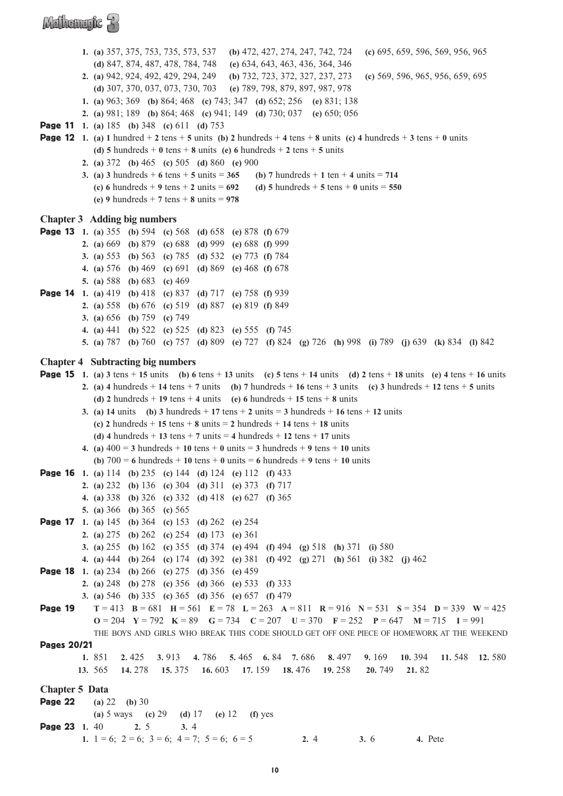**1. (a)** 357, 375, 753, 735, 573, 537 **(b)** 472, 427, 274, 247, 742, 724 **(c)** 695, 659, 596, 569, 956, 965 **(d)** 847, 874, 487, 478, 784, 748 **(e)** 634, 643, 463, 436, 364, 346 **2. (a)** 942, 924, 492, 429, 294, 249 **(b)** 732, 723, 372, 327, 237, 273 **(c)** 569, 596, 965, 956, 659, 695 **(d)** 307, 370, 037, 073, 730, 703 **(e)** 789, 798, 879, 897, 987, 978 **1. (a)** 963; 369 **(b)** 864; 468 **(c)** 743; 347 **(d)** 652; 256 **(e)** 831; 138 **2. (a)** 981; 189 **(b)** 864; 468 **(c)** 941; 149 **(d)** 730; 037 **(e)** 650; 056 Page 11 **1. (a)** 185 **(b)** 348 **(c)** 611 **(d)** 753 **Page 12** 1. (a) 1 hundred + 2 tens + 5 units (b) 2 hundreds + 4 tens + 8 units (c) 4 hundreds + 3 tens + 0 units **(d) 5** hundreds + **0** tens + **8** units **(e) 6** hundreds + **2** tens + **5** units **2. (a)** 372 **(b)** 465 **(c)** 505 **(d)** 860 **(e)** 900 **3.** (a) **3** hundreds  $+ 6$  tens  $+ 5$  units  $= 365$  (b) **7** hundreds  $+ 1$  ten  $+ 4$  units  $= 714$ **(c) 6** hundreds + **9** tens + **2** units = **692 (d) 5** hundreds + **5** tens + **0** units = **550 (e) 9** hundreds + **7** tens + **8** units = **978 Chapter 3 Adding big numbers** Page 13 **1. (a)** 355 **(b)** 594 **(c)** 568 **(d)** 658 **(e)** 878 **(f)** 679 **2. (a)** 669 **(b)** 879 **(c)** 688 **(d)** 999 **(e)** 688 **(f)** 999 **3. (a)** 553 **(b)** 563 **(c)** 785 **(d)** 532 **(e)** 773 **(f)** 784 **4. (a)** 576 **(b)** 469 **(c)** 691 **(d)** 869 **(e)** 468 **(f)** 678 **5. (a)** 588 **(b)** 683 **(c)** 469 Page 14 **1. (a)** 419 **(b)** 418 **(c)** 837 **(d)** 717 **(e)** 758 **(f)** 939 **2. (a)** 558 **(b)** 676 **(c)** 519 **(d)** 887 **(e)** 819 **(f)** 849 **3. (a)** 656 **(b)** 759 **(c)** 749 **4. (a)** 441 **(b)** 522 **(c)** 525 **(d)** 823 **(e)** 555 **(f)** 745 **5. (a)** 787 **(b)** 760 **(c)** 757 **(d)** 809 **(e)** 727 **(f)** 824 **(g)** 726 **(h)** 998 **(i)** 789 **(j)** 639 **(k)** 834 **(l)** 842 **Chapter 4 Subtracting big numbers Page 15** 1. (a) 3 tens + 15 units (b) 6 tens + 13 units (c) 5 tens + 14 units (d) 2 tens + 18 units (e) 4 tens + 16 units **2.** (a) 4 hundreds + 14 tens + 7 units (b) 7 hundreds + 16 tens + 3 units (c) 3 hundreds + 12 tens + 5 units **(d) 2** hundreds + **19** tens + **4** units **(e) 6** hundreds + **15** tens + **8** units **3.** (a) **14** units (b) **3** hundreds + **17** tens + **2** units = **3** hundreds + **16** tens + **12** units **(c) 2** hundreds + **15** tens + **8** units = **2** hundreds + **14** tens + **18** units (d) 4 hundreds + 13 tens + 7 units = 4 hundreds + 12 tens + 17 units **4.** (a)  $400 = 3$  hundreds + 10 tens + 0 units = 3 hundreds + 9 tens + 10 units **(b)**  $700 = 6$  hundreds + 10 tens + 0 units = 6 hundreds + 9 tens + 10 units Page 16 **1. (a)** 114 **(b)** 235 **(c)** 144 **(d)** 124 **(e)** 112 **(f)** 433 **2. (a)** 232 **(b)** 136 **(c)** 304 **(d)** 311 **(e)** 373 **(f)** 717 **4. (a)** 338 **(b)** 326 **(c)** 332 **(d)** 418 **(e)** 627 **(f)** 365 **5. (a)** 366 **(b)** 365 **(c)** 565 Page 17 **1. (a)** 145 **(b)** 364 **(c)** 153 **(d)** 262 **(e)** 254 **2. (a)** 275 **(b)** 262 **(c)** 254 **(d)** 173 **(e)** 361 **3. (a)** 255 **(b)** 162 **(c)** 355 **(d)** 374 **(e)** 494 **(f)** 494 **(g)** 518 **(h)** 371 **(i)** 580 **4. (a)** 444 **(b)** 264 **(c)** 174 **(d)** 392 **(e)** 381 **(f)** 492 **(g)** 271 **(h)** 561 **(i)** 382 **(j)** 462 Page 18 **1. (a)** 234 **(b)** 266 **(c)** 275 **(d)** 356 **(e)** 459 **2. (a)** 248 **(b)** 278 **(c)** 356 **(d)** 366 **(e)** 533 **(f)** 333 **3. (a)** 546 **(b)** 335 **(c)** 365 **(d)** 356 **(e)** 657 **(f)** 479 Page 19 **T** = 413 **B** = 681 **H** = 561 **E** = 78 **L** = 263 **A** = 811 **R** = 916 **N** = 531 **S** = 354 **D** = 339 **W** = 425 **O** = 204 **Y** = 792 **K** = 89 **G** = 734 **C** = 207 **U** = 370 **F** = 252 **P** = 647 **M** = 715 **I** = 991 THE BOYS AND GIRLS WHO BREAK THIS CODE SHOULD GET OFF ONE PIECE OF HOMEWORK AT THE WEEKEND Pages 20/21 **1.** 851 **2.** 425 **3.** 913 **4.** 786 **5.** 465 **6.** 84 **7.** 686 **8.** 497 **9.** 169 **10.** 394 **11.** 548 **12.** 580 **13.** 565 **14.** 278 **15.** 375 **16.** 603 **17.** 159 **18.** 476 **19.** 258 **20.** 749 **21.** 82 **Chapter 5 Data** Page 22 **(a)** 22 **(b)** 30 **(a)** 5 ways **(c)** 29 **(d)** 17 **(e)** 12 **(f)** yes Page 23 **1.** 40 **2.** 5 **3.** 4 **1.**  $1 = 6$ ;  $2 = 6$ ;  $3 = 6$ ;  $4 = 7$ ;  $5 = 6$ ;  $6 = 5$  **2.** 4 **3.** 6 **4.** Pete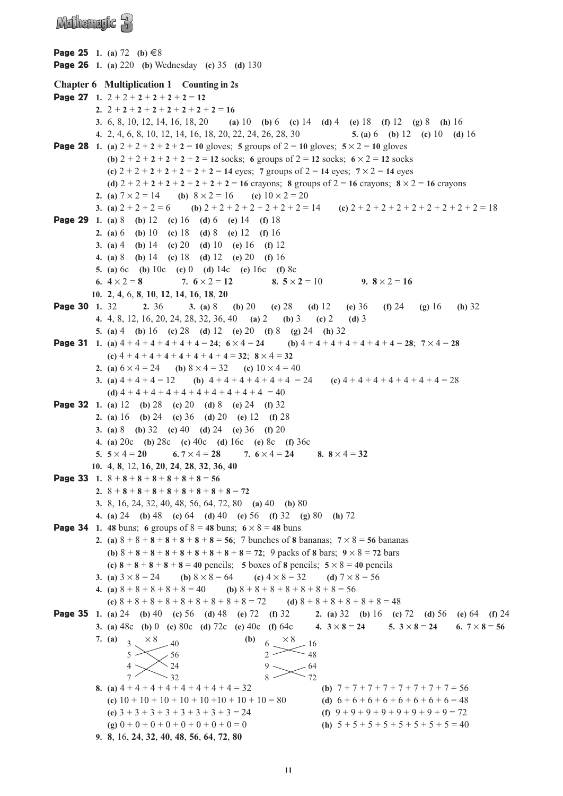### Mulhemufic R

**Page 25** 1. (a) 72 (b)  $\text{\textsterling}8$ 

```
Page 26 1. (a) 220 (b) Wednesday (c) 35 (d) 130
Chapter 6 Multiplication 1 Counting in 2s
Page 27 1. 2 + 2 + 2 + 2 + 2 + 2 = 122. 2 + 2 + 2 + 2 + 2 + 2 + 2 + 2 = 16
          3. 6, 8, 10, 12, 14, 16, 18, 20 (a) 10 (b) 6 (c) 14 (d) 4 (e) 18 (f) 12 (g) 8 (h) 16
          4. 2, 4, 6, 8, 10, 12, 14, 16, 18, 20, 22, 24, 26, 28, 30 5. (a) 6 (b) 12 (c) 10 (d) 16
Page 28 1. (a) 2 + 2 + 2 + 2 + 2 = 10 gloves; 5 groups of 2 = 10 gloves; 5 \times 2 = 10 gloves
             (b) 2 + 2 + 2 + 2 + 2 + 2 = 12 socks; 6 groups of 2 = 12 socks; 6 \times 2 = 12 socks
             (c) 2 + 2 + 2 + 2 + 2 + 2 + 2 = 14 eyes; 7 groups of 2 = 14 eyes; 7 \times 2 = 14 eyes
             (d) 2 + 2 + 2 + 2 + 2 + 2 + 2 + 2 = 16 crayons; 8 groups of 2 = 16 crayons; 8 \times 2 = 16 crayons
          2. (a) 7 \times 2 = 14 (b) 8 \times 2 = 16 (c) 10 \times 2 = 203. (a) 2 + 2 + 2 = 6 <br> (b) 2 + 2 + 2 + 2 + 2 + 2 + 2 = 14 <br> (c) 2 + 2 + 2 + 2 + 2 + 2 + 2 + 2 = 18Page 29 1. (a) 8 (b) 12 (c) 16 (d) 6 (e) 14 (f) 18
          2. (a) 6 (b) 10 (c) 18 (d) 8 (e) 12 (f) 16
          3. (a) 4 (b) 14 (c) 20 (d) 10 (e) 16 (f) 12
          4. (a) 8 (b) 14 (c) 18 (d) 12 (e) 20 (f) 16
          5. (a) 6c (b) 10c (c) 0 (d) 14c (e) 16c (f) 8c
          6. 4 \times 2 = 8 7. 6 \times 2 = 12 8. 5 \times 2 = 10 9. 8 \times 2 = 1610. 2, 4, 6, 8, 10, 12, 14, 16, 18, 20
Page 30 1. 32 2. 36 3. (a) 8 (b) 20 (c) 28 (d) 12 (e) 36 (f) 24 (g) 16 (h) 32
          4. 4, 8, 12, 16, 20, 24, 28, 32, 36, 40 (a) 2 (b) 3 (c) 2 (d) 3
          5. (a) 4 (b) 16 (c) 28 (d) 12 (e) 20 (f) 8 (g) 24 (h) 32
Page 31 1. (a) 4 + 4 + 4 + 4 + 4 + 4 = 24; 6 \times 4 = 24 (b) 4 + 4 + 4 + 4 + 4 + 4 = 28; 7 \times 4 = 28(c) 4 + 4 + 4 + 4 + 4 + 4 + 4 + 4 = 32; 8 × 4 = 32
          2. (a) 6 \times 4 = 24 (b) 8 \times 4 = 32 (c) 10 \times 4 = 403. (a) 4 + 4 + 4 + 4 = 12 (b) 4 + 4 + 4 + 4 + 4 + 4 = 24 (c) 4 + 4 + 4 + 4 + 4 + 4 = 28(d) 4 + 4 + 4 + 4 + 4 + 4 + 4 + 4 + 4 + 4 = 40Page 32 1. (a) 12 (b) 28 (c) 20 (d) 8 (e) 24 (f) 32
          2. (a) 16 (b) 24 (c) 36 (d) 20 (e) 12 (f) 28
          3. (a) 8 (b) 32 (c) 40 (d) 24 (e) 36 (f) 20
          4. (a) 20c (b) 28c (c) 40c (d) 16c (e) 8c (f) 36c
          5. 5 \times 4 = 20 6. 7 \times 4 = 28 7. 6 \times 4 = 24 8. 8 \times 4 = 3210. 4, 8, 12, 16, 20, 24, 28, 32, 36, 40
Page 33 1. 8 + 8 + 8 + 8 + 8 + 8 + 8 = 562. 8 + 8 + 8 + 8 + 8 + 8 + 8 + 8 + 8 = 72
          3. 8, 16, 24, 32, 40, 48, 56, 64, 72, 80 (a) 40 (b) 80
          4. (a) 24 (b) 48 (c) 64 (d) 40 (e) 56 (f) 32 (g) 80 (h) 72
Page 34 1. 48 buns; 6 groups of 8 = 48 buns; 6 \times 8 = 48 buns
          2. (a) 8 + 8 + 8 + 8 + 8 + 8 + 8 = 56; 7 bunches of 8 bananas; 7 \times 8 = 56 bananas
             (b) 8 + 8 + 8 + 8 + 8 + 8 + 8 + 8 + 8 + 8 = 72; 9 packs of 8 bars; 9 \times 8 = 72 bars
             (c) 8 + 8 + 8 + 8 + 8 = 40 pencils; 5 boxes of 8 pencils; 5 × 8 = 40 pencils
          3. (a) 3 \times 8 = 24 (b) 8 \times 8 = 64 (c) 4 \times 8 = 32 (d) 7 \times 8 = 564. (a) 8 + 8 + 8 + 8 + 8 = 40 (b) 8 + 8 + 8 + 8 + 8 + 8 = 56(c) 8 + 8 + 8 + 8 + 8 + 8 + 8 + 8 + 8 + 8 = 72 (d) 8 + 8 + 8 + 8 + 8 + 8 = 48Page 35 1. (a) 24 (b) 40 (c) 56 (d) 48 (e) 72 (f) 32 2. (a) 32 (b) 16 (c) 72 (d) 56 (e) 64 (f) 24
          3. (a) 48c (b) 0 (c) 80c (d) 72c (e) 40c (f) 64c 4. 3 × 8 = 24 5. 3 × 8 = 24 6. 7 × 8 = 56
          7. (a) 3 \times 8 = 40 (b)
          8. (a) 4 + 4 + 4 + 4 + 4 + 4 + 4 + 4 = 32 <br> (b) 7 + 7 + 7 + 7 + 7 + 7 + 7 + 7 = 56(c) 10 + 10 + 10 + 10 + 10 + 10 + 10 + 10 = 80 (d) 6 + 6 + 6 + 6 + 6 + 6 + 6 + 6 = 48(e) 3 + 3 + 3 + 3 + 3 + 3 + 3 + 3 = 24 (f) 9 + 9 + 9 + 9 + 9 + 9 + 9 + 9 + 9 = 72(g) 0 + 0 + 0 + 0 + 0 + 0 + 0 + 0 + 0 = 0 (h) 5 + 5 + 5 + 5 + 5 + 5 + 5 = 409. 8, 16, 24, 32, 40, 48, 56, 64, 72, 80
                                                    6
                                                    2
                                                    9
                                                    8
                                                        \times 8 -1648
                                                             -64-72_5 >4
                  7
                     \times 8 40
                          \epsilon<sup>56</sup>
                             24 
                             32
```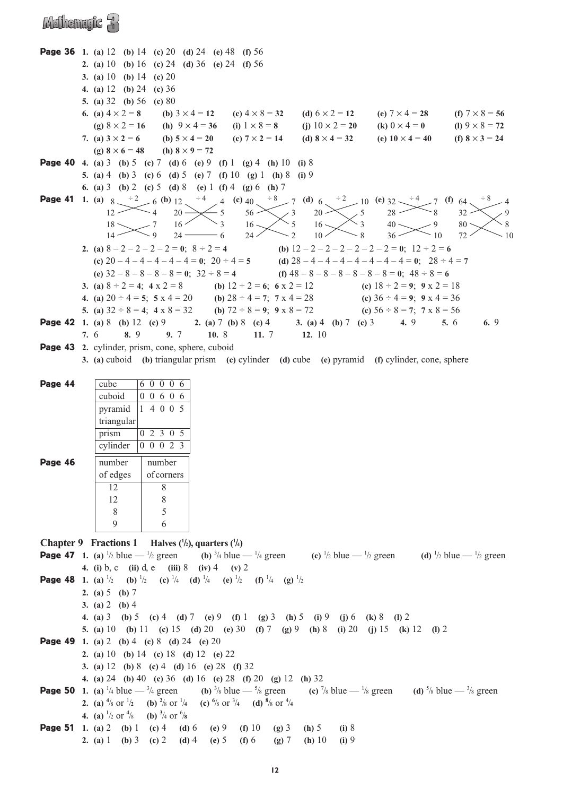### Mulhemryk 3

|         | <b>Page 36</b> 1. (a) 12 (b) 14 (c) 20 (d) 24 (e) 48 (f) 56                                                                                                                                                                                                                                                                                                                     |                   |         |               |
|---------|---------------------------------------------------------------------------------------------------------------------------------------------------------------------------------------------------------------------------------------------------------------------------------------------------------------------------------------------------------------------------------|-------------------|---------|---------------|
|         | 2. (a) 10 (b) 16 (c) 24 (d) 36 (e) 24 (f) 56                                                                                                                                                                                                                                                                                                                                    |                   |         |               |
|         | 3. (a) 10 (b) 14 (c) 20                                                                                                                                                                                                                                                                                                                                                         |                   |         |               |
|         | 4. (a) $12$ (b) $24$ (c) $36$                                                                                                                                                                                                                                                                                                                                                   |                   |         |               |
|         | 5. (a) $32$ (b) $56$ (c) $80$                                                                                                                                                                                                                                                                                                                                                   |                   |         |               |
|         | 6. (a) $4 \times 2 = 8$ (b) $3 \times 4 = 12$ (c) $4 \times 8 = 32$ (d) $6 \times 2 = 12$ (e) $7 \times 4 = 28$ (f) $7 \times 8 = 56$                                                                                                                                                                                                                                           |                   |         |               |
|         | (g) $8 \times 2 = 16$ (h) $9 \times 4 = 36$ (i) $1 \times 8 = 8$ (j) $10 \times 2 = 20$ (k) $0 \times 4 = 0$ (l) $9 \times 8 = 72$                                                                                                                                                                                                                                              |                   |         |               |
|         | 7. (a) $3 \times 2 = 6$ (b) $5 \times 4 = 20$ (c) $7 \times 2 = 14$ (d) $8 \times 4 = 32$ (e) $10 \times 4 = 40$ (f) $8 \times 3 = 24$                                                                                                                                                                                                                                          |                   |         |               |
|         | (g) $8 \times 6 = 48$ (h) $8 \times 9 = 72$                                                                                                                                                                                                                                                                                                                                     |                   |         |               |
|         | <b>Page 40</b> 4. (a) 3 (b) 5 (c) 7 (d) 6 (e) 9 (f) 1 (g) 4 (h) 10 (i) 8                                                                                                                                                                                                                                                                                                        |                   |         |               |
|         | 5. (a) 4 (b) 3 (c) 6 (d) 5 (e) 7 (f) 10 (g) 1 (h) 8 (i) 9                                                                                                                                                                                                                                                                                                                       |                   |         |               |
|         | 6. (a) 3 (b) 2 (c) 5 (d) 8 (e) 1 (f) 4 (g) 6 (h) 7                                                                                                                                                                                                                                                                                                                              |                   |         |               |
|         | <b>Page 41</b> 1. (a) $8 \xrightarrow{+2} 6$ (b) $12 \xrightarrow{+4} 4$ (c) $40 \xrightarrow{+8} 7$ (d) $6 \xrightarrow{+2} 10$ (e) $32 \xrightarrow{+4} 7$ (f) $64 \xrightarrow{+2} 4$ $20 \xrightarrow{+5} 56 \xrightarrow{+3} 20 \xrightarrow{+6} 5$ $28 \xrightarrow{+8} 8$ $32 \xrightarrow{+2} 8$ $33 \xrightarrow{+2} 8$ $340 \xrightarrow{+2} 9$ $80 \xrightarrow{+2}$ |                   |         |               |
|         |                                                                                                                                                                                                                                                                                                                                                                                 |                   |         |               |
|         |                                                                                                                                                                                                                                                                                                                                                                                 |                   |         | 8             |
|         |                                                                                                                                                                                                                                                                                                                                                                                 |                   |         | <sup>10</sup> |
|         | 2. (a) $8-2-2-2-2=0$ ; $8 \div 2 = 4$<br>(b) $12-2-2-2-2-2=0$ ; $12 \div 2 = 6$                                                                                                                                                                                                                                                                                                 |                   |         |               |
|         | (c) $20-4-4-4-4-4=0$ ; $20 \div 4=5$<br>(d) $28-4-4-4-4-4-4=0$ ; $28 \div 4=7$                                                                                                                                                                                                                                                                                                  |                   |         |               |
|         | (e) $32 - 8 - 8 - 8 - 8 = 0$ ; $32 \div 8 = 4$<br>(f) $48 - 8 - 8 - 8 - 8 - 8 = 0$ ; $48 \div 8 = 6$                                                                                                                                                                                                                                                                            |                   |         |               |
|         | 3. (a) $8 \div 2 = 4$ ; $4 \times 2 = 8$<br>(b) $12 \div 2 = 6$ ; $6 \times 2 = 12$<br>(c) $18 \div 2 = 9$ ; $9 \times 2 = 18$                                                                                                                                                                                                                                                  |                   |         |               |
|         | 4. (a) $20 \div 4 = 5$ ; $5 \times 4 = 20$ (b) $28 \div 4 = 7$ ; $7 \times 4 = 28$ (c) $36 \div 4 = 9$ ; $9 \times 4 = 36$                                                                                                                                                                                                                                                      |                   |         |               |
|         | 5. (a) $32 \div 8 = 4$ ; $4 \times 8 = 32$ (b) $72 \div 8 = 9$ ; $9 \times 8 = 72$ (c) $56 \div 8 = 7$ ; $7 \times 8 = 56$                                                                                                                                                                                                                                                      |                   |         |               |
|         | <b>Page 42</b> 1. (a) 8 (b) 12 (c) 9 2. (a) 7 (b) 8 (c) 4 3. (a) 4 (b) 7 (c) 3 4. 9                                                                                                                                                                                                                                                                                             |                   | 5.6     | 6.9           |
|         | 7. 6 8. 9 9. 7 10. 8 11. 7 12. 10                                                                                                                                                                                                                                                                                                                                               |                   |         |               |
|         | Page 43 2. cylinder, prism, cone, sphere, cuboid                                                                                                                                                                                                                                                                                                                                |                   |         |               |
|         | 3. (a) cuboid (b) triangular prism (c) cylinder (d) cube (e) pyramid (f) cylinder, cone, sphere                                                                                                                                                                                                                                                                                 |                   |         |               |
|         |                                                                                                                                                                                                                                                                                                                                                                                 |                   |         |               |
| Page 44 | 60006<br>cube                                                                                                                                                                                                                                                                                                                                                                   |                   |         |               |
|         | cuboid<br>0 0 6 0 6                                                                                                                                                                                                                                                                                                                                                             |                   |         |               |
|         | pyramid<br>14005                                                                                                                                                                                                                                                                                                                                                                |                   |         |               |
|         | triangular                                                                                                                                                                                                                                                                                                                                                                      |                   |         |               |
|         | 0 2 3 0 5<br>prism                                                                                                                                                                                                                                                                                                                                                              |                   |         |               |
|         | 0 0 0 2 3<br>cylinder                                                                                                                                                                                                                                                                                                                                                           |                   |         |               |
| Page 46 | number<br>number                                                                                                                                                                                                                                                                                                                                                                |                   |         |               |
|         | of edges<br>of corners                                                                                                                                                                                                                                                                                                                                                          |                   |         |               |
|         | 12<br>8                                                                                                                                                                                                                                                                                                                                                                         |                   |         |               |
|         | 8<br>12                                                                                                                                                                                                                                                                                                                                                                         |                   |         |               |
|         | 5<br>8                                                                                                                                                                                                                                                                                                                                                                          |                   |         |               |
|         | 9<br>6                                                                                                                                                                                                                                                                                                                                                                          |                   |         |               |
|         |                                                                                                                                                                                                                                                                                                                                                                                 |                   |         |               |
|         | <b>Chapter 9</b> Fractions 1 Halves $(\frac{1}{2})$ , quarters $(\frac{1}{4})$                                                                                                                                                                                                                                                                                                  |                   |         |               |
|         | <b>Page 47</b> 1. (a) $\frac{1}{2}$ blue $-\frac{1}{2}$ green (b) $\frac{3}{4}$ blue $-\frac{1}{4}$ green (c) $\frac{1}{2}$ blue $-\frac{1}{2}$ green (d) $\frac{1}{2}$ blue $-\frac{1}{2}$ green                                                                                                                                                                               |                   |         |               |
|         | 4. (i) b, c (ii) d, e (iii) 8 (iv) 4 (v) 2                                                                                                                                                                                                                                                                                                                                      |                   |         |               |
|         | <b>Page 48</b> 1. (a) $\frac{1}{2}$ (b) $\frac{1}{2}$ (c) $\frac{1}{4}$ (d) $\frac{1}{4}$ (e) $\frac{1}{2}$ (f) $\frac{1}{4}$ (g) $\frac{1}{2}$                                                                                                                                                                                                                                 |                   |         |               |
|         | 2. (a) $5$ (b) $7$                                                                                                                                                                                                                                                                                                                                                              |                   |         |               |
|         | 3. (a) $2$ (b) 4                                                                                                                                                                                                                                                                                                                                                                |                   |         |               |
|         | 4. (a) 3 (b) 5 (c) 4 (d) 7 (e) 9 (f) 1 (g) 3 (h) 5 (i) 9 (j) 6 (k) 8                                                                                                                                                                                                                                                                                                            |                   | $(1)$ 2 |               |
|         | 5. (a) 10 (b) 11 (c) 15 (d) 20 (e) 30 (f) 7 (g) 9 (h) 8 (i) 20 (j) 15 (k) 12 (l) 2                                                                                                                                                                                                                                                                                              |                   |         |               |
|         | <b>Page 49</b> 1. (a) 2 (b) 4 (c) 8 (d) 24 (e) 20                                                                                                                                                                                                                                                                                                                               |                   |         |               |
|         | 2. (a) 10 (b) 14 (c) 18 (d) 12 (e) 22                                                                                                                                                                                                                                                                                                                                           |                   |         |               |
|         | 3. (a) 12 (b) 8 (c) 4 (d) 16 (e) 28 (f) 32                                                                                                                                                                                                                                                                                                                                      |                   |         |               |
|         | 4. (a) 24 (b) 40 (c) 36 (d) 16 (e) 28 (f) 20 (g) 12 (h) 32                                                                                                                                                                                                                                                                                                                      |                   |         |               |
|         | <b>Page 50</b> 1. (a) $\frac{1}{4}$ blue $\frac{3}{4}$ green (b) $\frac{3}{8}$ blue $\frac{5}{8}$ green (c) $\frac{7}{8}$ blue $\frac{1}{8}$ green (d) $\frac{5}{8}$ blue $\frac{3}{8}$ green                                                                                                                                                                                   |                   |         |               |
|         | <b>2.</b> (a) $\frac{4}{8}$ or $\frac{1}{2}$ (b) $\frac{2}{8}$ or $\frac{1}{4}$ (c) $\frac{6}{8}$ or $\frac{3}{4}$ (d) $\frac{8}{8}$ or $\frac{4}{4}$                                                                                                                                                                                                                           |                   |         |               |
|         | 4. (a) $\frac{1}{2}$ or $\frac{4}{8}$ (b) $\frac{3}{4}$ or $\frac{6}{8}$                                                                                                                                                                                                                                                                                                        |                   |         |               |
|         | <b>Page 51</b> 1. (a) 2 (b) 1 (c) 4 (d) 6<br>(e) 9 (f) 10<br>$(g)$ 3                                                                                                                                                                                                                                                                                                            | $(h)$ 5<br>(i) 8  |         |               |
|         | 2. (a) 1 (b) 3 (c) 2 (d) 4 (e) 5 (f) 6<br>$(g)$ 7                                                                                                                                                                                                                                                                                                                               | (h) 10<br>$(i)$ 9 |         |               |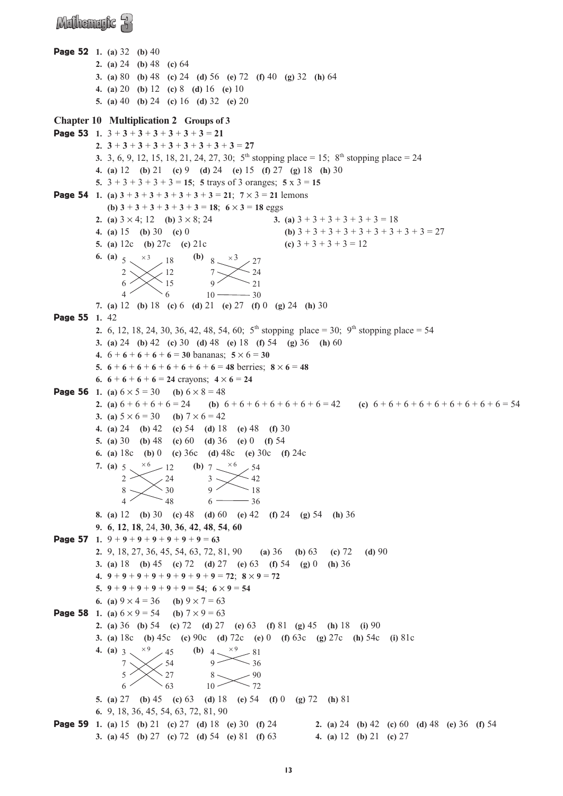### Mathematic R

```
Page 52 1. (a) 32 (b) 40
          2. (a) 24 (b) 48 (c) 64
          3. (a) 80 (b) 48 (c) 24 (d) 56 (e) 72 (f) 40 (g) 32 (h) 64
           4. (a) 20 (b) 12 (c) 8 (d) 16 (e) 10
           5. (a) 40 (b) 24 (c) 16 (d) 32 (e) 20
Chapter 10 Multiplication 2 Groups of 3
Page 53 1. 3 + 3 + 3 + 3 + 3 + 3 + 3 = 21
          2. 3 + 3 + 3 + 3 + 3 + 3 + 3 + 3 + 3 = 27
          3. 3, 6, 9, 12, 15, 18, 21, 24, 27, 30; 5<sup>th</sup> stopping place = 15; 8<sup>th</sup> stopping place = 24
          4. (a) 12 (b) 21 (c) 9 (d) 24 (e) 15 (f) 27 (g) 18 (h) 30
          5. 3 + 3 + 3 + 3 + 3 = 15; 5 trays of 3 oranges; 5 x 3 = 15
Page 54 1. (a) 3 + 3 + 3 + 3 + 3 + 3 + 3 = 21; 7 \times 3 = 21 lemons
              (b) 3 + 3 + 3 + 3 + 3 + 3 = 18; 6 × 3 = 18 eggs
          2. (a) 3 \times 4; 12 (b) 3 \times 8; 24 <br>3. (a) 3 + 3 + 3 + 3 + 3 + 3 = 184. (a) 15 (b) 30 (c) 0 (b) 3 + 3 + 3 + 3 + 3 + 3 + 3 + 3 = 275. (a) 12c (b) 27c (c) 21c (c) 3 + 3 + 3 + 3 = 126. (a) 5 \times 3 (b) 8
           7. (a) 12 (b) 18 (c) 6 (d) 21 (e) 27 (f) 0 (g) 24 (h) 30
Page 55 1. 42
          2. 6, 12, 18, 24, 30, 36, 42, 48, 54, 60; 5<sup>th</sup> stopping place = 30; 9<sup>th</sup> stopping place = 54
          3. (a) 24 (b) 42 (c) 30 (d) 48 (e) 18 (f) 54 (g) 36 (h) 60
          4. 6 + 6 + 6 + 6 + 6 = 30 bananas; 5 \times 6 = 305. 6 + 6 + 6 + 6 + 6 + 6 + 6 + 6 + 6 = 48 berries; 8 \times 6 = 486. 6 + 6 + 6 + 6 = 24 crayons; 4 \times 6 = 24Page 56 1. (a) 6 \times 5 = 30 (b) 6 \times 8 = 482. (a) 6 + 6 + 6 + 6 = 24 <br> (b) 6 + 6 + 6 + 6 + 6 + 6 + 6 + 6 = 42 <br> (c) 6 + 6 + 6 + 6 + 6 + 6 + 6 + 6 = 543. (a) 5 \times 6 = 30 (b) 7 \times 6 = 424. (a) 24 (b) 42 (c) 54 (d) 18 (e) 48 (f) 30
          5. (a) 30 (b) 48 (c) 60 (d) 36 (e) 0 (f) 54
           6. (a) 18c (b) 0 (c) 36c (d) 48c (e) 30c (f) 24c
           7. (a) 5 \times 6 / 12 (b) 7
          8. (a) 12 (b) 30 (c) 48 (d) 60 (e) 42 (f) 24 (g) 54 (h) 36
           9. 6, 12, 18, 24, 30, 36, 42, 48, 54, 60
Page 57 1. 9 + 9 + 9 + 9 + 9 + 9 + 9 + 9 = 632. 9, 18, 27, 36, 45, 54, 63, 72, 81, 90 (a) 36 (b) 63 (c) 72 (d) 90
          3. (a) 18 (b) 45 (c) 72 (d) 27 (e) 63 (f) 54 (g) 0 (h) 36
          4. 9 + 9 + 9 + 9 + 9 + 9 + 9 + 9 = 72; 8 × 9 = 72
          5. 9 + 9 + 9 + 9 + 9 + 9 + 9 = 54; 6 \times 9 = 546. (a) 9 \times 4 = 36 (b) 9 \times 7 = 63Page 58 1. (a) 6 \times 9 = 54 (b) 7 \times 9 = 632. (a) 36 (b) 54 (c) 72 (d) 27 (e) 63 (f) 81 (g) 45 (h) 18 (i) 90
          3. (a) 18c (b) 45c (c) 90c (d) 72c (e) 0 (f) 63c (g) 27c (h) 54c (i) 81c
           4. (a) 3 \times \frac{1}{9} / 45 (b) 4
           5. (a) 27 (b) 45 (c) 63 (d) 18 (e) 54 (f) 0 (g) 72 (h) 81
           6. 9, 18, 36, 45, 54, 63, 72, 81, 90
Page 59 1. (a) 15 (b) 21 (c) 27 (d) 18 (e) 30 (f) 24 2. (a) 24 (b) 42 (c) 60 (d) 48 (e) 36 (f) 54
          3. (a) 45 (b) 27 (c) 72 (d) 54 (e) 81 (f) 63 4. (a) 12 (b) 21 (c) 27
                                         9
                                         8
                                        10
                                              \times<sup>9</sup> - 81
                                                    36
                                                    90
                                                    72
                  3
                  7
                  5
                  6
                       \times<sup>9</sup> 45
                             54
                             27
                             63
                                         3
                                         9
                                         6
                                              \times<sup>6</sup> 54
                                                    42
                                                    18
                                                    36
                  5
                  2
                  8
                  4
                       \times<sup>6</sup> -1224
                             30
                             48
                                         7
                                         9
                                        10
                                              \times<sup>3</sup> \frac{27}{ }24
                                                    21
                                                    30
                  5
                  2
                  6
                  4
                       \times<sup>3</sup> 18
                             12
                             15
                             6
```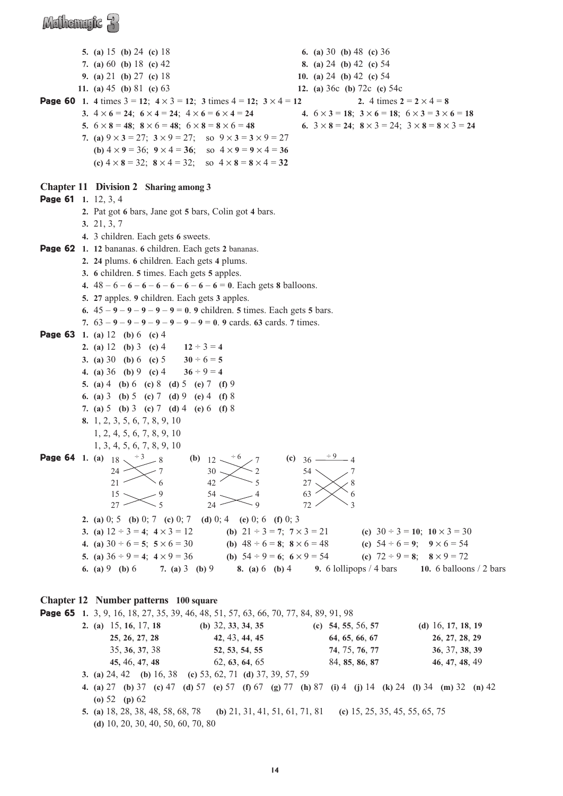### Mulhemufic R

**5. (a)** 15 **(b)** 24 **(c)** 18 **6. (a)** 30 **(b)** 48 **(c)** 36 **7. (a)** 60 **(b)** 18 **(c)** 42 **8. (a)** 24 **(b)** 42 **(c)** 54 **9. (a)** 21 **(b)** 27 **(c)** 18 **10. (a)** 24 **(b)** 42 **(c)** 54 **11. (a)** 45 **(b)** 81 **(c)** 63 **12. (a)** 36c **(b)** 72c **(c)** 54c **Page 60** 1. 4 times  $3 = 12$ ;  $4 \times 3 = 12$ ;  $3 \times 4 = 12$ ;  $3 \times 4 = 12$  **2.** 4 times  $2 = 2 \times 4 = 8$ 3.  $4 \times 6 = 24$ ;  $6 \times 4 = 24$ ;  $4 \times 6 = 6 \times 4 = 24$ <br>4.  $6 \times 3 = 18$ ;  $3 \times 6 = 18$ ;  $6 \times 3 = 3 \times 6 = 18$ **5.**  $6 \times 8 = 48$ ;  $8 \times 6 = 48$ ;  $6 \times 8 = 8 \times 6 = 48$ <br>**6.**  $3 \times 8 = 24$ ;  $8 \times 3 = 24$ ;  $3 \times 8 = 8 \times 3 = 24$ **7.** (a)  $9 \times 3 = 27$ ;  $3 \times 9 = 27$ ; so  $9 \times 3 = 3 \times 9 = 27$ **(b)**  $4 \times 9 = 36$ ;  $9 \times 4 = 36$ ; so  $4 \times 9 = 9 \times 4 = 36$ **(c)** 4 × **8** = 32; **8** × 4 = 32; so 4 × **8** = **8** × 4 = **32 Chapter 11 Division 2 Sharing among 3** Page 61 **1.** 12, 3, 4 **2.** Pat got **6** bars, Jane got **5** bars, Colin got **4** bars. **3.** 21, 3, 7 **4.** 3 children. Each gets **6** sweets. Page 62 **1. 12** bananas. **6** children. Each gets **2** bananas. **2. 24** plums. **6** children. Each gets **4** plums. **3. 6** children. **5** times. Each gets **5** apples. **4.**  $48 - 6 - 6 - 6 - 6 - 6 - 6 - 6 - 6 = 0$ . Each gets **8** balloons. **5. 27** apples. **9** children. Each gets **3** apples. **6.**  $45 - 9 - 9 - 9 - 9 - 9 = 0$ . **9** children. **5** times. Each gets **5** bars. **7.**  $63 - 9 - 9 - 9 - 9 - 9 - 9 - 9 = 0$ . **9** cards. **63** cards. **7** times. Page 63 **1. (a)** 12 **(b)** 6 **(c)** 4 **2.** (a) 12 (b) 3 (c) 4  $12 \div 3 = 4$ **3.** (a) 30 (b) 6 (c) 5  $30 \div 6 = 5$ **4.** (a) 36 (b) 9 (c) 4  $36 \div 9 = 4$ **5. (a)** 4 **(b)** 6 **(c)** 8 **(d)** 5 **(e)** 7 **(f)** 9 **6. (a)** 3 **(b)** 5 **(c)** 7 **(d)** 9 **(e)** 4 **(f)** 8 **7. (a)** 5 **(b)** 3 **(c)** 7 **(d)** 4 **(e)** 6 **(f)** 8 **8.** 1, 2, 3, 5, 6, 7, 8, 9, 10 1, 2, 4, 5, 6, 7, 8, 9, 10 1, 3, 4, 5, 6, 7, 8, 9, 10 **Page 64** 1. (a)  $18 \times 3 = 8$  (b)  $12 \times 6 = 7$  (c) **2. (a)** 0; 5 **(b)** 0; 7 **(c)** 0; 7 **(d)** 0; 4 **(e)** 0; 6 **(f)** 0; 3 **3.** (a)  $12 \div 3 = 4$ ;  $4 \times 3 = 12$  <br> (b)  $21 \div 3 = 7$ ;  $7 \times 3 = 21$  <br> (c)  $30 \div 3 = 10$ ;  $10 \times 3 = 30$ **4.** (a)  $30 \div 6 = 5$ ;  $5 \times 6 = 30$  <br> (b)  $48 \div 6 = 8$ ;  $8 \times 6 = 48$  <br> (c)  $54 \div 6 = 9$ ;  $9 \times 6 = 54$ **5.** (a)  $36 \div 9 = 4$ ;  $4 \times 9 = 36$  <br> (b)  $54 \div 9 = 6$ ;  $6 \times 9 = 54$  <br> (c)  $72 \div 9 = 8$ ;  $8 \times 9 = 72$ **6. (a)** 9 **(b)** 6 **7. (a)** 3 **(b)** 9 **8. (a)** 6 **(b)** 4 **9.** 6 lollipops / 4 bars **10.** 6 balloons / 2 bars **Chapter 12 Number patterns 100 square** Page 65 **1.** 3, 9, 16, 18, 27, 35, 39, 46, 48, 51, 57, 63, 66, 70, 77, 84, 89, 91, 98 **2. (a)** 15, **16**, 17, **18 (b)** 32, **33**, **34**, **35 (c) 54**, **55**, 56, **57 (d)** 16, **17**, **18**, **19 25**, **26**, **27**, **28 42**, 43, **44**, **45 64**, **65**, **66**, **67 26**, **27**, **28**, **29** 35, **36**, **37**, 38 **52**, **53**, **54**, **55 74**, 75, **76**, **77 36**, 37, **38**, **39 45,** 46, **47**, **48** 62, **63**, **64**, 65 84, **85**, **86**, **87 46**, **47**, **48**, 49 **3. (a)** 24, 42 **(b)** 16, 38 **(c)** 53, 62, 71 **(d)** 37, 39, 57, 59 **4. (a)** 27 **(b)** 37 **(c)** 47 **(d)** 57 **(e)** 57 **(f)** 67 **(g)** 77 **(h)** 87 **(i)** 4 **(j)** 14 **(k)** 24 **(l)** 34 **(m)** 32 **(n)** 42  $(c)$  36 – 54 27 63 72  $\frac{+9}{4}$  4 7 8 6 3 (**b**)  $12$ . 30 42 54  $24 +6$  7 2 5 4 9  $24 21$  $15 _{27}$   $\times$ 7  $\searrow$  6 9 5

**(o)** 52 **(p)** 62 **5. (a)** 18, 28, 38, 48, 58, 68, 78 **(b)** 21, 31, 41, 51, 61, 71, 81 **(c)** 15, 25, 35, 45, 55, 65, 75 **(d)** 10, 20, 30, 40, 50, 60, 70, 80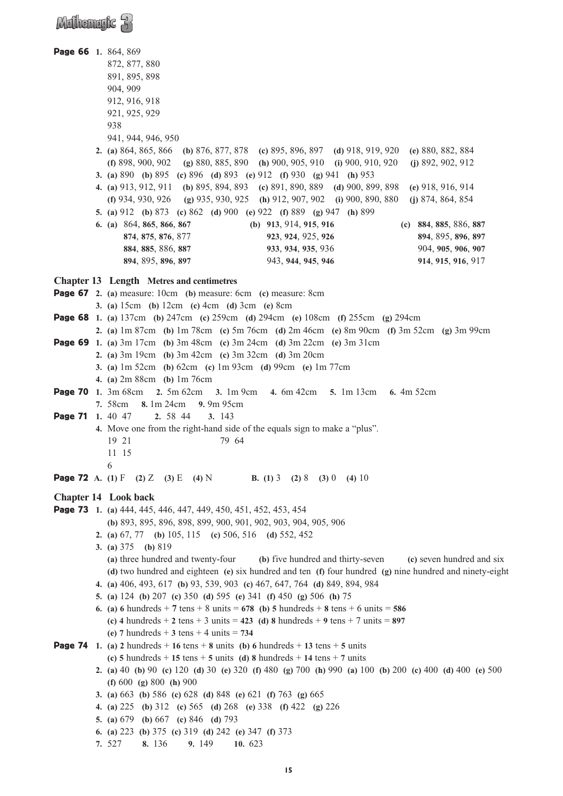### $M$ dhemaric  $R$

Page 66 **1.** 864, 869 872, 877, 880 891, 895, 898 904, 909 912, 916, 918 921, 925, 929 938 941, 944, 946, 950 **2. (a)** 864, 865, 866 **(b)** 876, 877, 878 **(c)** 895, 896, 897 **(d)** 918, 919, 920 **(e)** 880, 882, 884 **(f)** 898, 900, 902 **(g)** 880, 885, 890 **(h)** 900, 905, 910 **(i)** 900, 910, 920 **(j)** 892, 902, 912 **3. (a)** 890 **(b)** 895 **(c)** 896 **(d)** 893 **(e)** 912 **(f)** 930 **(g)** 941 **(h)** 953 **4. (a)** 913, 912, 911 **(b)** 895, 894, 893 **(c)** 891, 890, 889 **(d)** 900, 899, 898 **(e)** 918, 916, 914 **(f)** 934, 930, 926 **(g)** 935, 930, 925 **(h)** 912, 907, 902 **(i)** 900, 890, 880 **(j)** 874, 864, 854 **5. (a)** 912 **(b)** 873 **(c)** 862 **(d)** 900 **(e)** 922 **(f)** 889 **(g)** 947 **(h)** 899 **6. (a)** 864, **865**, **866**, **867 (b) 913**, 914, **915**, **916 (c) 884**, **885**, 886, **887 874**, **875**, **876**, 877 **923**, **924**, 925, **926 894**, 895, **896**, **897 884**, **885**, 886, **887 933**, **934**, **935**, 936 904, **905**, **906**, **907 894**, 895, **896**, **897** 943, **944**, **945**, **946 914**, **915**, **916**, 917 **Chapter 13 Length Metres and centimetres** Page 67 **2. (a)** measure: 10cm **(b)** measure: 6cm **(c)** measure: 8cm **3. (a)** 15cm **(b)** 12cm **(c)** 4cm **(d)** 3cm **(e)** 8cm Page 68 **1. (a)** 137cm **(b)** 247cm **(c)** 259cm **(d)** 294cm **(e)** 108cm **(f)** 255cm **(g)** 294cm **2. (a)** 1m 87cm **(b)** 1m 78cm **(c)** 5m 76cm **(d)** 2m 46cm **(e)** 8m 90cm **(f)** 3m 52cm **(g)** 3m 99cm Page 69 **1. (a)** 3m 17cm **(b)** 3m 48cm **(c)** 3m 24cm **(d)** 3m 22cm **(e)** 3m 31cm **2. (a)** 3m 19cm **(b)** 3m 42cm **(c)** 3m 32cm **(d)** 3m 20cm **3. (a)** 1m 52cm **(b)** 62cm **(c)** 1m 93cm **(d)** 99cm **(e)** 1m 77cm **4. (a)** 2m 88cm **(b)** 1m 76cm Page 70 **1.** 3m 68cm **2.** 5m 62cm **3.** 1m 9cm **4.** 6m 42cm **5.** 1m 13cm **6.** 4m 52cm **7.** 58cm **8.** 1m 24cm **9.** 9m 95cm Page 71 **1.** 40 47 **2.** 58 44 **3.** 143 **4.** Move one from the right-hand side of the equals sign to make a "plus". 19 21 79 64 11 15 6 Page 72 **A. (1)** F **(2)** Z **(3)** E **(4)** N **B. (1)** 3 **(2)** 8 **(3)** 0 **(4)** 10 **Chapter 14 Look back** Page 73 **1. (a)** 444, 445, 446, 447, 449, 450, 451, 452, 453, 454 **(b)** 893, 895, 896, 898, 899, 900, 901, 902, 903, 904, 905, 906 **2. (a)** 67, 77 **(b)** 105, 115 **(c)** 506, 516 **(d)** 552, 452 **3. (a)** 375 **(b)** 819 **(a)** three hundred and twenty-four **(b)** five hundred and thirty-seven **(c)** seven hundred and six **(d)** two hundred and eighteen **(e)** six hundred and ten **(f)** four hundred **(g)** nine hundred and ninety-eight **4. (a)** 406, 493, 617 **(b)** 93, 539, 903 **(c)** 467, 647, 764 **(d)** 849, 894, 984 **5. (a)** 124 **(b)** 207 **(c)** 350 **(d)** 595 **(e)** 341 **(f)** 450 **(g)** 506 **(h)** 75 **6.** (a) **6** hundreds + 7 tens + 8 units = **678** (b) **5** hundreds + 8 tens + 6 units = **586 (c) 4** hundreds + **2** tens + 3 units = **423 (d) 8** hundreds + **9** tens + 7 units = **897 (e) 7** hundreds + **3** tens + 4 units = **734 Page 74** 1. (a) 2 hundreds + 16 tens + 8 units (b) 6 hundreds + 13 tens + 5 units **(c) 5** hundreds + **15** tens + **5** units **(d) 8** hundreds + **14** tens + **7** units **2. (a)** 40 **(b)** 90 **(c)** 120 **(d)** 30 **(e)** 320 **(f)** 480 **(g)** 700 **(h)** 990 **(a)** 100 **(b)** 200 **(c)** 400 **(d)** 400 **(e)** 500 **(f)** 600 **(g)** 800 **(h)** 900 **3. (a)** 663 **(b)** 586 **(c)** 628 **(d)** 848 **(e)** 621 **(f)** 763 **(g)** 665 **4. (a)** 225 **(b)** 312 **(c)** 565 **(d)** 268 **(e)** 338 **(f)** 422 **(g)** 226 **5. (a)** 679 **(b)** 667 **(c)** 846 **(d)** 793 **6. (a)** 223 **(b)** 375 **(c)** 319 **(d)** 242 **(e)** 347 **(f)** 373 **7.** 527 **8.** 136 **9.** 149 **10.** 623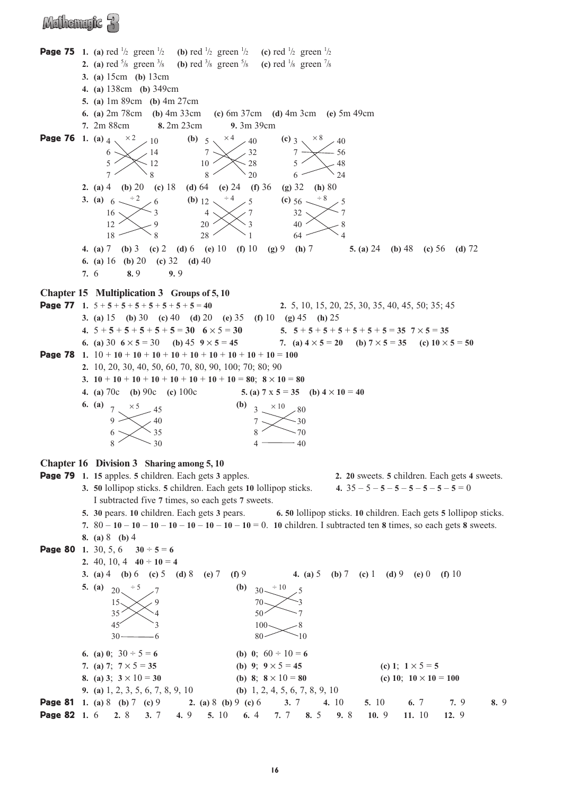### Mulhemufic A

**Page 75** 1. (a) red  $\frac{1}{2}$  green  $\frac{1}{2}$  (b) red  $\frac{1}{2}$  green  $\frac{1}{2}$  (c) red  $\frac{1}{2}$  green  $\frac{1}{2}$ **2.** (a) red  $\frac{5}{8}$  green  $\frac{3}{8}$  $\frac{1}{8}$  (b) red <sup>3</sup>/<sub>8</sub> green <sup>5</sup>/<sub>8</sub> (c) red <sup>1</sup>/<sub>8</sub> green <sup>7</sup>/<sub>8</sub> **3. (a)** 15cm **(b)** 13cm **4. (a)** 138cm **(b)** 349cm **5. (a)** 1m 89cm **(b)** 4m 27cm **6. (a)** 2m 78cm **(b)** 4m 33cm **(c)** 6m 37cm **(d)** 4m 3cm **(e)** 5m 49cm **7.** 2m 88cm **8.** 2m 23cm **9.** 3m 39cm **Page 76** 1. (a)  $4 \times 2 \times 10$  (b)  $5 \times 4 \times 40$  (c) **2. (a)** 4 **(b)** 20 **(c)** 18 **(d)** 64 **(e)** 24 **(f)** 36 **(g)** 32 **(h)** 80 **3.** (a)  $6 \times \frac{1}{2}$  6 (b)  $12 \times \frac{1}{2}$  6 (c) **4. (a)** 7 **(b)** 3 **(c)** 2 **(d)** 6 **(e)** 10 **(f)** 10 **(g)** 9 **(h)** 7 **5. (a)** 24 **(b)** 48 **(c)** 56 **(d)** 72 **6. (a)** 16 **(b)** 20 **(c)** 32 **(d)** 40 **7.** 6 **8.** 9 **9.** 9 **Chapter 15 Multiplication 3 Groups of 5, 10** Page 77 **1.** 5 + **5** + **5** + **5** + **5** + **5** + **5** + **5** = **40 2.** 5, 10, 15, 20, 25, 30, 35, 40, 45, 50; 35; 45 **3. (a)** 15 **(b)** 30 **(c)** 40 **(d)** 20 **(e)** 35 **(f)** 10 **(g)** 45 **(h)** 25 **4.**  $5+5+5+5+5+5=30$   $6 \times 5 = 30$   $5.$   $5+5+5+5+5+5+5=35$   $7 \times 5 = 35$ **6.** (a)  $30 \text{ } 6 \times 5 = 30$  (b)  $45 \text{ } 9 \times 5 = 45$  7. (a)  $4 \times 5 = 20$  (b)  $7 \times 5 = 35$  (c)  $10 \times 5 = 50$ Page 78 **1.** 10 + **10** + **10** + **10** + **10** + **10** + **10** + **10** + **10** + **10** = **100 2.** 10, 20, 30, 40, 50, 60, 70, 80, 90, 100; 70; 80; 90 **3. 10** + **10** + **10** + **10** + **10** + **10** + **10** + **10** + **10** = **80**; **8**  $\times$  **10** = **80 4.** (a)  $70c$  (b)  $90c$  (c)  $100c$  **5.** (a)  $7 \times 5 = 35$  (b)  $4 \times 10 = 40$ **6.** (a)  $7 \times 5 = 45$  (b) **Chapter 16 Division 3 Sharing among 5, 10** Page 79 **1. 15** apples. **5** children. Each gets **3** apples. **2. 20** sweets. **5** children. Each gets **4** sweets. **3. 50** lollipop sticks. **5** children. Each gets **10** lollipop sticks. **4.** 35 – 5 – **5** – **5** – **5** – **5** – **5** – **5** = 0 I subtracted five **7** times, so each gets **7** sweets. **5. 30** pears. **10** children. Each gets **3** pears. **6. 50** lollipop sticks. **10** children. Each gets **5** lollipop sticks. **7.** 80 – **10** – **10** – **10** – **10** – **10** – **10** – **10** – **10** = 0. **10** children. I subtracted ten **8** times, so each gets **8** sweets. **8. (a)** 8 **(b)** 4 **Page 80** 1. 30, 5, 6  $30 \div 5 = 6$ **2.** 40, 10, 4  $40 \div 10 = 4$ **3. (a)** 4 **(b)** 6 **(c)** 5 **(d)** 8 **(e)** 7 **(f)** 9 **4. (a)** 5 **(b)** 7 **(c)** 1 **(d)** 9 **(e)** 0 **(f)** 10 **5.** (a)  $\frac{1}{20} + 5 = 7$  (b) **6.** (a) 0;  $30 \div 5 = 6$  <br> (b) 0;  $60 \div 10 = 6$ **7.** (a) 7;  $7 \times 5 = 35$  <br> (b) 9;  $9 \times 5 = 45$  <br> (c) 1;  $1 \times 5 = 5$ **8.** (a) 3;  $3 \times 10 = 30$  **(b) 8**;  $8 \times 10 = 80$  **(c) 10**;  $10 \times 10 = 100$ **9. (a)** 1, 2, 3, 5, 6, 7, 8, 9, 10 **(b)** 1, 2, 4, 5, 6, 7, 8, 9, 10 Page 81 **1. (a)** 8 **(b)** 7 **(c)** 9 **2. (a)** 8 **(b)** 9 **(c)** 6 **3.** 7 **4.** 10 **5.** 10 **6.** 7 **7.** 9 **8.** 9 Page 82 **1.** 6 **2.** 8 **3.** 7 **4.** 9 **5.** 10 **6.** 4 **7.** 7 **8.** 5 **9.** 8 **10.** 9 **11.** 10 **12.** 9  $30 -$ 70 50 100 80  $\div$  10  $\overline{a}$ 7 8  $-10$  $20<sub>2</sub>$ 15 35 45 30  $\div$  5 9 4 3 6  $3 \times 10 \times 80$ 7 8 4  $-30$ 70 40  $\Omega$ 6 8  $\times$  5  $40$  $\frac{35}{ }$ 30 (c)  $56 32$  $40<sup>2</sup>$  $64 \div 8$  5 7 8  $\cdot$   $\lambda$ (b)  $12$ . 4  $20$ 28  $^{\div 4}$   $\times 5$ 7 3 1 16  $12$ 18  $-3$  $\Omega$ 8  $(c)$  3 7 5 6  $\overline{40}$ 56 48 24 (b)  $5$ . 7 10 8  $40$ 32  $-28$ 20 6 5 7  $\times$  2 10  $14$  $-12$  $\frac{8}{3}$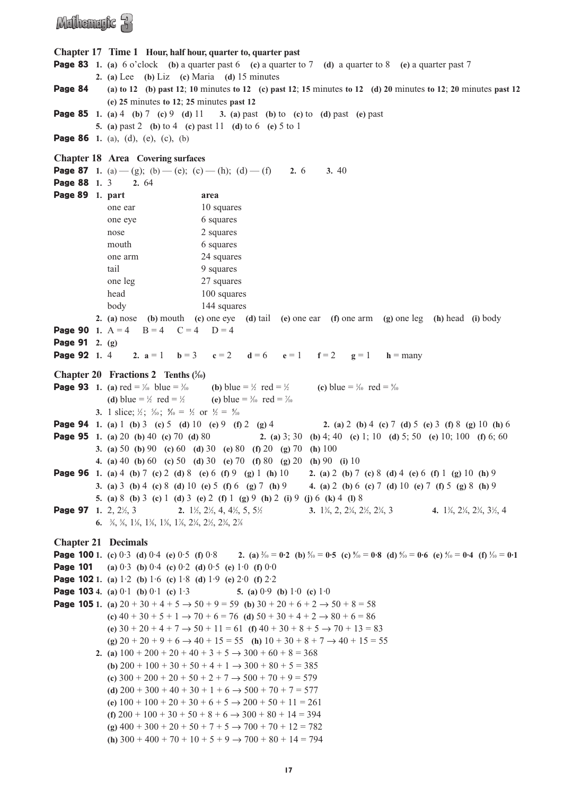### Mulhemufic R

```
Chapter 17 Time 1 Hour, half hour, quarter to, quarter past
Page 83 1. (a) \frac{6}{3} o'clock (b) a quarter past 6 (c) a quarter to 7 (d) a quarter to 8 (e) a quarter past 7
            2. (a) Lee (b) Liz (c) Maria (d) 15 minutes 
Page 84 (a) to 12 (b) past 12; 10 minutes to 12 (c) past 12; 15 minutes to 12 (d) 20 minutes to 12; 20 minutes past 12
               (e) 25 minutes to 12; 25 minutes past 12
Page 85 1. (a) 4 (b) 7 (c) 9 (d) 11 3. (a) past (b) to (c) to (d) past (e) past 
            5. (a) past 2 (b) to 4 (c) past 11 (d) to 6 (e) 5 to 1
Page 86 1. (a), (d), (e), (c), (b)
Chapter 18 Area Covering surfaces
Page 87 1. (a) — (g); (b) — (e); (c) — (h); (d) — (f) 2. 6 3. 40
Page 88 1. 3 2. 64
Page 89 1. part area
               one ear 10 squares
               one eye 6 squares
               nose 2 squares
               mouth 6 squares
               one arm 24 squares
               tail 9 squares
               one leg 27 squares
               head 100 squares
               body 144 squares
            2. (a) nose (b) mouth (c) one eye (d) tail (e) one ear (f) one arm (g) one leg (h) head (i) body 
Page 90 1. A = 4 B = 4 C = 4 D = 4
Page 91 2. (g) 
Page 92 1. 4 2. a = 1 b = 3 c = 2 d = 6 e = 1 f = 2 g = 1 h = many
Chapter 20 Fractions 2 Tenths (\frac{1}{10})
Page 93 1. (a) \text{red} = \frac{1}{10} blue = 3
                                     \frac{1}{10} (b) blue = \frac{1}{2} red = \frac{1}{2}\frac{1}{2} (c) blue = \frac{1}{10} red = \frac{9}{10}(d) blue = \frac{1}{2} red = \frac{1}{2}\frac{1}{2} (e) blue = \frac{3}{10} red = \frac{7}{10}3. 1 slice; \frac{1}{2}; \frac{5}{10}; \frac{5}{10} = \frac{1}{2} or \frac{1}{2} = \frac{5}{10}Page 94 1. (a) 1 (b) 3 (c) 5 (d) 10 (e) 9 (f) 2 (g) 4 2. (a) 2 (b) 4 (c) 7 (d) 5 (e) 3 (f) 8 (g) 10 (h) 6
Page 95 1. (a) 20 (b) 40 (c) 70 (d) 80 2. (a) 3; 30 (b) 4; 40 (c) 1; 10 (d) 5; 50 (e) 10; 100 (f) 6; 60
            3. (a) 50 (b) 90 (c) 60 (d) 30 (e) 80 (f) 20 (g) 70 (h) 100 
            4. (a) 40 (b) 60 (c) 50 (d) 30 (e) 70 (f) 80 (g) 20 (h) 90 (i) 10
Page 96 1. (a) 4 (b) 7 (c) 2 (d) 8 (e) 6 (f) 9 (g) 1 (h) 10 2. (a) 2 (b) 7 (c) 8 (d) 4 (e) 6 (f) 1 (g) 10 (h) 9
           3. (a) 3 (b) 4 (c) 8 (d) 10 (e) 5 (f) 6 (g) 7 (h) 9 4. (a) 2 (b) 6 (c) 7 (d) 10 (e) 7 (f) 5 (g) 8 (h) 9
            5. (a) 8 (b) 3 (c) 1 (d) 3 (e) 2 (f) 1 (g) 9 (h) 2 (i) 9 (j) 6 (k) 4 (l) 8
Page 97 1. 2, 2<sup>1</sup>/<sub>2</sub>, 3
                    \frac{1}{2}, 3 2. 1\frac{1}{2}, 2\frac{1}{2}, 4, 4\frac{1}{2}, 5, 5\frac{1}{2}⁄<sub>2</sub> 3. 1<sup>3</sup>⁄<sub>4</sub>, 2, 2<sup>1</sup>⁄<sub>4</sub>, 2<sup>1</sup>⁄<sub>2</sub>, 2<sup>3</sup>⁄<sub>4</sub>, 3<sup>/</sup></sup> 4. 1<sup>3</sup>⁄<sub>4</sub>, 2<sup>3</sup>⁄<sub>4</sub>, 3<sup>1</sup>⁄<sub>2</sub>, 4
            6. <sup>3</sup>/<sub>8</sub>, <sup>5</sup>/<sub>8</sub>, <sup>1</sup>/<sub>8</sub>, <sup>1</sup>/<sub>8</sub>, <sup>1</sup>/<sub>8</sub>, <sup>2</sup>/<sub>4</sub>, <sup>2</sup>/<sub>2</sub>, <sup>2</sup>/<sub>4</sub>, <sup>2</sup>/<sub>8</sub>
Chapter 21 Decimals
Page 100 1. (c) 0·3 (d) 0·4 (e) 0·5 (f) 0·8 2. (a) 2
                                                             ⁄10 = 0·2 (b) 5
⁄10 = 0·5 (c) 8
⁄10 = 0·8 (d) 6
⁄10 = 0·6 (e) 4
⁄10 = 0·4 (f) 1
⁄10 = 0·1
Page 101 (a) 0·3 (b) 0·4 (c) 0·2 (d) 0·5 (e) 1·0 (f) 0·0
Page 102 1. (a) 1·2 (b) 1·6 (c) 1·8 (d) 1·9 (e) 2·0 (f) 2·2
Page 103 4. (a) 0.1 (b) 0.1 (c) 1.3 5. (a) 0.9 (b) 1.0 (c) 1.0Page 105 1. (a) 20 + 30 + 4 + 5 \rightarrow 50 + 9 = 59 (b) 30 + 20 + 6 + 2 \rightarrow 50 + 8 = 58(c) 40 + 30 + 5 + 1 \rightarrow 70 + 6 = 76 (d) 50 + 30 + 4 + 2 \rightarrow 80 + 6 = 86(e) 30 + 20 + 4 + 7 → 50 + 11 = 61 (f) 40 + 30 + 8 + 5 → 70 + 13 = 83
               (g) 20 + 20 + 9 + 6 → 40 + 15 = 55 (h) 10 + 30 + 8 + 7 → 40 + 15 = 55
            2. (a) 100 + 200 + 20 + 40 + 3 + 5 \rightarrow 300 + 60 + 8 = 368(b) 200 + 100 + 30 + 50 + 4 + 1 \rightarrow 300 + 80 + 5 = 385(c) 300 + 200 + 20 + 50 + 2 + 7 \rightarrow 500 + 70 + 9 = 579(d) 200 + 300 + 40 + 30 + 1 + 6 \rightarrow 500 + 70 + 7 = 577(e) 100 + 100 + 20 + 30 + 6 + 5 \rightarrow 200 + 50 + 11 = 261(f) 200 + 100 + 30 + 50 + 8 + 6 \rightarrow 300 + 80 + 14 = 394(g) 400 + 300 + 20 + 50 + 7 + 5 → 700 + 70 + 12 = 782 
               (h) 300 + 400 + 70 + 10 + 5 + 9 \rightarrow 700 + 80 + 14 = 794
```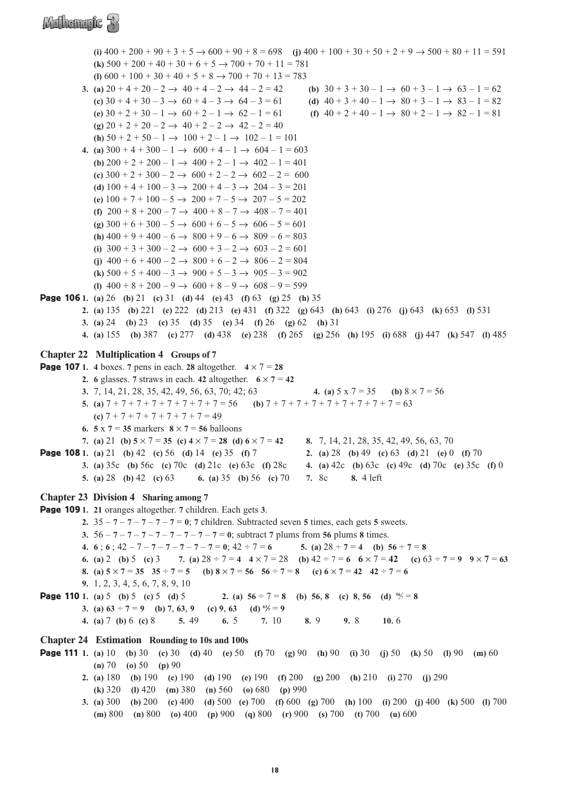### Mathematic R

**(i)**  $400 + 200 + 90 + 3 + 5 \rightarrow 600 + 90 + 8 = 698$  **(i)**  $400 + 100 + 30 + 50 + 2 + 9 \rightarrow 500 + 80 + 11 = 591$ **(k)**  $500 + 200 + 40 + 30 + 6 + 5 \rightarrow 700 + 70 + 11 = 781$ (**l**)  $600 + 100 + 30 + 40 + 5 + 8 \rightarrow 700 + 70 + 13 = 783$ **3.** (a)  $20 + 4 + 20 - 2 \rightarrow 40 + 4 - 2 \rightarrow 44 - 2 = 42$  <br>(b)  $30 + 3 + 30 - 1 \rightarrow 60 + 3 - 1 \rightarrow 63 - 1 = 62$ **(c)**  $30 + 4 + 30 - 3 \rightarrow 60 + 4 - 3 \rightarrow 64 - 3 = 61$  **(d)**  $40 + 3 + 40 - 1 \rightarrow 80 + 3 - 1 \rightarrow 83 - 1 = 82$ **(e)**  $30 + 2 + 30 - 1 \rightarrow 60 + 2 - 1 \rightarrow 62 - 1 = 61$  **(f)**  $40 + 2 + 40 - 1 \rightarrow 80 + 2 - 1 \rightarrow 82 - 1 = 81$  $(g) 20 + 2 + 20 - 2 \rightarrow 40 + 2 - 2 \rightarrow 42 - 2 = 40$ **(h)**  $50 + 2 + 50 - 1 \rightarrow 100 + 2 - 1 \rightarrow 102 - 1 = 101$ **4.** (a)  $300 + 4 + 300 - 1 \rightarrow 600 + 4 - 1 \rightarrow 604 - 1 = 603$ **(b)**  $200 + 2 + 200 - 1 \rightarrow 400 + 2 - 1 \rightarrow 402 - 1 = 401$ **(c)**  $300 + 2 + 300 - 2 \rightarrow 600 + 2 - 2 \rightarrow 602 - 2 = 600$ **(d)**  $100 + 4 + 100 - 3 \rightarrow 200 + 4 - 3 \rightarrow 204 - 3 = 201$ (e)  $100 + 7 + 100 - 5 \rightarrow 200 + 7 - 5 \rightarrow 207 - 5 = 202$ **(f)**  $200 + 8 + 200 - 7 \rightarrow 400 + 8 - 7 \rightarrow 408 - 7 = 401$ **(g)**  $300 + 6 + 300 - 5 \rightarrow 600 + 6 - 5 \rightarrow 606 - 5 = 601$ **(h)**  $400 + 9 + 400 - 6 \rightarrow 800 + 9 - 6 \rightarrow 809 - 6 = 803$ **(i)**  $300 + 3 + 300 - 2 \rightarrow 600 + 3 - 2 \rightarrow 603 - 2 = 601$ (i)  $400 + 6 + 400 - 2 \rightarrow 800 + 6 - 2 \rightarrow 806 - 2 = 804$ **(k)**  $500 + 5 + 400 - 3 \rightarrow 900 + 5 - 3 \rightarrow 905 - 3 = 902$ (**l**)  $400 + 8 + 200 - 9 \rightarrow 600 + 8 - 9 \rightarrow 608 - 9 = 599$ Page 106 **1. (a)** 26 **(b)** 21 **(c)** 31 **(d)** 44 **(e)** 43 **(f)** 63 **(g)** 25 **(h)** 35 **2. (a)** 135 **(b)** 221 **(c)** 222 **(d)** 213 **(e)** 431 **(f)** 322 **(g)** 643 **(h)** 643 **(i)** 276 **(j)** 643 **(k)** 653 **(l)** 531 **3. (a)** 24 **(b)** 23 **(c)** 35 **(d)** 35 **(e)** 34 **(f)** 26 **(g)** 62 **(h)** 31 **4. (a)** 155 **(b)** 387 **(c)** 277 **(d)** 438 **(e)** 238 **(f)** 265 **(g)** 256 **(h)** 195 **(i)** 688 **(j)** 447 **(k)** 547 **(l)** 485 **Chapter 22 Multiplication 4 Groups of 7 Page 107** 1. 4 boxes. 7 pens in each. **28** altogether.  $4 \times 7 = 28$ **2. 6** glasses. **7** straws in each. **42** altogether.  $6 \times 7 = 42$ **3.** 7, 14, 21, 28, 35, 42, 49, 56, 63, 70; 42; 63 **4. (a)** 5 x 7 = 35 **(b)** 8 × 7 = 56 **5.** (a)  $7 + 7 + 7 + 7 + 7 + 7 + 7 + 7 = 56$  (b)  $7 + 7 + 7 + 7 + 7 + 7 + 7 + 7 = 63$ **(c)** 7 + 7 + 7 + 7 + 7 + 7 + 7 = 49 **6. 5**  $\times$  **7** = **35** markers **8**  $\times$  **7** = **56** balloons **7. (a)** 21 **(b) 5** × 7 = **35 (c) 4** × 7 = **28 (d) 6** × 7 = **42 8.** 7, 14, 21, 28, 35, 42, 49, 56, 63, 70 Page 108 **1. (a)** 21 **(b)** 42 **(c)** 56 **(d)** 14 **(e)** 35 **(f)** 7 **2. (a)** 28 **(b)** 49 **(c)** 63 **(d)** 21 **(e)** 0 **(f)** 70 **3. (a)** 35c **(b)** 56c **(c)** 70c **(d)** 21c **(e)** 63c **(f)** 28c **4. (a)** 42c **(b)** 63c **(c)** 49c **(d)** 70c **(e)** 35c **(f)** 0 **5. (a)** 28 **(b)** 42 **(c)** 63 **6. (a)** 35 **(b)** 56 **(c)** 70 **7.** 8c **8.** 4 left **Chapter 23 Division 4 Sharing among 7** Page 109 **1. 21** oranges altogether. **7** children. Each gets **3**. **2.**  $35 - 7 - 7 - 7 - 7 - 7 = 0$ ; **7** children. Subtracted seven **5** times, each gets **5** sweets. **3.** 56 – **7** – **7** – **7** – **7** – **7** – **7** – **7** – **7** = **0**; subtract **7** plums from **56** plums **8** times. **4. 6**; **6**;  $42 - 7 - 7 - 7 - 7 - 7 - 7 = 0$ ;  $42 \div 7 = 6$ <br>**5.** (a)  $28 \div 7 = 4$  (b)  $56 \div 7 = 8$ **6.** (a) 2 **(b)**  $5$  **(c)**  $3$  **7.** (a)  $28 \div 7 = 4$  **4**  $\times 7 = 28$  **(b)**  $42 \div 7 = 6$  **6**  $\times 7 = 42$  **(c)**  $63 \div 7 = 9$  **9**  $\times 7 = 63$ **8.** (a)  $5 \times 7 = 35$   $35 \div 7 = 5$  (b)  $8 \times 7 = 56$   $56 \div 7 = 8$  (c)  $6 \times 7 = 42$   $42 \div 7 = 6$ **9.** 1, 2, 3, 4, 5, 6, 7, 8, 9, 10 **Page 110** 1. (a) 5 **(b)** 5 **(c)** 5 **(d)** 5 **2.** (a)  $56 \div 7 = 8$  **(b)** 56, 8 **(c)** 8, 56 **(d)**  $^{56}/=8$ **3.** (a)  $63 \div 7 = 9$  (b) 7, 63, 9 (c) 9, 63 (d)  $^{63}/7 = 9$ **4. (a)** 7 **(b)** 6 **(c)** 8 **5.** 49 **6.** 5 **7.** 10 **8.** 9 **9.** 8 **10.** 6 **Chapter 24 Estimation Rounding to 10s and 100s** Page 111 **1. (a)** 10 **(b)** 30 **(c)** 30 **(d)** 40 **(e)** 50 **(f)** 70 **(g)** 90 **(h)** 90 **(i)** 30 **(j)** 50 **(k)** 50 **(l)** 90 **(m)** 60 **(n)** 70 **(o)** 50 **(p)** 90 **2. (a)** 180 **(b)** 190 **(c)** 190 **(d)** 190 **(e)** 190 **(f)** 200 **(g)** 200 **(h)** 210 **(i)** 270 **(j)** 290 **(k)** 320 **(l)** 420 **(m)** 380 **(n)** 560 **(o)** 680 **(p)** 990 **3. (a)** 300 **(b)** 200 **(c)** 400 **(d)** 500 **(e)** 700 **(f)** 600 **(g)** 700 **(h)** 100 **(i)** 200 **(j)** 400 **(k)** 500 **(l)** 700 **(m)** 800 **(n)** 800 **(o)** 400 **(p)** 900 **(q)** 800 **(r)** 900 **(s)** 700 **(t)** 700 **(u)** 600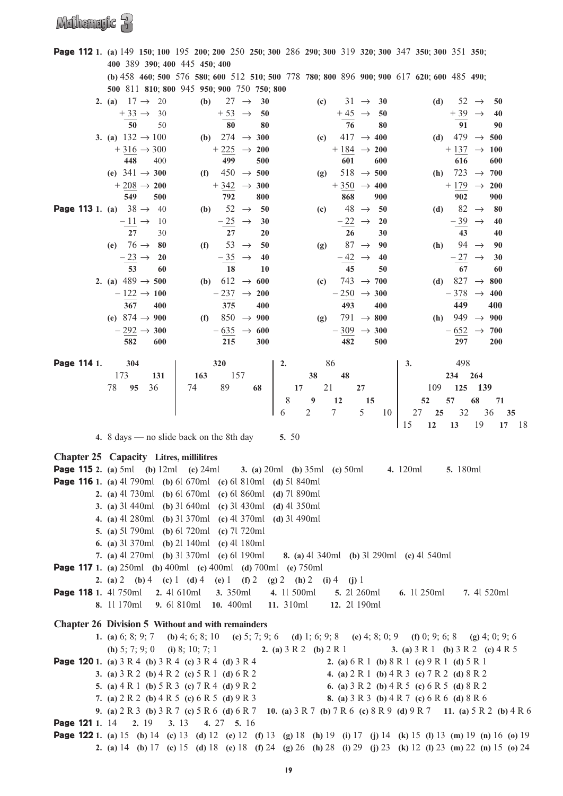|             |                                                | <b>Page 112</b> 1. (a) 149 150; 100 195 200; 200 250 250; 300 286 290; 300 319 320; 300 347 350; 300 351 350;                                                                                                                              |                                                                                      |                                      |                                                    |                          |
|-------------|------------------------------------------------|--------------------------------------------------------------------------------------------------------------------------------------------------------------------------------------------------------------------------------------------|--------------------------------------------------------------------------------------|--------------------------------------|----------------------------------------------------|--------------------------|
|             | 400 389 390; 400 445 450; 400                  |                                                                                                                                                                                                                                            |                                                                                      |                                      |                                                    |                          |
|             |                                                | (b) 458 460; 500 576 580; 600 512 510; 500 778 780; 800 896 900; 900 617 620; 600 485 490;                                                                                                                                                 |                                                                                      |                                      |                                                    |                          |
|             |                                                | 500 811 810; 800 945 950; 900 750 750; 800                                                                                                                                                                                                 |                                                                                      |                                      |                                                    |                          |
|             | 2. (a) $17 \rightarrow 20$                     | $27 \rightarrow$<br>(b)                                                                                                                                                                                                                    | 30<br>(c)                                                                            | $31 \rightarrow$<br>- 30             | (d)                                                | $52 \rightarrow$<br>50   |
|             | $+33 \rightarrow 30$                           |                                                                                                                                                                                                                                            | 50                                                                                   | 50                                   |                                                    | 40                       |
|             | 50<br>50                                       | $+\underline{53}$ $\rightarrow$ 80                                                                                                                                                                                                         | 80                                                                                   | $+45$ $\rightarrow$ 76<br>80         | $+\underline{39}$ $\rightarrow$ $\frac{1}{91}$     | 90                       |
|             | 3. (a) $132 \rightarrow 100$                   | (b) 274 $\rightarrow$ 300                                                                                                                                                                                                                  | (c)                                                                                  | $417 \rightarrow 400$                | (d) 479 $\rightarrow$ 500                          |                          |
|             |                                                |                                                                                                                                                                                                                                            |                                                                                      |                                      |                                                    |                          |
|             | $+316 \rightarrow 300$                         | $+225 \rightarrow 200$                                                                                                                                                                                                                     |                                                                                      | $+184 \rightarrow 200$               |                                                    | $+137 \rightarrow 100$   |
|             | 448<br>400                                     | 499                                                                                                                                                                                                                                        | 500                                                                                  | 601<br>600                           | 616                                                | 600                      |
|             | (e) $341 \rightarrow 300$                      | $450 \rightarrow 500$<br>(f)                                                                                                                                                                                                               | (g)                                                                                  | $518 \rightarrow 500$                | 723 $\rightarrow$<br>(h)                           | 700                      |
|             | $+208 \rightarrow 200$                         | $+342 \rightarrow 300$                                                                                                                                                                                                                     |                                                                                      | $+350 \rightarrow 400$               |                                                    | $+179 \rightarrow 200$   |
|             | 549<br>500                                     | 792                                                                                                                                                                                                                                        | 800                                                                                  | 868<br>900                           | 902                                                | 900                      |
|             | <b>Page 113</b> 1. (a) $38 \rightarrow 40$     | 52 $\rightarrow$<br>( <b>b</b> )                                                                                                                                                                                                           | 50<br>(c)                                                                            | $48 \rightarrow$<br>50               | (d)                                                | 82 $\rightarrow$<br>80   |
|             | $-11 \rightarrow 10$                           | $\frac{-25}{27}$ $\rightarrow$                                                                                                                                                                                                             | 30                                                                                   | $-22 \rightarrow$<br><b>20</b>       | $-39 \rightarrow$                                  | 40                       |
|             | $\overline{27}$<br>30                          |                                                                                                                                                                                                                                            | 20                                                                                   | 26<br>30                             | 43                                                 | 40                       |
|             | (e) $76 \to 80$                                | 53 $\rightarrow$<br>(f)                                                                                                                                                                                                                    | 50<br>(g)                                                                            | $87 \rightarrow$<br>90               | (h)                                                | 94 $\rightarrow$<br>90   |
|             | <b>20</b>                                      |                                                                                                                                                                                                                                            | 40                                                                                   | 40                                   |                                                    | 30                       |
|             | $\frac{-23}{53}$ $\rightarrow$<br>60           | $\frac{-35}{18}$ $\rightarrow$                                                                                                                                                                                                             | 10                                                                                   | $\frac{-42}{45}$ $\rightarrow$<br>50 | $\frac{-27}{67}$ $\rightarrow$                     | 60                       |
|             | 2. (a) $489 \rightarrow 500$                   | (b) $612 \rightarrow 600$                                                                                                                                                                                                                  | (c)                                                                                  | 743 $\rightarrow$ 700                | (d) 827 $\rightarrow$                              | 800                      |
|             | $-122 \rightarrow 100$                         | $-237 \rightarrow 200$                                                                                                                                                                                                                     |                                                                                      | $-250 \rightarrow 300$               |                                                    | $-378$ $\rightarrow$ 400 |
|             | 367<br>400                                     | 375                                                                                                                                                                                                                                        | 400                                                                                  | 493<br>400                           | 449                                                | 400                      |
|             | (e) $874 \rightarrow 900$                      | 850 $\rightarrow$ 900<br>(f)                                                                                                                                                                                                               |                                                                                      | 791 $\rightarrow$ 800                | (h) 949 $\rightarrow$ 900                          |                          |
|             |                                                |                                                                                                                                                                                                                                            | (g)                                                                                  |                                      |                                                    |                          |
|             | $-292 \rightarrow 300$                         | $-635 \rightarrow 600$                                                                                                                                                                                                                     |                                                                                      | $-309 \rightarrow 300$               |                                                    | $-652 \rightarrow 700$   |
|             | 582<br>600                                     | 215                                                                                                                                                                                                                                        | 300                                                                                  | 482<br>500                           | 297                                                | 200                      |
| Page 114 1. | 304                                            | 320                                                                                                                                                                                                                                        | 86<br>2.                                                                             |                                      | 498<br>3.                                          |                          |
|             |                                                |                                                                                                                                                                                                                                            |                                                                                      |                                      |                                                    |                          |
|             | 173<br>131                                     | 157<br>163                                                                                                                                                                                                                                 | 38                                                                                   | 48                                   | 234 264                                            |                          |
|             | 95<br>78<br>36                                 | $74$ $89$ $68$ 8                                                                                                                                                                                                                           |                                                                                      |                                      | 109 125 139                                        |                          |
|             |                                                |                                                                                                                                                                                                                                            | $\begin{array}{cccc} & 17 & 21 & 27 \\ 8 & 9 & 12 & 15 \\ 6 & 2 & 7 & 5 \end{array}$ |                                      | 52<br>57                                           | 68<br>71                 |
|             |                                                |                                                                                                                                                                                                                                            |                                                                                      | 10                                   | 32<br>27 25                                        | 36<br>35                 |
|             |                                                |                                                                                                                                                                                                                                            |                                                                                      |                                      | $\frac{15}{2}$<br>12<br>13                         | 19<br>17 18              |
|             |                                                |                                                                                                                                                                                                                                            |                                                                                      |                                      |                                                    |                          |
|             |                                                | 4. $8 \text{ days}$ — no slide back on the 8th day                                                                                                                                                                                         | 5. $50$                                                                              |                                      |                                                    |                          |
|             |                                                |                                                                                                                                                                                                                                            |                                                                                      |                                      |                                                    |                          |
|             | <b>Chapter 25 Capacity Litres, millilitres</b> |                                                                                                                                                                                                                                            |                                                                                      |                                      |                                                    |                          |
|             |                                                | <b>Page 115</b> 2. (a) 5ml (b) $12ml$ (c) $24ml$ 3. (a) $20ml$ (b) $35ml$ (c) $50ml$ 4. $120ml$                                                                                                                                            |                                                                                      |                                      | <b>5.</b> 180ml                                    |                          |
|             |                                                | <b>Page 116</b> 1. (a) 4l 790ml (b) 6l 670ml (c) 6l 810ml (d) 5l 840ml                                                                                                                                                                     |                                                                                      |                                      |                                                    |                          |
|             |                                                | <b>2.</b> (a) 4l 730ml (b) 6l 670ml (c) 6l 860ml (d) 7l 890ml                                                                                                                                                                              |                                                                                      |                                      |                                                    |                          |
|             |                                                | <b>3.</b> (a) 3l 440ml (b) 3l 640ml (c) 3l 430ml (d) 4l 350ml                                                                                                                                                                              |                                                                                      |                                      |                                                    |                          |
|             |                                                | 4. (a) 4l 280ml (b) 3l 370ml (c) 4l 370ml (d) 3l 490ml                                                                                                                                                                                     |                                                                                      |                                      |                                                    |                          |
|             |                                                |                                                                                                                                                                                                                                            |                                                                                      |                                      |                                                    |                          |
|             |                                                | <b>5.</b> (a) 51 790ml (b) 61 720ml (c) 71 720ml                                                                                                                                                                                           |                                                                                      |                                      |                                                    |                          |
|             |                                                | <b>6.</b> (a) 31 370ml (b) 21 140ml (c) 41 180ml                                                                                                                                                                                           |                                                                                      |                                      |                                                    |                          |
|             |                                                | 7. (a) 41 270ml (b) 31 370ml (c) 61 190ml 8. (a) 41 340ml (b) 31 290ml (c) 41 540ml                                                                                                                                                        |                                                                                      |                                      |                                                    |                          |
|             |                                                | <b>Page 117</b> 1. (a) $250$ ml (b) $400$ ml (c) $400$ ml (d) $700$ ml (e) $750$ ml                                                                                                                                                        |                                                                                      |                                      |                                                    |                          |
|             |                                                | 2. (a) 2 (b) 4 (c) 1 (d) 4 (e) 1 (f) 2 (g) 2 (h) 2 (i) 4 (j) 1                                                                                                                                                                             |                                                                                      |                                      |                                                    |                          |
|             | <b>Page 118</b> 1. 4l 750ml 2. 4l 610ml        | <b>3.</b> 350ml                                                                                                                                                                                                                            | 4. 11 500ml                                                                          | 5. 2l 260ml                          | 6. 11 250ml                                        | 7. 4l 520ml              |
|             | 8. 11 170ml                                    | <b>9.</b> 6l 810ml <b>10.</b> 400ml                                                                                                                                                                                                        | 11. 310ml                                                                            | 12. 2l 190ml                         |                                                    |                          |
|             |                                                |                                                                                                                                                                                                                                            |                                                                                      |                                      |                                                    |                          |
|             |                                                | Chapter 26 Division 5 Without and with remainders                                                                                                                                                                                          |                                                                                      |                                      |                                                    |                          |
|             |                                                | 1. (a) 6; 8; 9; 7 (b) 4; 6; 8; 10 (c) 5; 7; 9; 6 (d) 1; 6; 9; 8 (e) 4; 8; 0; 9 (f) 0; 9; 6; 8 (g) 4; 0; 9; 6                                                                                                                               |                                                                                      |                                      |                                                    |                          |
|             |                                                | (h) 5; 7; 9; 0 (i) 8; 10; 7; 1 2. (a) 3 R 2 (b) 2 R 1 3. (a) 3 R 1 (b) 3 R 2 (c) 4 R 5                                                                                                                                                     |                                                                                      |                                      |                                                    |                          |
|             |                                                | <b>Page 120</b> 1. (a) $3 R 4$ (b) $3 R 4$ (c) $3 R 4$ (d) $3 R 4$                                                                                                                                                                         |                                                                                      |                                      | 2. (a) $6R1$ (b) $8R1$ (c) $9R1$ (d) $5R1$         |                          |
|             |                                                | 3. (a) $3 R 2$ (b) $4 R 2$ (c) $5 R 1$ (d) $6 R 2$                                                                                                                                                                                         |                                                                                      |                                      | 4. (a) $2 R 1$ (b) $4 R 3$ (c) $7 R 2$ (d) $8 R 2$ |                          |
|             |                                                | 5. (a) $4 R 1$ (b) $5 R 3$ (c) $7 R 4$ (d) $9 R 2$                                                                                                                                                                                         |                                                                                      |                                      | 6. (a) $3 R 2$ (b) $4 R 5$ (c) $6 R 5$ (d) $8 R 2$ |                          |
|             |                                                | 7. (a) $2 R 2$ (b) $4 R 5$ (c) $6 R 5$ (d) $9 R 3$                                                                                                                                                                                         |                                                                                      |                                      | 8. (a) 3 R 3 (b) 4 R 7 (c) 6 R 6 (d) 8 R 6         |                          |
|             |                                                | 9. (a) $2R3$ (b) $3R7$ (c) $5R6$ (d) $6R7$ 10. (a) $3R7$ (b) $7R6$ (c) $8R9$ (d) $9R7$ 11. (a) $5R2$ (b) $4R6$                                                                                                                             |                                                                                      |                                      |                                                    |                          |
|             |                                                |                                                                                                                                                                                                                                            |                                                                                      |                                      |                                                    |                          |
|             | <b>Page 121</b> 1. 14 2. 19                    | 3.13<br>4. 27 5. 16                                                                                                                                                                                                                        |                                                                                      |                                      |                                                    |                          |
|             |                                                | <b>Page 122</b> 1. (a) 15 (b) 14 (c) 13 (d) 12 (e) 12 (f) 13 (g) 18 (h) 19 (i) 17 (j) 14 (k) 15 (l) 13 (m) 19 (n) 16 (o) 19<br>2. (a) 14 (b) 17 (c) 15 (d) 18 (e) 18 (f) 24 (g) 26 (h) 28 (i) 29 (j) 23 (k) 12 (l) 23 (m) 22 (n) 15 (o) 24 |                                                                                      |                                      |                                                    |                          |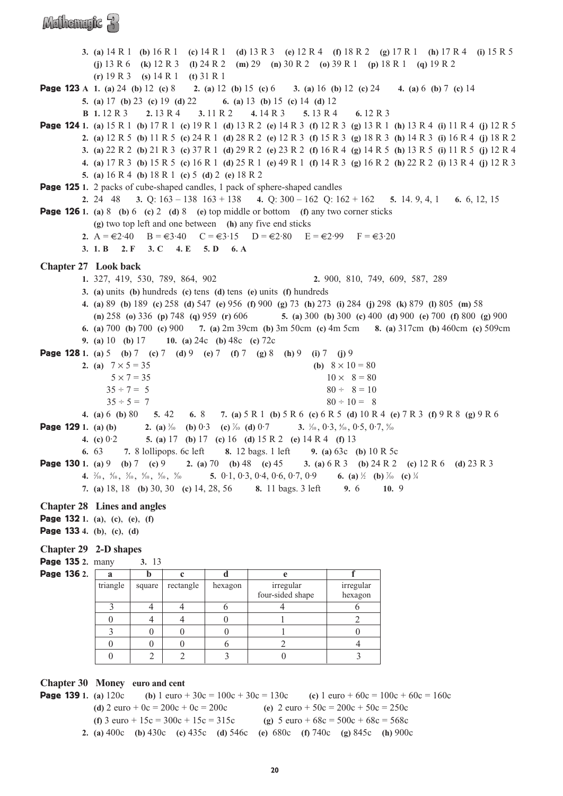### Mathematic R

**3. (a)** 14 R 1 **(b)** 16 R 1 **(c)** 14 R 1 **(d)** 13 R 3 **(e)** 12 R 4 **(f)** 18 R 2 **(g)** 17 R 1 **(h)** 17 R 4 **(i)** 15 R 5 **(j)** 13 R 6 **(k)** 12 R 3 **(l)** 24 R 2 **(m)** 29 **(n)** 30 R 2 **(o)** 39 R 1 **(p)** 18 R 1 **(q)** 19 R 2 **(r)** 19 R 3 **(s)** 14 R 1 **(t)** 31 R 1 Page 123 **A 1. (a)** 24 **(b)** 12 **(c)** 8 **2. (a)** 12 **(b)** 15 **(c)** 6 **3. (a)** 16 **(b)** 12 **(c)** 24 **4. (a)** 6 **(b)** 7 **(c)** 14 **5. (a)** 17 **(b)** 23 **(c)** 19 **(d)** 22 **6. (a)** 13 **(b)** 15 **(c)** 14 **(d)** 12 **B 1.** 12 R 3 **2.** 13 R 4 **3.** 11 R 2 **4.** 14 R 3 **5.** 13 R 4 **6.** 12 R 3 Page 124 **1. (a)** 15 R 1 **(b)** 17 R 1 **(c)** 19 R 1 **(d)** 13 R 2 **(e)** 14 R 3 **(f)** 12 R 3 **(g)** 13 R 1 **(h)** 13 R 4 **(i)** 11 R 4 **(j)** 12 R 5 **2. (a)** 12 R 5 **(b)** 11 R 5 **(c)** 24 R 1 **(d)** 28 R 2 **(e)** 12 R 3 **(f)** 15 R 3 **(g)** 18 R 3 **(h)** 14 R 3 **(i)** 16 R 4 **(j)** 18 R 2 **3. (a)** 22 R 2 **(b)** 21 R 3 **(c)** 37 R 1 **(d)** 29 R 2 **(e)** 23 R 2 **(f)** 16 R 4 **(g)** 14 R 5 **(h)** 13 R 5 **(i)** 11 R 5 **(j)** 12 R 4 **4. (a)** 17 R 3 **(b)** 15 R 5 **(c)** 16 R 1 **(d)** 25 R 1 **(e)** 49 R 1 **(f)** 14 R 3 **(g)** 16 R 2 **(h)** 22 R 2 **(i)** 13 R 4 **(j)** 12 R 3 **5. (a)** 16 R 4 **(b)** 18 R 1 **(c)** 5 **(d)** 2 **(e)** 18 R 2 **Page 125** 1. 2 packs of cube-shaped candles, 1 pack of sphere-shaped candles **2.** 24 48 **3.** Q: 163 – 138 163 + 138 **4.** Q: 300 – 162 Q: 162 + 162 **5.** 14. 9, 4, 1 **6.** 6, 12, 15 Page 126 **1. (a)** 8 **(b)** 6 **(c)** 2 **(d)** 8 **(e)** top middle or bottom **(f)** any two corner sticks **(g)** two top left and one between **(h)** any five end sticks **2.**  $A = \epsilon 2.40$   $B = \epsilon 3.40$   $C = \epsilon 3.15$   $D = \epsilon 2.80$   $E = \epsilon 2.99$   $F = \epsilon 3.20$ **3. 1. B 2. F 3. C 4. E 5. D 6. A Chapter 27 Look back 1.** 327, 419, 530, 789, 864, 902 **2.** 900, 810, 749, 609, 587, 289 **3. (a)** units **(b)** hundreds **(c)** tens **(d)** tens **(e)** units **(f)** hundreds **4. (a)** 89 **(b)** 189 **(c)** 258 **(d)** 547 **(e)** 956 **(f)** 900 **(g)** 73 **(h)** 273 **(i)** 284 **(j)** 298 **(k)** 879 **(l)** 805 **(m)** 58 **(n)** 258 **(o)** 336 **(p)** 748 **(q)** 959 **(r)** 606 **5. (a)** 300 **(b)** 300 **(c)** 400 **(d)** 900 **(e)** 700 **(f)** 800 **(g)** 900 **6. (a)** 700 **(b)** 700 **(c)** 900 **7. (a)** 2m 39cm **(b)** 3m 50cm **(c)** 4m 5cm **8. (a)** 317cm **(b)** 460cm **(c)** 509cm **9. (a)** 10 **(b)** 17 **10. (a)** 24c **(b)** 48c **(c)** 72c Page 128 **1. (a)** 5 **(b)** 7 **(c)** 7 **(d)** 9 **(e)** 7 **(f)** 7 **(g)** 8 **(h)** 9 **(i)** 7 **(j)** 9 **2.** (a)  $7 \times 5 = 35$  **(b)**  $8 \times 10 = 80$  $5 \times 7 = 35$   $10 \times 8 = 80$  $35 \div 7 = 5$   $80 \div 8 = 10$  $35 \div 5 = 7$  80  $\div 10 = 8$ **4. (a)** 6 **(b)** 80 **5.** 42 **6.** 8 **7. (a)** 5 R 1 **(b)** 5 R 6 **(c)** 6 R 5 **(d)** 10 R 4 **(e)** 7 R 3 **(f)** 9 R 8 **(g)** 9 R 6 **Page 129** 1. (a) (b) ⁄10 **(b)** 0·3 **(c)** <sup>7</sup> ⁄10 **(d)** 0·7 **3.** <sup>1</sup> ⁄10 , 0·3, 4 ⁄10 , 0·5, 0·7, 9 ⁄10 **4. (c)** 0·2 **5. (a)** 17 **(b)** 17 **(c)** 16 **(d)** 15 R 2 **(e)** 14 R 4 **(f)** 13 **6.** 63 **7.** 8 lollipops. 6c left **8.** 12 bags. 1 left **9. (a)** 63c **(b)** 10 R 5c Page 130 **1. (a)** 9 **(b)** 7 **(c)** 9 **2. (a)** 70 **(b)** 48 **(c)** 45 **3. (a)** 6 R 3 **(b)** 24 R 2 **(c)** 12 R 6 **(d)** 23 R 3 **4.**  $\frac{2}{10}$ ,  $\frac{4}{10}$ ,  $\frac{5}{10}$ ,  $\frac{6}{10}$ ,  $\frac{8}{10}$ ,  $\frac{9}{10}$ ⁄10 **5.** 0·1, 0·3, 0·4, 0·6, 0·7, 0·9 **6. (a)** <sup>1</sup> ⁄2 **(b)** <sup>7</sup> ⁄10 **(c)** <sup>1</sup> ⁄4 **7. (a)** 18, 18 **(b)** 30, 30 **(c)** 14, 28, 56 **8.** 11 bags. 3 left **9.** 6 **10.** 9 **Chapter 28 Lines and angles** Page 132 **1. (a)**, **(c)**, **(e)**, **(f)**  Page 133 **4. (b)**, **(c)**, **(d) Chapter 29 2-D shapes** Page 135 **2.** many **3.** 13 **Page 136** 2. **a b c d e f**  $triangle$  square rectangle hexagon irregular irregular irregular four-sided shape hexagon  $3 \mid 4 \mid 4 \mid 6 \mid 4 \mid 6$  $0 \t 4 \t 4 \t 0 \t 1 \t 2$ 3 0 0 0 0 1 0 0

#### **Chapter 30 Money euro and cent**

**Page 139** 1. (a)  $120c$  (b)  $1 \text{ euro} + 30c = 100c + 30c = 130c$  (c)  $1 \text{ euro} + 60c = 100c + 60c = 160c$ **(d)**  $2 \text{ euro} + 0\text{c} = 200\text{c} + 0\text{c} = 200\text{c}$  **(e)**  $2 \text{ euro} + 50\text{c} = 200\text{c} + 50\text{c} = 250\text{c}$ **(f)**  $3 \text{ euro} + 15\text{c} = 300\text{c} + 15\text{c} = 315\text{c}$  **(g)**  $5 \text{ euro} + 68\text{c} = 500\text{c} + 68\text{c} = 568\text{c}$ **2. (a)** 400c **(b)** 430c **(c)** 435c **(d)** 546c **(e)** 680c **(f)** 740c **(g)** 845c **(h)** 900c

 $0 \t 0 \t 0 \t 6 \t 2 \t 4$  $0 \mid 2 \mid 2 \mid 3 \mid 0 \mid 3$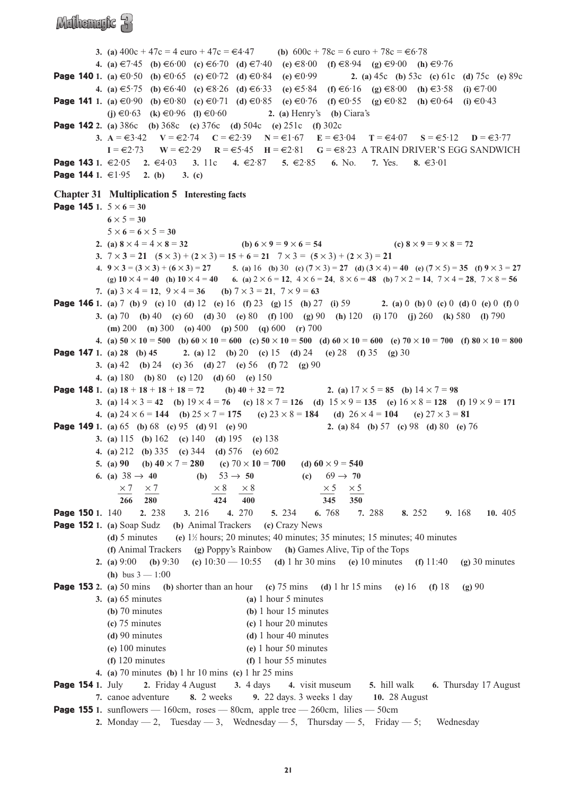### Mathematic R

**3. (a)**  $400c + 47c = 4$  euro  $+ 47c = 44.47$  **(b)**  $600c + 78c = 6$  euro  $+ 78c = 66.78$ **4.** (a)  $\in$ 7·45 (b)  $\in$ 6·00 (c)  $\in$ 6·70 (d)  $\in$ 7·40 (e)  $\in$ 8·00 (f)  $\in$ 8·94 (g)  $\in$ 9·00 (h)  $\in$ 9·76 **Page 140** 1. (a) €0·50 (b) €0·65 (c) ∈0·72 (d) ∈0·84 (e) ∈0·99 2. (a) 45c (b) 53c (c) 61c (d) 75c (e) 89c **4.** (a)  $\in$  5·75 (b)  $\in$  6·40 (c)  $\in$  8·26 (d)  $\in$  6·33 (e)  $\in$  5·84 (f)  $\in$  6·16 (g)  $\in$  8·00 (h)  $\in$  3·58 (i)  $\in$  7·00 **Page 141** 1. (a)  $\in$ 0·90 (b)  $\in$ 0·80 (c)  $\in$ 0·71 (d)  $\in$ 0·85 (e)  $\in$ 0·76 (f)  $\in$ 0·55 (g)  $\in$ 0·82 (h)  $\in$ 0·64 (i)  $\in$ 0·43 **(j)**  $\in$ 0·63 **(k)**  $\in$ 0·96 **(l)**  $\in$ 0·60 **2. (a)** Henry's **(b)** Ciara's Page 142 **2. (a)** 386c **(b)** 368c **(c)** 376c **(d)** 504c **(e)** 251c **(f)** 302c **3.**  $A = \epsilon 3.42$  **V** =  $\epsilon 2.74$  **C** =  $\epsilon 2.39$  **N** =  $\epsilon 1.67$  **E** =  $\epsilon 3.04$  **T** =  $\epsilon 4.07$  **S** =  $\epsilon 5.12$  **D** =  $\epsilon 3.77$ **I** = €2·73 **W** = €2·29 **R** = €5·45 **H** = €2·81 **G** = €8·23 A TRAIN DRIVER'S EGG SANDWICH Page 143 **1.** €2·05 **2.** €4·03 **3.** 11c **4.** €2·87 **5.** €2·85 **6.** No. **7.** Yes. **8.** €3·01 Page 144 **1.** €1·95 **2. (b) 3. (c) Chapter 31 Multiplication 5 Interesting facts Page 145** 1.  $5 \times 6 = 30$  $6 \times 5 = 30$  $5 \times 6 = 6 \times 5 = 30$ **2.** (a)  $8 \times 4 = 4 \times 8 = 32$  **(b)**  $6 \times 9 = 9 \times 6 = 54$  **<b>(c)**  $8 \times 9 = 9 \times 8 = 72$ **3.**  $7 \times 3 = 21$   $(5 \times 3) + (2 \times 3) = 15 + 6 = 21$   $7 \times 3 = (5 \times 3) + (2 \times 3) = 21$ 4.  $9 \times 3 = (3 \times 3) + (6 \times 3) = 27$ <br>5. (a) 16 (b) 30 (c)  $(7 \times 3) = 27$  (d)  $(3 \times 4) = 40$  (e)  $(7 \times 5) = 35$  (f)  $9 \times 3 = 27$ **(g) 10** × 4 = **40 (h) 10** × 4 = **40 6. (a)** 2 × 6 = **12**, 4 × 6 = **24**, 8 × 6 = **48 (b)** 7 × 2 = **14**, 7 × 4 = **28**, 7 × 8 = **56 7.** (a)  $3 \times 4 = 12$ ,  $9 \times 4 = 36$  (b)  $7 \times 3 = 21$ ,  $7 \times 9 = 63$ Page 146 **1. (a)** 7 **(b)** 9 **(c)** 10 **(d)** 12 **(e)** 16 **(f)** 23 **(g)** 15 **(h)** 27 **(i)** 59 **2. (a)** 0 **(b)** 0 **(c)** 0 **(d)** 0 **(e)** 0 **(f)** 0 **3. (a)** 70 **(b)** 40 **(c)** 60 **(d)** 30 **(e)** 80 **(f)** 100 **(g)** 90 **(h)** 120 **(i)** 170 **(j)** 260 **(k)** 580 **(l)** 790 **(m)** 200 **(n)** 300 **(o)** 400 **(p)** 500 **(q)** 600 **(r)** 700 4. (a)  $50 \times 10 = 500$  (b)  $60 \times 10 = 600$  (c)  $50 \times 10 = 500$  (d)  $60 \times 10 = 600$  (e)  $70 \times 10 = 700$  (f)  $80 \times 10 = 800$ Page 147 **1. (a) 28 (b) 45 2. (a)** 12 **(b)** 20 **(c)** 15 **(d)** 24 **(e)** 28 **(f)** 35 **(g)** 30 **3. (a)** 42 **(b)** 24 **(c)** 36 **(d)** 27 **(e)** 56 **(f)** 72 **(g)** 90 **4. (a)** 180 **(b)** 80 **(c)** 120 **(d)** 60 **(e)** 150 **Page 148** 1. (a)  $18 + 18 + 18 + 18 = 72$  (b)  $40 + 32 = 72$  2. (a)  $17 \times 5 = 85$  (b)  $14 \times 7 = 98$ **3.** (a)  $14 \times 3 = 42$  (b)  $19 \times 4 = 76$  (c)  $18 \times 7 = 126$  (d)  $15 \times 9 = 135$  (e)  $16 \times 8 = 128$  (f)  $19 \times 9 = 171$ **4.** (a)  $24 \times 6 = 144$  (b)  $25 \times 7 = 175$  (c)  $23 \times 8 = 184$  (d)  $26 \times 4 = 104$  (e)  $27 \times 3 = 81$ Page 149 **1. (a)** 65 **(b)** 68 **(c)** 95 **(d)** 91 **(e)** 90 **2. (a)** 84 **(b)** 57 **(c)** 98 **(d)** 80 **(e)** 76 **3. (a)** 115 **(b)** 162 **(c)** 140 **(d)** 195 **(e)** 138 **4. (a)** 212 **(b)** 335 **(c)** 344 **(d)** 576 **(e)** 602 **5.** (a) 90 **(b)**  $40 \times 7 = 280$  **(c)**  $70 \times 10 = 700$  **(d)**  $60 \times 9 = 540$ **6.** (a)  $38 \rightarrow 40$  **(b)**  $53 \rightarrow 50$  **(c)**  $69 \rightarrow 70$  $\times 7$   $\times 7$   $\times 8$   $\times 8$   $\times 8$   $\times 5$   $\times 5$ **266 280 424 400 345 350** Page 150 **1.** 140 **2.** 238 **3.** 216 **4.** 270 **5.** 234 **6.** 768 **7.** 288 **8.** 252 **9.** 168 **10.** 405 Page 152 **1. (a)** Soap Sudz **(b)** Animal Trackers **(c)** Crazy News  $(d)$  5 minutes  $\alpha$ <sup>2</sup>/<sub>2</sub> hours; 20 minutes; 40 minutes; 35 minutes; 15 minutes; 40 minutes **(f)** Animal Trackers **(g)** Poppy's Rainbow **(h)** Games Alive, Tip of the Tops **2. (a)** 9:00 **(b)** 9:30 **(c)** 10:30 — 10:55 **(d)** 1 hr 30 mins **(e)** 10 minutes **(f)** 11:40 **(g)** 30 minutes **(h)** bus 3 — 1:00 Page 153 **2. (a)** 50 mins **(b)** shorter than an hour **(c)** 75 mins **(d)** 1 hr 15 mins **(e)** 16 **(f)** 18 **(g)** 90 **3. (a)** 65 minutes **(a)** 1 hour 5 minutes **(b)** 70 minutes **(b)** 1 hour 15 minutes **(c)** 75 minutes **(c)** 1 hour 20 minutes **(d)** 90 minutes **(d)** 1 hour 40 minutes **(e)** 100 minutes **(e)** 1 hour 50 minutes **(f)** 120 minutes **(f)** 1 hour 55 minutes **4. (a)** 70 minutes **(b)** 1 hr 10 mins **(c)** 1 hr 25 mins Page 154 **1.** July **2.** Friday 4 August **3.** 4 days **4.** visit museum **5.** hill walk **6.** Thursday 17 August **7.** canoe adventure **8.** 2 weeks **9.** 22 days. 3 weeks 1 day **10.** 28 August **Page 155** 1. sunflowers  $-160$ cm, roses  $-80$ cm, apple tree  $-260$ cm, lilies  $-50$ cm

**<sup>2.</sup>** Monday  $-2$ , Tuesday  $-3$ , Wednesday  $-5$ , Thursday  $-5$ , Friday  $-5$ ; Wednesday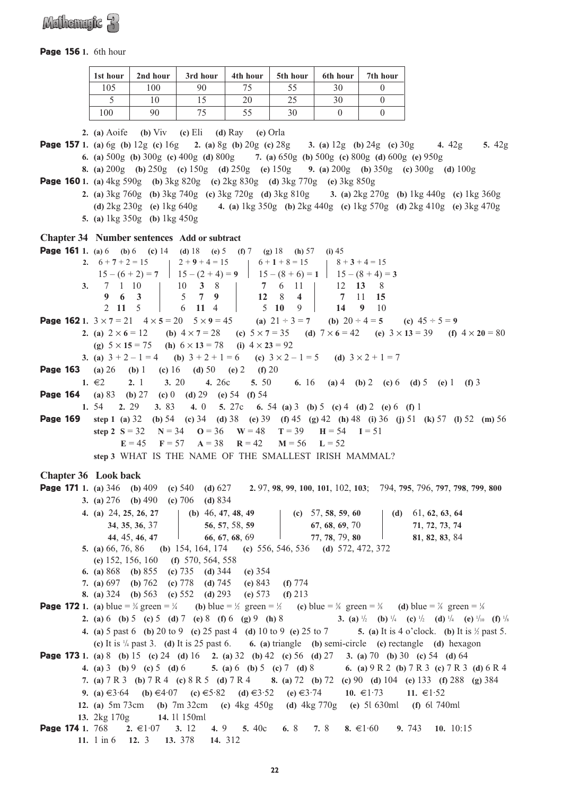

#### Page 156 **1.** 6th hour

| 1st hour | 2nd hour | 3rd hour | 4th hour | 5th hour | 6th hour | 7th hour |
|----------|----------|----------|----------|----------|----------|----------|
| 105      | 100      | 90       |          | 55       | 30       |          |
|          |          |          | 20       | 25       | 30       |          |
| 100      | 90       |          | 55       | 30       |          |          |

**2. (a)** Aoife **(b)** Viv **(c)** Eli **(d)** Ray **(e)** Orla Page 157 **1. (a)** 6g **(b)** 12g **(c)** 16g **2. (a)** 8g **(b)** 20g **(c)** 28g **3. (a)** 12g **(b)** 24g **(c)** 30g **4.** 42g **5.** 42g **6. (a)** 500g **(b)** 300g **(c)** 400g **(d)** 800g **7. (a)** 650g **(b)** 500g **(c)** 800g **(d)** 600g **(e)** 950g **8. (a)** 200g **(b)** 250g **(c)** 150g **(d)** 250g **(e)** 150g **9. (a)** 200g **(b)** 350g **(c)** 300g **(d)** 100g Page 160 **1. (a)** 4kg 590g **(b)** 3kg 820g **(c)** 2kg 830g **(d)** 3kg 770g **(e)** 3kg 850g **2. (a)** 3kg 760g **(b)** 3kg 740g **(c)** 3kg 720g **(d)** 3kg 810g **3. (a)** 2kg 270g **(b)** 1kg 440g **(c)** 1kg 360g **(d)** 2kg 230g **(e)** 1kg 640g **4. (a)** 1kg 350g **(b)** 2kg 440g **(c)** 1kg 570g **(d)** 2kg 410g **(e)** 3kg 470g **5. (a)** 1kg 350g **(b)** 1kg 450g **Chapter 34 Number sentences Add or subtract** Page 161 **1. (a)** 6 **(b)** 6 **(c)** 14 **(d)** 18 **(e)** 5 **(f)** 7 **(g)** 18 **(h)** 57 **(i)** 45 **2.**  $6+7+2=15$   $12+9+4=15$   $16+1+8=15$   $18+3+4=15$  $15 - (6 + 2) = 7$  |  $15 - (2 + 4) = 9$  |  $15 - (8 + 6) = 1$  |  $15 - (8 + 4) = 3$ <br>  $7 \quad 1 \quad 10$  |  $10 \quad 3 \quad 8$  |  $7 \quad 6 \quad 11$  |  $12 \quad 13 \quad 8$ **3.** 7 1 10 10 3 8 7 6 11 12 13 8 9 6 3 7 7 9 12 8 4 7 11 15 **9 6 3** 5 **7 9 12** 8 **4 7** 11 **15** 2 **11** 5 6 **11** 4 5 **10** 9 **14 9** 10 **Page 162** 1.  $3 \times 7 = 21$   $4 \times 5 = 20$   $5 \times 9 = 45$  **(a)**  $21 \div 3 = 7$  **(b)**  $20 \div 4 = 5$  **(c)**  $45 \div 5 = 9$ **2.** (a)  $2 \times 6 = 12$  **(b)**  $4 \times 7 = 28$  **(c)**  $5 \times 7 = 35$  **(d)**  $7 \times 6 = 42$  **(e)**  $3 \times 13 = 39$  **(f)**  $4 \times 20 = 80$ **(g)** 5 × **15** = 75 **(h)** 6 × **13** = 78 **(i)** 4 × **23** = 92 **3.** (a)  $3 + 2 - 1 = 4$  **(b)**  $3 + 2 + 1 = 6$  **(c)**  $3 \times 2 - 1 = 5$  **(d)**  $3 \times 2 + 1 = 7$ Page 163 **(a)** 26 **(b)** 1 **(c)** 16 **(d)** 50 **(e)** 2 **(f)** 20 **1.** €2 **2.** 1 **3.** 20 **4.** 26c **5.** 50 **6.** 16 **(a)** 4 **(b)** 2 **(c)** 6 **(d)** 5 **(e)** 1 **(f)** 3 Page 164 **(a)** 83 **(b)** 27 **(c)** 0 **(d)** 29 **(e)** 54 **(f)** 54 **1.** 54 **2.** 29 **3.** 83 **4.** 0 **5.** 27c **6.** 54 **(a)** 3 **(b)** 5 **(c)** 4 **(d)** 2 **(e)** 6 **(f)** 1 Page 169 **step 1 (a)** 32 **(b)** 54 **(c)** 34 **(d)** 38 **(e)** 39 **(f)** 45 **(g)** 42 **(h)** 48 **(i)** 36 **(j)** 51 **(k)** 57 **(l)** 52 **(m)** 56 **step 2**  $S = 32$  **N** = 34 **O** = 36 **W** = 48 **T** = 39 **H** = 54 **I** = 51 **E** = 45 **F** = 57 **A** = 38 **R** = 42 **M** = 56 **L** = 52 **step 3** WHAT IS THE NAME OF THE SMALLEST IRISH MAMMAL? **Chapter 36 Look back** Page 171 **1. (a)** 346 **(b)** 409 **(c)** 540 **(d)** 627 **2.** 97, **98**, **99**, **100**, **101**, 102, **103**; 794, **795**, 796, **797**, **798**, **799**, **800 3. (a)** 276 **(b)** 490 **(c)** 706 **(d)** 834 **4. (a)** 24, **25**, **26**, **27 (b)** 46, **47**, **48**, **49 (c)** 57, **58**, **59**, **60 (d)** 61, **62**, **63**, **64 34**, **35**, **36**, 37 **56**, **57**, 58, **59 67**, **68**, **69**, 70 **71**, **72**, **73**, **74 44**, 45, **46**, **47 66**, **67**, **68**, 69 **77**, **78**, 79, **80 81**, **82**, **83**, 84 **5. (a)** 66, 76, 86 **(b)** 154, 164, 174 **(c)** 556, 546, 536 **(d)** 572, 472, 372 **(e)** 152, 156, 160 **(f)** 570, 564, 558 **6. (a)** 868 **(b)** 855 **(c)** 735 **(d)** 344 **(e)** 354 **7. (a)** 697 **(b)** 762 **(c)** 778 **(d)** 745 **(e)** 843 **(f)** 774 **8. (a)** 324 **(b)** 563 **(c)** 552 **(d)** 293 **(e)** 573 **(f)** 213 **Page 172** 1. (a) blue =  $\frac{3}{4}$  green =  $\frac{1}{6}$ 4 **(b)** blue =  $\frac{1}{2}$  green =  $\frac{1}{2}$  **(c)** blue =  $\frac{5}{8}$  green =  $\frac{3}{8}$  **(d)** blue =  $\frac{7}{8}$  green =  $\frac{1}{8}$ **2. (a)** 6 **(b)** 5 **(c)** 5 **(d)** 7 **(e)** 8 **(f)** 6 **(g)** 9 **(h)** 8 **3. (a)** <sup>1</sup>  $\int_2$  **(b)** <sup>1</sup>/<sub>4</sub> **(c)** <sup>1</sup>/<sub>2</sub> **(d)** <sup>1</sup>/<sub>4</sub> **(e)** <sup>1</sup>/<sub>10</sub> **(f)** <sup>1</sup>/<sub>8</sub> **4. (a)** 5 past 6 **(b)** 20 to 9 **(c)** 25 past 4 **(d)** 10 to 9 **(e)** 25 to 7 **5. (a)** It is 4 o'clock. **(b)** It is 1 ⁄2 past 5. **(c)** It is 1 /4 past 3. **(d)** It is 25 past 6. **6. (a)** triangle **(b)** semi-circle **(c)** rectangle **(d)** hexagon Page 173 **1. (a)** 8 **(b)** 15 **(c)** 24 **(d)** 16 **2. (a)** 32 **(b)** 42 **(c)** 56 **(d)** 27 **3. (a)** 70 **(b)** 30 **(c)** 54 **(d)** 64 **4. (a)** 3 **(b)** 9 **(c)** 5 **(d)** 6 **5. (a)** 6 **(b)** 5 **(c)** 7 **(d)** 8 **6. (a)** 9 R 2 **(b)** 7 R 3 **(c)** 7 R 3 **(d)** 6 R 4 **7. (a)** 7 R 3 **(b)** 7 R 4 **(c)** 8 R 5 **(d)** 7 R 4 **8. (a)** 72 **(b)** 72 **(c)** 90 **(d)** 104 **(e)** 133 **(f)** 288 **(g)** 384 **9.** (a)  $\in$ 3·64 (b)  $\in$ 4·07 (c)  $\in$ 5·82 (d)  $\in$ 3·52 (e)  $\in$ 3·74 **10.**  $\in$ 1·73 **11.**  $\in$ 1·52 **12. (a)** 5m 73cm **(b)** 7m 32cm **(c)** 4kg 450g **(d)** 4kg 770g **(e)** 5l 630ml **(f)** 6l 740ml **13.** 2kg 170g **14.** 1l 150ml Page 174 **1.** 768 **2.** €1·07 **3.** 12 **4.** 9 **5.** 40c **6.** 8 **7.** 8 **8.** €1·60 **9.** 743 **10.** 10:15

```
11. 1 in 6 12. 3 13. 378 14. 312
```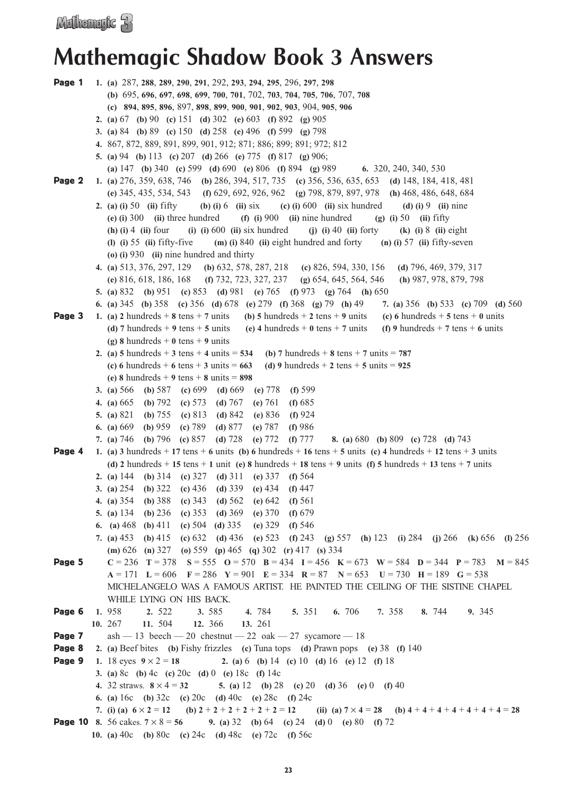### **Mathemagic Shadow Book 3 Answers**

```
Page 1 1. (a) 287, 288, 289, 290, 291, 292, 293, 294, 295, 296, 297, 298
            (b) 695, 696, 697, 698, 699, 700, 701, 702, 703, 704, 705, 706, 707, 708
            (c) 894, 895, 896, 897, 898, 899, 900, 901, 902, 903, 904, 905, 906
          2. (a) 67 (b) 90 (c) 151 (d) 302 (e) 603 (f) 892 (g) 905
          3. (a) 84 (b) 89 (c) 150 (d) 258 (e) 496 (f) 599 (g) 798
          4. 867, 872, 889, 891, 899, 901, 912; 871; 886; 899; 891; 972; 812
          5. (a) 94 (b) 113 (c) 207 (d) 266 (e) 775 (f) 817 (g) 906;
            (a) 147 (b) 340 (c) 599 (d) 690 (e) 806 (f) 894 (g) 989 6. 320, 240, 340, 530
Page 2 1. (a) 276, 359, 638, 746 (b) 286, 394, 517, 735 (c) 356, 536, 635, 653 (d) 148, 184, 418, 481 
            (e) 345, 435, 534, 543 (f) 629, 692, 926, 962 (g) 798, 879, 897, 978 (h) 468, 486, 648, 684
          2. (a) (i) 50 (ii) fifty (b) (i) 6 (ii) six (c) (i) 600 (ii) six hundred (d) (i) 9 (ii) nine 
            (e) (i) 300 (ii) three hundred (f) (i) 900 (ii) nine hundred (g) (i) 50 (ii) fifty
            (h) (i) 4 (ii) four (i) (i) 600 (ii) six hundred (j) (i) 40 (ii) forty (k) (i) 8 (ii) eight 
            (l) (i) 55 (ii) fifty-five (m) (i) 840 (ii) eight hundred and forty (n) (i) 57 (ii) fifty-seven 
            (o) (i) 930 (ii) nine hundred and thirty
          4. (a) 513, 376, 297, 129 (b) 632, 578, 287, 218 (c) 826, 594, 330, 156 (d) 796, 469, 379, 317 
            (e) 816, 618, 186, 168 (f) 732, 723, 327, 237 (g) 654, 645, 564, 546 (h) 987, 978, 879, 798
          5. (a) 832 (b) 951 (c) 853 (d) 981 (e) 765 (f) 973 (g) 764 (h) 650
          6. (a) 345 (b) 358 (c) 356 (d) 678 (e) 279 (f) 368 (g) 79 (h) 49 7. (a) 356 (b) 533 (c) 709 (d) 560
Page 3 1. (a) 2 hundreds + 8 tens + 7 units (b) 5 hundreds + 2 tens + 9 units (c) 6 hundreds + 5 tens + 0 units
            (d) 7 hundreds + 9 tens + 5 units (e) 4 hundreds + 0 tens + 7 units (f) 9 hundreds + 7 tens + 6 units
            (g) 8 hundreds +0 tens +9 units
          2. (a) 5 hundreds +3 tens +4 units = 534 (b) 7 hundreds +8 tens +7 units = 787(c) 6 hundreds + 6 tens + 3 units = 663 (d) 9 hundreds + 2 tens + 5 units = 925
            (e) 8 hundreds + 9 tens + 8 units = 898
          3. (a) 566 (b) 587 (c) 699 (d) 669 (e) 778 (f) 599
          4. (a) 665 (b) 792 (c) 573 (d) 767 (e) 761 (f) 685
          5. (a) 821 (b) 755 (c) 813 (d) 842 (e) 836 (f) 924
          6. (a) 669 (b) 959 (c) 789 (d) 877 (e) 787 (f) 986
          7. (a) 746 (b) 796 (c) 857 (d) 728 (e) 772 (f) 777 8. (a) 680 (b) 809 (c) 728 (d) 743
Page 4 1. (a) 3 hundreds + 17 tens + 6 units (b) 6 hundreds + 16 tens + 5 units (c) 4 hundreds + 12 tens + 3 units
            (d) 2 hundreds + 15 tens + 1 unit (e) 8 hundreds + 18 tens + 9 units (f) 5 hundreds + 13 tens + 7 units
          2. (a) 144 (b) 314 (c) 327 (d) 311 (e) 337 (f) 564
          3. (a) 254 (b) 322 (c) 436 (d) 339 (e) 434 (f) 447
          4. (a) 354 (b) 388 (c) 343 (d) 562 (e) 642 (f) 561
          5. (a) 134 (b) 236 (c) 353 (d) 369 (e) 370 (f) 679
          6. (a) 468 (b) 411 (c) 504 (d) 335 (e) 329 (f) 546
          7. (a) 453 (b) 415 (c) 632 (d) 436 (e) 523 (f) 243 (g) 557 (h) 123 (i) 284 (j) 266 (k) 656 (l) 256 
            (m) 626 (n) 327 (o) 559 (p) 465 (q) 302 (r) 417 (s) 334
Page 5 C = 236 T = 378 S = 555 O = 570 B = 434 I = 456 K = 673 W = 584 D = 344 P = 783 M = 845 
            A = 171 L = 606 F = 286 Y = 901 E = 334 R = 87 N = 653 U = 730 H = 189 G = 538
            MICHELANGELO WAS A FAMOUS ARTIST. HE PAINTED THE CEILING OF THE SISTINE CHAPEL 
            WHILE LYING ON HIS BACK.
Page 6 1. 958 2. 522 3. 585 4. 784 5. 351 6. 706 7. 358 8. 744 9. 345 
         10. 267 11. 504 12. 366 13. 261
Page 7 ash - 13 beech - 20 chestnut - 22 oak - 27 sycamore - 18Page 8 2. (a) Beef bites (b) Fishy frizzles (c) Tuna tops (d) Prawn pops (e) 38 (f) 140
Page 9 1. 18 eyes 9 \times 2 = 18 2. (a) 6 (b) 14 (c) 10 (d) 16 (e) 12 (f) 18
          3. (a) 8c (b) 4c (c) 20c (d) 0 (e) 18c (f) 14c
          4. 32 straws. 8 × 4 = 32 5. (a) 12 (b) 28 (c) 20 (d) 36 (e) 0 (f) 40
          6. (a) 16c (b) 32c (c) 20c (d) 40c (e) 28c (f) 24c
          7. (i) (a) 6 \times 2 = 12 (b) 2 + 2 + 2 + 2 + 2 + 2 = 12 (ii) (a) 7 \times 4 = 28 (b) 4 + 4 + 4 + 4 + 4 + 4 = 28Page 10 8. 56 cakes. 7 \times 8 = 56 9. (a) 32 (b) 64 (c) 24 (d) 0 (e) 80 (f) 72
```
**10. (a)** 40c **(b)** 80c **(c)** 24c **(d)** 48c **(e)** 72c **(f)** 56c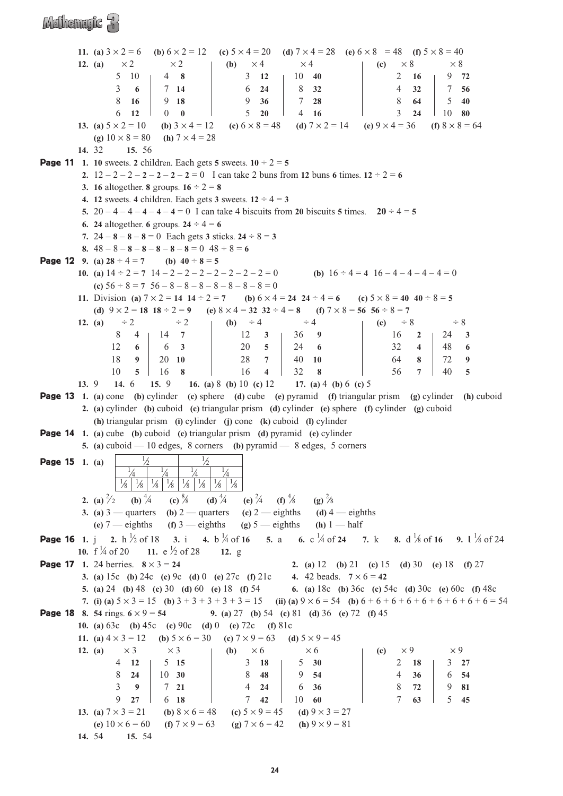### Mulhemule 33

**11.** (a)  $3 \times 2 = 6$  **(b)**  $6 \times 2 = 12$  **(c)**  $5 \times 4 = 20$  **(d)**  $7 \times 4 = 28$  **(e)**  $6 \times 8 = 48$  **(f)**  $5 \times 8 = 40$ **12.** (a)  $\times 2$   $\times 2$  **(b)**  $\times 4$   $\times 4$  **(c)**  $\times 8$   $\times 8$ 5 10 4 **8** 3 **12** 10 **40** 2 **16** 9 **72** 3 **6** 7 **14** 6 **24** 8 **32** 4 **32** 7 **56** 8 **16** 9 **18** 9 **36** 7 **28** 8 **64** 5 **40** 6 **12** 0 **0** 5 **20** 4 **16** 3 **24** 10 **80 13.** (a)  $5 \times 2 = 10$  **(b)**  $3 \times 4 = 12$  **(c)**  $6 \times 8 = 48$  **(d)**  $7 \times 2 = 14$  **(e)**  $9 \times 4 = 36$  **(f)**  $8 \times 8 = 64$ **(g)**  $10 \times 8 = 80$  **(h)**  $7 \times 4 = 28$ **14.** 32 **15.** 56 **Page 11** 1. 10 sweets. 2 children. Each gets 5 sweets.  $10 \div 2 = 5$ **2.**  $12 - 2 - 2 - 2 - 2 - 2 - 2 = 0$  I can take 2 buns from **12** buns 6 times.  $12 \div 2 = 6$ **3. 16** altogether. **8** groups.  $16 \div 2 = 8$ **4. 12** sweets. **4** children. Each gets **3** sweets.  $12 \div 4 = 3$ **5.**  $20 - 4 - 4 - 4 - 4 - 4 = 0$  I can take 4 biscuits from 20 biscuits 5 times.  $20 \div 4 = 5$ **6. 24** altogether. **6** groups.  $24 \div 4 = 6$ **7.**  $24 - 8 - 8 - 8 = 0$  Each gets **3** sticks.  $24 \div 8 = 3$ **8.**  $48 - 8 - 8 - 8 - 8 - 8 - 8 - 8 = 0$   $48 \div 8 = 6$ **Page 12** 9. (a)  $28 \div 4 = 7$  (b)  $40 \div 8 = 5$ **10.** (a)  $14 \div 2 = 7$   $14 - 2 - 2 - 2 - 2 - 2 - 2 - 2 = 0$  <br> (b)  $16 \div 4 = 4$   $16 - 4 - 4 - 4 - 4 = 0$ (c)  $56 \div 8 = 7$   $56 - 8 - 8 - 8 - 8 - 8 - 8 - 8 = 0$ **11.** Division **(a)**  $7 \times 2 = 14$  **14**  $\div 2 = 7$  **(b)**  $6 \times 4 = 24$  **24**  $\div 4 = 6$  **(c)**  $5 \times 8 = 40$  **40**  $\div 8 = 5$ **(d)**  $9 \times 2 = 18$  **18**  $\div 2 = 9$  **(e)**  $8 \times 4 = 32$  **32**  $\div 4 = 8$  **(f)**  $7 \times 8 = 56$  **56**  $\div 8 = 7$ **12.** (a)  $\div 2$   $\div 2$  **(b)**  $\div 4$   $\div 4$  **(c)**  $\div 8$   $\div 8$ 8 4 14 **7** 12 **3** 36 **9** 16 **2** 24 **3** 12 **6** 6 **3** 20 **5** 24 **6** 32 **4** 48 **6** 18 **9** 20 **10** 28 **7** 40 **10** 64 **8** 72 **9** 10 **5** 16 **8** 16 **4** 32 **8** 56 **7** 40 **5 13.** 9 **14.** 6 **15.** 9 **16. (a)** 8 **(b)** 10 **(c)** 12 **17. (a)** 4 **(b)** 6 **(c)** 5 Page 13 **1. (a)** cone **(b)** cylinder **(c)** sphere **(d)** cube **(e)** pyramid **(f)** triangular prism **(g)** cylinder **(h)** cuboid **2. (a)** cylinder **(b)** cuboid **(c)** triangular prism **(d)** cylinder **(e)** sphere **(f)** cylinder **(g)** cuboid **(h)** triangular prism **(i)** cylinder **(j)** cone **(k)** cuboid **(l)** cylinder Page 14 **1. (a)** cube **(b)** cuboid **(c)** triangular prism **(d)** pyramid **(e)** cylinder **5. (a)** cuboid — 10 edges, 8 corners **(b)** pyramid — 8 edges, 5 corners **Page 15** 1. (a) ⁄2 1  $\frac{1}{2}$ 1  $\frac{4}{1}$ 1  $\frac{4}{4}$ 1  $\frac{4}{1}$ 1  $\frac{4}{1}$  $\frac{1}{8}$   $\frac{1}{8}$  $\frac{1}{8}$  $\frac{1}{8}$  $\frac{1}{8}$  $\frac{1}{8}$  $\frac{1}{8}$ 1 ⁄8 **2.** (a)  $\frac{2}{2}$ **(b)**  $\frac{4}{4}$  $(c)$ <sup>8</sup>/8  $(d) \frac{4}{4}$ ⁄4 **(e)** <sup>2</sup>  $(f) \frac{4}{8}$  $\frac{1}{8}$  (g)  $\frac{2}{8}$ **3. (a)**  $3$  — quarters **(b)**  $2$  — quarters **(c)**  $2$  — eighths **(d)**  $4$  — eighths **(e)**  $7$  — eighths **(f)**  $3$  — eighths **(g)**  $5$  — eighths **(h)**  $1$  — half Page 16 **1.** j **2.** h <sup>1</sup> ⁄2 of 18 **3.** i **4.** b <sup>1</sup>  $\sqrt{4}$  of **16 5.** a **6.** c  $\sqrt{4}$  of **24 7.** k **8.** d  $\sqrt{4}$ ⁄8 of **<sup>16</sup> 9. <sup>l</sup>** <sup>1</sup> ⁄8 of 24 **10.**  $f \nmid A$  of 20 **11.**  $e \nmid A$  of 28 **12.** g **Page 17** 1. 24 berries.  $8 \times 3 = 24$  **2.** (a) 12 (b) 21 (c) 15 (d) 30 (e) 18 (f) 27 **3.** (a)  $15c$  (b)  $24c$  (c)  $9c$  (d)  $0$  (e)  $27c$  (f)  $21c$  **4.**  $42$  beads.  $7 \times 6 = 42$ **5. (a)** 24 **(b)** 48 **(c)** 30 **(d)** 60 **(e)** 18 **(f)** 54 **6. (a)** 18c **(b)** 36c **(c)** 54c **(d)** 30c **(e)** 60c **(f)** 48c **7.** (i) (a)  $5 \times 3 = 15$  (b)  $3 + 3 + 3 + 3 + 3 = 15$  (ii) (a)  $9 \times 6 = 54$  (b)  $6 + 6 + 6 + 6 + 6 + 6 + 6 + 6 + 6 = 54$ **Page 18** 8. 54 rings.  $6 \times 9 = 54$  **9.** (a) 27 (b) 54 (c) 81 (d) 36 (e) 72 (f) 45 **10. (a)** 63c **(b)** 45c **(c)** 90c **(d)** 0 **(e)** 72c **(f)** 81c **11.** (a)  $4 \times 3 = 12$  (b)  $5 \times 6 = 30$  (c)  $7 \times 9 = 63$  (d)  $5 \times 9 = 45$ **12.** (a)  $\times 3$   $\times 3$  **(b)**  $\times 6$   $\times 6$  **(c)**  $\times 9$   $\times 9$ 4 **12** 5 **15** 3 **18** 5 **30** 2 **18** 3 **27** 8 **24** 10 **30** 8 **48** 9 **54** 4 **36** 6 **54** 3 **9** 7 **21** 4 **24** 6 **36** 8 **72** 9 **81** 9 **27** 6 **18** 7 **42** 10 **60** 7 **63** 5 **45 13. (a)**  $7 \times 3 = 21$  **(b)**  $8 \times 6 = 48$  **(c)**  $5 \times 9 = 45$  **(d)**  $9 \times 3 = 27$ **(e)**  $10 \times 6 = 60$  **(f)**  $7 \times 9 = 63$  **(g)**  $7 \times 6 = 42$  **(h)**  $9 \times 9 = 81$ **14.** 54 **15.** 54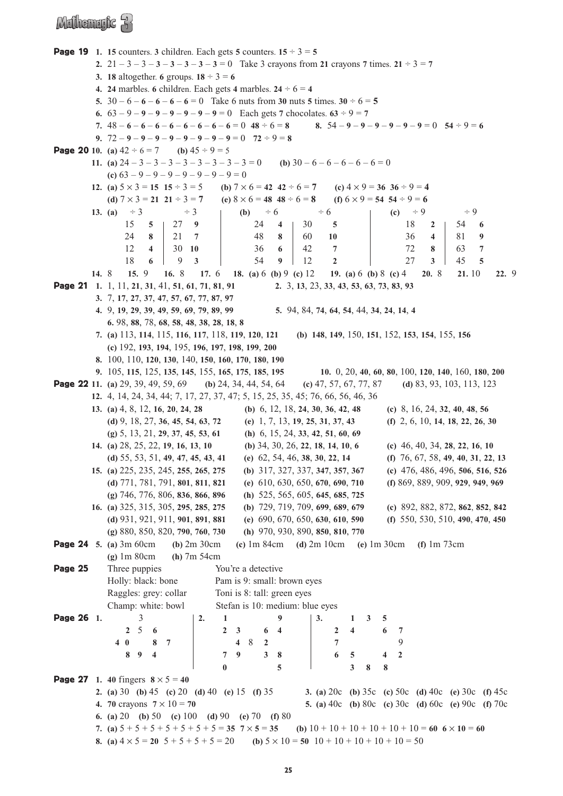### Mulhemufic R

**Page 19** 1. 15 counters. 3 children. Each gets 5 counters.  $15 \div 3 = 5$ **2.**  $21 - 3 - 3 - 3 - 3 - 3 - 3 - 3 - 3 - 3 = 0$  Take 3 crayons from **21** crayons **7** times.  $21 \div 3 = 7$ **3. 18** altogether. **6** groups.  $18 \div 3 = 6$ **4. 24** marbles. **6** children. Each gets **4** marbles.  $24 \div 6 = 4$ **5.**  $30 - 6 - 6 - 6 - 6 - 6 = 0$  Take 6 nuts from **30** nuts **5** times.  $30 \div 6 = 5$ **6.**  $63 - 9 - 9 - 9 - 9 - 9 - 9 - 9 = 0$  Each gets 7 chocolates.  $63 \div 9 = 7$ 7.  $48-6-6-6-6-6-6-6-6=0$   $48 \div 6=8$ <br>8.  $54-9-9-9-9-9=0$   $54 \div 9=6$ **9.**  $72 - 9 - 9 - 9 - 9 - 9 - 9 - 9 - 9 - 9 = 0$   $72 \div 9 = 8$ **Page 20** 10. (a)  $42 \div 6 = 7$  (b)  $45 \div 9 = 5$ **11.** (a)  $24 - 3 - 3 - 3 - 3 - 3 - 3 - 3 - 3 - 3 = 0$  (b)  $30 - 6 - 6 - 6 - 6 = 0$ **(c)**  $63 - 9 - 9 - 9 - 9 - 9 - 9 - 9 = 0$ **12.** (a)  $5 \times 3 = 15$   $15 \div 3 = 5$  <br> (b)  $7 \times 6 = 42$   $42 \div 6 = 7$  <br> (c)  $4 \times 9 = 36$   $36 \div 9 = 4$ **(d)**  $7 \times 3 = 21$   $21 \div 3 = 7$  **(e)**  $8 \times 6 = 48$   $48 \div 6 = 8$  **(f)**  $6 \times 9 = 54$   $54 \div 9 = 6$ **13.** (a)  $\div 3$   $\div 3$  **(b)**  $\div 6$   $\div 6$  **(c)**  $\div 9$   $\div 9$ 15 **5** 27 **9** 24 **4** 30 **5** 18 **2** 54 **6** 24 **8** 21 **7** 48 **8** 60 **10** 36 **4** 81 **9** 12 **4** 30 **10** 36 **6** 42 **7** 72 **8** 63 **7** 18 **6** 9 **3** 54 **9** 12 **2** 27 **3** 45 **5 14.** 8 **15.** 9 **16.** 8 **17.** 6 **18. (a)** 6 **(b)** 9 **(c)** 12 **19. (a)** 6 **(b)** 8 **(c)** 4 **20.** 8 **21.** 10 **22.** 9 Page 21 **1.** 1, 11, **21**, **31**, 41, **51**, **61**, **71**, **81**, **91 2.** 3, **13**, 23, **33**, **43**, **53**, **63**, **73**, **83**, **93 3.** 7, **17**, **27**, **37**, **47**, **57**, **67**, **77**, **87**, **97 4.** 9, **19**, **29**, **39**, **49**, **59**, **69**, **79**, **89**, **99 5.** 94, 84, **74**, **64**, **54**, 44, **34**, **24**, **14**, **4 6.** 98, **88**, 78, **68**, **58**, **48**, **38**, **28**, **18**, **8 7. (a)** 113, **114**, 115, **116**, **117**, 118, **119**, **120**, **121 (b) 148**, **149**, 150, **151**, 152, **153**, **154**, 155, **156 (c)** 192, **193**, **194**, 195, **196**, **197**, **198**, **199**, **200 8.** 100, 110, **120**, **130**, 140, **150**, **160**, **170**, **180**, **190 9.** 105, **115**, 125, **135**, **145**, 155, **165**, **175**, **185**, **195 10.** 0, 20, **40**, **60**, **80**, 100, **120**, **140**, 160, **180**, **200** Page 22 **11. (a)** 29, 39, 49, 59, 69 **(b)** 24, 34, 44, 54, 64 **(c)** 47, 57, 67, 77, 87 **(d)** 83, 93, 103, 113, 123 **12.** 4, 14, 24, 34, 44; 7, 17, 27, 37, 47; 5, 15, 25, 35, 45; 76, 66, 56, 46, 36 **13. (a)** 4, 8, 12, **16**, **20**, **24**, **28 (b)** 6, 12, 18, **24**, **30**, **36**, **42**, **48 (c)** 8, 16, 24, **32**, **40**, **48**, **56** (d)  $9, 18, 27, 36, 45, 54, 63, 72$  (e) 1, 7, 13, 19, 25, 31, 37, 43 (f) 2, 6, 10, 14, 18, 22, 26, 30 **(g)** 5, 13, 21, **29**, **37**, **45**, **53**, **61 (h)** 6, 15, 24, **33**, **42**, **51**, **60**, **69 14. (a)** 28, 25, 22, **19**, **16**, **13**, **10 (b)** 34, 30, 26, **22**, **18**, **14**, **10**, **6 (c)** 46, 40, 34, **28**, **22**, **16**, **10 (d)** 55, 53, 51, **49**, **47**, **45**, **43**, **41 (e)** 62, 54, 46, **38**, **30**, **22**, **14 (f)** 76, 67, 58, **49**, **40**, **31**, **22**, **13 15. (a)** 225, 235, 245, **255**, **265**, **275 (b)** 317, 327, 337, **347**, **357**, **367 (c)** 476, 486, 496, **506**, **516**, **526 (d)** 771, 781, 791, **801**, **811**, **821 (e)** 610, 630, 650, **670**, **690**, **710 (f)** 869, 889, 909, **929**, **949**, **969 (g)** 746, 776, 806, **836**, **866**, **896 (h)** 525, 565, 605, **645**, **685**, **725 16. (a)** 325, 315, 305, **295**, **285**, **275 (b)** 729, 719, 709, **699**, **689**, **679 (c)** 892, 882, 872, **862**, **852**, **842 (d)** 931, 921, 911, **901**, **891**, **881 (e)** 690, 670, 650, **630**, **610**, **590 (f)** 550, 530, 510, **490**, **470**, **450 (g)** 880, 850, 820, **790**, **760**, **730 (h)** 970, 930, 890, **850**, **810**, **770** Page 24 **5. (a)** 3m 60cm **(b)** 2m 30cm **(c)** 1m 84cm **(d)** 2m 10cm **(e)** 1m 30cm **(f)** 1m 73cm **(g)** 1m 80cm **(h)** 7m 54cm **Page 25** Three puppies You're a detective Holly: black: bone Pam is 9: small: brown eyes Raggles: grey: collar Toni is 8: tall: green eyes Champ: white: bowl Stefan is 10: medium: blue eyes Page 26 **1.** 3 **2. 1 9 3. 1 3 5 2** 5 **6 2 3 6 4 2 4 6 7 4 0 8 7 4** 8 **2 7** 9 **8 9 4 7 9 3 8 6 5 4 2 0 5 3 8 8 Page 27** 1. 40 fingers  $8 \times 5 = 40$ **2. (a)** 30 **(b)** 45 **(c)** 20 **(d)** 40 **(e)** 15 **(f)** 35 **3. (a)** 20c **(b)** 35c **(c)** 50c **(d)** 40c **(e)** 30c **(f)** 45c **4. 70** crayons **7** × 10 = **70 5. (a)** 40c **(b)** 80c **(c)** 30c **(d)** 60c **(e)** 90c **(f)** 70c **6. (a)** 20 **(b)** 50 **(c)** 100 **(d)** 90 **(e)** 70 **(f)** 80 **7.** (a)  $5 + 5 + 5 + 5 + 5 + 5 + 5 + 5 = 35$  **7**  $\times$  **5** = 35 **(b)**  $10 + 10 + 10 + 10 + 10 + 10 = 60$  **6**  $\times$   $10 = 60$ **8.** (a)  $4 \times 5 = 20$   $5 + 5 + 5 + 5 = 20$  (b)  $5 \times 10 = 50$   $10 + 10 + 10 + 10 + 10 = 50$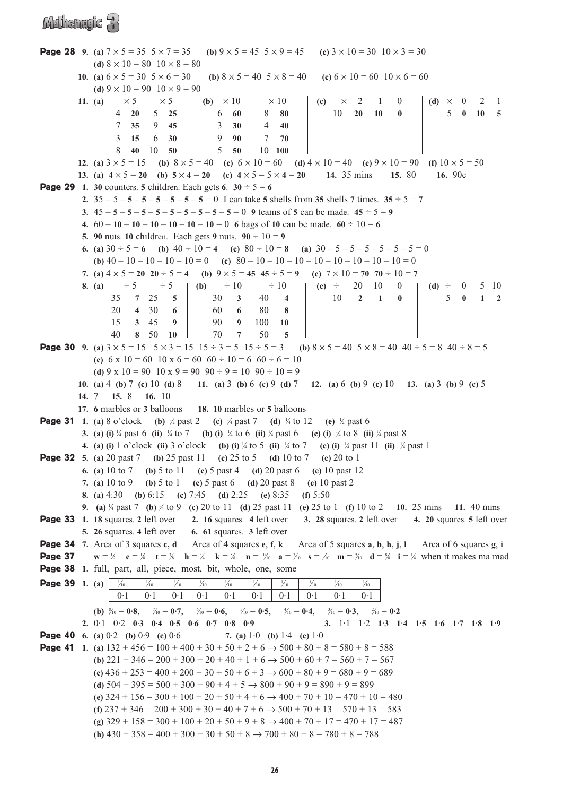#### Mulhemulc 3

**Page 28** 9. (a)  $7 \times 5 = 35$   $5 \times 7 = 35$  (b)  $9 \times 5 = 45$   $5 \times 9 = 45$  (c)  $3 \times 10 = 30$   $10 \times 3 = 30$ **(d)**  $8 \times 10 = 80$   $10 \times 8 = 80$ **10.** (a)  $6 \times 5 = 30$   $5 \times 6 = 30$  (b)  $8 \times 5 = 40$   $5 \times 8 = 40$  (c)  $6 \times 10 = 60$   $10 \times 6 = 60$ (d)  $9 \times 10 = 90$   $10 \times 9 = 90$ **11.** (a)  $\times 5$   $\times 5$  **(b)**  $\times 10$   $\times 10$  **(c)**  $\times 2$  1 0 **(d)**  $\times 0$  2 1 4 **20** 5 **25** 6 **60** 8 **80** 10 **20 10 0** 5 **0 10 5** 7 **35** 9 **45** 3 **30** 4 **40** 3 **15** 6 **30** 9 **90** 7 **70** 8 **40** 10 **50** 5 **50** 10 **100 12.** (a)  $3 \times 5 = 15$  (b)  $8 \times 5 = 40$  (c)  $6 \times 10 = 60$  (d)  $4 \times 10 = 40$  (e)  $9 \times 10 = 90$  (f)  $10 \times 5 = 50$ **13.** (a)  $4 \times 5 = 20$  (b)  $5 \times 4 = 20$  (c)  $4 \times 5 = 5 \times 4 = 20$  14. 35 mins 15. 80 16. 90c **Page 29** 1. **30** counters. **5** children. Each gets  $6 \times 30 \div 5 = 6$ **2.**  $35 - 5 - 5 - 5 - 5 - 5 - 5 - 5 - 5 = 0$  I can take 5 shells from 35 shells 7 times.  $35 \div 5 = 7$ **3.**  $45 - 5 - 5 - 5 - 5 - 5 - 5 - 5 - 5 - 5 - 5 = 0$  **9** teams of **5** can be made.  $45 \div 5 = 9$ **4.**  $60 - 10 - 10 - 10 - 10 - 10 - 10 = 0$  **6** bags of **10** can be made.  $60 \div 10 = 6$ **5. 90** nuts. **10** children. Each gets **9** nuts.  $90 \div 10 = 9$ **6.** (a)  $30 \div 5 = 6$  (b)  $40 \div 10 = 4$  (c)  $80 \div 10 = 8$  (a)  $30 - 5 - 5 - 5 - 5 - 5 - 5 = 0$ **(b)**  $40 - 10 - 10 - 10 - 10 = 0$  **(c)**  $80 - 10 - 10 - 10 - 10 - 10 - 10 - 10 = 0$ **7.** (a)  $4 \times 5 = 20$   $20 \div 5 = 4$  (b)  $9 \times 5 = 45$   $45 \div 5 = 9$  (c)  $7 \times 10 = 70$   $70 \div 10 = 7$ **8. (a)**  $\div 5$   $\div 5$  **(b)**  $\div 10$   $\div 10$  **(c)**  $\div 20$  10 0 **(d)**  $\div 0$  5 10 35 **7** 25 **5** 30 **3** 40 **4** 10 **210** 5 **0 12**  $20 \t4 \t30 \t6 \t60 \t6 \t80 \t8$  $15 \t3 \t45 \t9 \t90 \t91100 \t10$  $40 \t8 \t50 \t10 \t70 \t7 \t50 \t5$ **Page 30 9.** (a)  $3 \times 5 = 15$   $5 \times 3 = 15$   $15 \div 3 = 5$   $15 \div 5 = 3$  (b)  $8 \times 5 = 40$   $5 \times 8 = 40$   $40 \div 5 = 8$   $40 \div 8 = 5$ (c)  $6 \times 10 = 60$  10  $\times 6 = 60$   $60 \div 10 = 6$   $60 \div 6 = 10$ (d)  $9 \times 10 = 90$  10  $\times 9 = 90$  90 ÷ 9 = 10 90 ÷ 10 = 9 **10. (a)** 4 **(b)** 7 **(c)** 10 **(d)** 8 **11. (a)** 3 **(b)** 6 **(c)** 9 **(d)** 7 **12. (a)** 6 **(b)** 9 **(c)** 10 **13. (a)** 3 **(b)** 9 **(c)** 5 **14.** 7 **15.** 8 **16.** 10 **17. 6** marbles or **3** balloons **18. 10** marbles or **5** balloons **Page 31** 1. (a) 8 o'clock (b)  $\frac{1}{2}$  past 2 (c)  $\frac{1}{4}$  past 7 (d)  $\frac{1}{4}$  to 12 (e)  $\frac{1}{2}$  past 6 **3. (a) (i)** <sup>1</sup> ⁄4 past 6 **(ii)** <sup>1</sup> ⁄4 to 7 **(b) (i)** <sup>1</sup> ⁄4 to 6 **(ii)** <sup>1</sup> ⁄4 past 6 **(c) (i)** <sup>1</sup> ⁄4 to 8 **(ii)** <sup>1</sup> ⁄4 past 8 **4.** (a) (i) 1 o'clock (ii) 3 o'clock (b) (i) <sup>1</sup>/<sub>4</sub> to 5 (ii) <sup>1</sup>/<sub>4</sub> to 7 (c) (i) <sup>1</sup>/<sub>4</sub> past 11 (ii) <sup>1</sup>/<sub>4</sub> past 1 Page 32 **5. (a)** 20 past 7 **(b)** 25 past 11 **(c)** 25 to 5 **(d)** 10 to 7 **(e)** 20 to 1 **6. (a)** 10 to 7 **(b)** 5 to 11 **(c)** 5 past 4 **(d)** 20 past 6 **(e)** 10 past 12 **7. (a)** 10 to 9 **(b)** 5 to 1 **(c)** 5 past 6 **(d)** 20 past 8 **(e)** 10 past 2 **8. (a)** 4:30 **(b)** 6:15 **(c)** 7:45 **(d)** 2:25 **(e)** 8:35 **(f)** 5:50 **9. (a)** <sup>1</sup> ⁄4 past 7 **(b)** <sup>1</sup> ⁄4 to 9 **(c)** 20 to 11 **(d)** 25 past 11 **(e)** 25 to 1 **(f)** 10 to 2 **10.** 25 mins **11.** 40 mins Page 33 **1. 18** squares. **2** left over **2. 16** squares. **4** left over **3. 28** squares. **2** left over **4. 20** squares. **5** left over **5. 26** squares. **4** left over **6. 61** squares. **3** left over Page 34 **7.** Area of 3 squares **c, d** Area of 4 squares **e**, **f**, **k** Area of 5 squares **a**, **b**, **h**, **j**, **l** Area of 6 squares **g**, **i Page 37** *l*<sub>2</sub> **e** = 1/<sub>8</sub> **t** = 3/<sub>1</sub> **h** = 3/<sub>4</sub> **k** = 3/<sub>8</sub> **n** = 1/<sub>10</sub> **a** = 3/<sub>10</sub> **a** = 3/<sub>10</sub> **m** = 2/<sub>11</sub> **d** = 3/<sub>4</sub> **v h**en it makes ma mad Page 38 1. full, part, all, piece, most, bit, whole, one, some **Page 39** 1. (a)  $\frac{1}{10}$  $\frac{1}{10}$  $\frac{1}{10}$  $\frac{1}{10}$   $\frac{1}{10}$  $\frac{1}{10}$   $\frac{1}{10}$   $\frac{1}{10}$  $\frac{1}{10}$  $\frac{1}{10}$  $\frac{1}{10}$  $\frac{1}{10}$  $0.1$  |  $0.1$  |  $0.1$  |  $0.1$  |  $0.1$  |  $0.1$  |  $0.1$  |  $0.1$  |  $0.1$  |  $0.1$  |  $0.1$ **(b)**  $\frac{8}{10} = 0.8$ ,  $\frac{7}{10} = 0.7$ ,  $\frac{6}{7}$  $\mathcal{V}_{10} = 0.6, \quad \mathcal{V}_{10} = 0.5, \quad \mathcal{V}_{10} = 0.4, \quad \mathcal{V}_{10}$  $\gamma_{10} = 0.3, \quad \gamma_{10} = 0.2$ **2.** 0·1 0·2 **0**·**3 0**·**4 0**·**5 0**·**6 0**·**7 0**·**8 0**·**9 3.** 1·1 1·2 **1**·**3 1**·**4 1**·**5 1**·**6 1**·**7 1**·**8 1**·**9** Page 40 **6. (a)** 0·2 **(b)** 0·9 **(c)** 0·6 **7. (a)** 1·0 **(b)** 1·4 **(c)** 1·0 **Page 41** 1. (a)  $132 + 456 = 100 + 400 + 30 + 50 + 2 + 6 \rightarrow 500 + 80 + 8 = 580 + 8 = 588$ **(b)**  $221 + 346 = 200 + 300 + 20 + 40 + 1 + 6 \rightarrow 500 + 60 + 7 = 560 + 7 = 567$ **(c)**  $436 + 253 = 400 + 200 + 30 + 50 + 6 + 3 \rightarrow 600 + 80 + 9 = 680 + 9 = 689$ (d)  $504 + 395 = 500 + 300 + 90 + 4 + 5 \rightarrow 800 + 90 + 9 = 890 + 9 = 899$ **(e)**  $324 + 156 = 300 + 100 + 20 + 50 + 4 + 6 \rightarrow 400 + 70 + 10 = 470 + 10 = 480$ **(f)**  $237 + 346 = 200 + 300 + 30 + 40 + 7 + 6 \rightarrow 500 + 70 + 13 = 570 + 13 = 583$ **(g)** 329 + 158 = 300 + 100 + 20 + 50 + 9 + 8 → 400 + 70 + 17 = 470 + 17 = 487

**(h)**  $430 + 358 = 400 + 300 + 30 + 50 + 8 \rightarrow 700 + 80 + 8 = 780 + 8 = 788$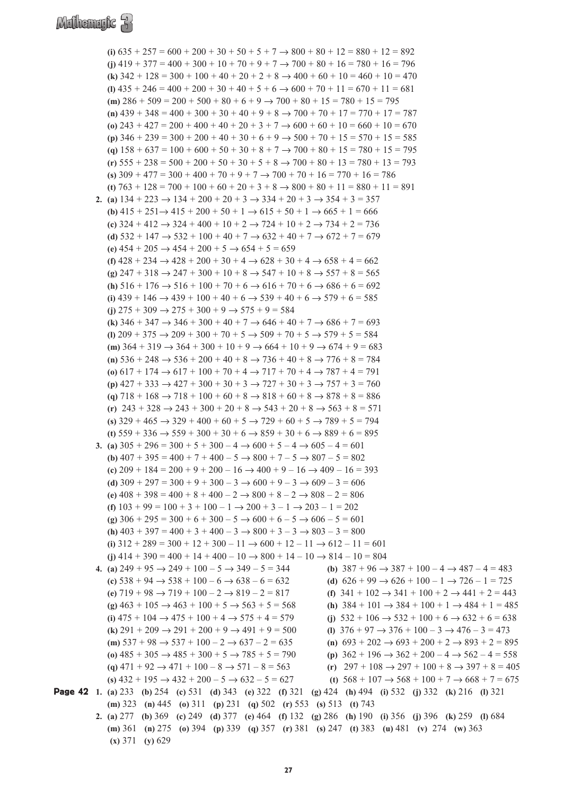### Mathematic 3

**(i)**  $635 + 257 = 600 + 200 + 30 + 50 + 5 + 7 \rightarrow 800 + 80 + 12 = 880 + 12 = 892$ **(i)**  $419 + 377 = 400 + 300 + 10 + 70 + 9 + 7 \rightarrow 700 + 80 + 16 = 780 + 16 = 796$ **(k)**  $342 + 128 = 300 + 100 + 40 + 20 + 2 + 8 \rightarrow 400 + 60 + 10 = 460 + 10 = 470$  $(1)$   $435 + 246 = 400 + 200 + 30 + 40 + 5 + 6 \rightarrow 600 + 70 + 11 = 670 + 11 = 681$ (m)  $286 + 509 = 200 + 500 + 80 + 6 + 9 \rightarrow 700 + 80 + 15 = 780 + 15 = 795$  $(n)$   $439 + 348 = 400 + 300 + 30 + 40 + 9 + 8 \rightarrow 700 + 70 + 17 = 770 + 17 = 787$ (o)  $243 + 427 = 200 + 400 + 40 + 20 + 3 + 7 \rightarrow 600 + 60 + 10 = 660 + 10 = 670$ **(p)** 346 + 239 = 300 + 200 + 40 + 30 + 6 + 9 → 500 + 70 + 15 = 570 + 15 = 585 (a)  $158 + 637 = 100 + 600 + 50 + 30 + 8 + 7 \rightarrow 700 + 80 + 15 = 780 + 15 = 795$  $(r)$  **555** + 238 = 500 + 200 + 50 + 30 + 5 + 8  $\rightarrow$  700 + 80 + 13 = 780 + 13 = 793 (s)  $309 + 477 = 300 + 400 + 70 + 9 + 7 \rightarrow 700 + 70 + 16 = 770 + 16 = 786$ **(t)**  $763 + 128 = 700 + 100 + 60 + 20 + 3 + 8 \rightarrow 800 + 80 + 11 = 880 + 11 = 891$ **2.** (a)  $134 + 223 \rightarrow 134 + 200 + 20 + 3 \rightarrow 334 + 20 + 3 \rightarrow 354 + 3 = 357$ **(b)**  $415 + 251 \rightarrow 415 + 200 + 50 + 1 \rightarrow 615 + 50 + 1 \rightarrow 665 + 1 = 666$ **(c)** 324 + 412 → 324 + 400 + 10 + 2 → 724 + 10 + 2 → 734 + 2 = 736 **(d)**  $532 + 147 \rightarrow 532 + 100 + 40 + 7 \rightarrow 632 + 40 + 7 \rightarrow 672 + 7 = 679$ (e)  $454 + 205 \rightarrow 454 + 200 + 5 \rightarrow 654 + 5 = 659$ **(f)**  $428 + 234 \rightarrow 428 + 200 + 30 + 4 \rightarrow 628 + 30 + 4 \rightarrow 658 + 4 = 662$  $(g)$  247 + 318  $\rightarrow$  247 + 300 + 10 + 8  $\rightarrow$  547 + 10 + 8  $\rightarrow$  557 + 8 = 565 **(h)**  $516 + 176 \rightarrow 516 + 100 + 70 + 6 \rightarrow 616 + 70 + 6 \rightarrow 686 + 6 = 692$ **(i)**  $439 + 146 \rightarrow 439 + 100 + 40 + 6 \rightarrow 539 + 40 + 6 \rightarrow 579 + 6 = 585$ **(i)**  $275 + 309 \rightarrow 275 + 300 + 9 \rightarrow 575 + 9 = 584$ **(k)**  $346 + 347 \rightarrow 346 + 300 + 40 + 7 \rightarrow 646 + 40 + 7 \rightarrow 686 + 7 = 693$ **(l)** 209 + 375 → 209 + 300 + 70 + 5 → 509 + 70 + 5 → 579 + 5 = 584 (**m**)  $364 + 319 \rightarrow 364 + 300 + 10 + 9 \rightarrow 664 + 10 + 9 \rightarrow 674 + 9 = 683$ (**n**)  $536 + 248 \rightarrow 536 + 200 + 40 + 8 \rightarrow 736 + 40 + 8 \rightarrow 776 + 8 = 784$ **(o)**  $617 + 174 \rightarrow 617 + 100 + 70 + 4 \rightarrow 717 + 70 + 4 \rightarrow 787 + 4 = 791$  $(p)$   $427 + 333 \rightarrow 427 + 300 + 30 + 3 \rightarrow 727 + 30 + 3 \rightarrow 757 + 3 = 760$ (q)  $718 + 168 \rightarrow 718 + 100 + 60 + 8 \rightarrow 818 + 60 + 8 \rightarrow 878 + 8 = 886$  $(r)$  243 + 328  $\rightarrow$  243 + 300 + 20 + 8  $\rightarrow$  543 + 20 + 8  $\rightarrow$  563 + 8 = 571  $(s)$  329 + 465  $\rightarrow$  329 + 400 + 60 + 5  $\rightarrow$  729 + 60 + 5  $\rightarrow$  789 + 5 = 794 **(t)**  $559 + 336 \rightarrow 559 + 300 + 30 + 6 \rightarrow 859 + 30 + 6 \rightarrow 889 + 6 = 895$ **3.** (a)  $305 + 296 = 300 + 5 + 300 - 4 \rightarrow 600 + 5 - 4 \rightarrow 605 - 4 = 601$ **(b)**  $407 + 395 = 400 + 7 + 400 - 5 \rightarrow 800 + 7 - 5 \rightarrow 807 - 5 = 802$ (c)  $209 + 184 = 200 + 9 + 200 - 16 \rightarrow 400 + 9 - 16 \rightarrow 409 - 16 = 393$ **(d)**  $309 + 297 = 300 + 9 + 300 - 3 \rightarrow 600 + 9 - 3 \rightarrow 609 - 3 = 606$ **(e)** 408 + 398 = 400 + 8 + 400 – 2 → 800 + 8 – 2 → 808 – 2 = 806 **(f)**  $103 + 99 = 100 + 3 + 100 - 1 \rightarrow 200 + 3 - 1 \rightarrow 203 - 1 = 202$ **(g)**  $306 + 295 = 300 + 6 + 300 - 5 \rightarrow 600 + 6 - 5 \rightarrow 606 - 5 = 601$ **(h)**  $403 + 397 = 400 + 3 + 400 - 3 \rightarrow 800 + 3 - 3 \rightarrow 803 - 3 = 800$ **(i)**  $312 + 289 = 300 + 12 + 300 - 11 \rightarrow 600 + 12 - 11 \rightarrow 612 - 11 = 601$ **(j)**  $414 + 390 = 400 + 14 + 400 - 10 \rightarrow 800 + 14 - 10 \rightarrow 814 - 10 = 804$ **4.** (a)  $249 + 95 \rightarrow 249 + 100 - 5 \rightarrow 349 - 5 = 344$  <br>(b)  $387 + 96 \rightarrow 387 + 100 - 4 \rightarrow 487 - 4 = 483$ **(c)**  $538 + 94 \rightarrow 538 + 100 - 6 \rightarrow 638 - 6 = 632$  **(d)**  $626 + 99 \rightarrow 626 + 100 - 1 \rightarrow 726 - 1 = 725$ **(e)**  $719 + 98 \rightarrow 719 + 100 - 2 \rightarrow 819 - 2 = 817$  **(f)**  $341 + 102 \rightarrow 341 + 100 + 2 \rightarrow 441 + 2 = 443$ **(g)**  $463 + 105 \rightarrow 463 + 100 + 5 \rightarrow 563 + 5 = 568$  **(h)**  $384 + 101 \rightarrow 384 + 100 + 1 \rightarrow 484 + 1 = 485$ **(i)**  $475 + 104 \rightarrow 475 + 100 + 4 \rightarrow 575 + 4 = 579$  **(i)**  $532 + 106 \rightarrow 532 + 100 + 6 \rightarrow 632 + 6 = 638$ **(k)**  $291 + 209 \rightarrow 291 + 200 + 9 \rightarrow 491 + 9 = 500$  **(l)**  $376 + 97 \rightarrow 376 + 100 - 3 \rightarrow 476 - 3 = 473$ (m)  $537 + 98 \rightarrow 537 + 100 - 2 \rightarrow 637 - 2 = 635$ <br>(n)  $693 + 202 \rightarrow 693 + 200 + 2 \rightarrow 893 + 2 = 895$ (o)  $485 + 305 \rightarrow 485 + 300 + 5 \rightarrow 785 + 5 = 790$  <br>(p)  $362 + 196 \rightarrow 362 + 200 - 4 \rightarrow 562 - 4 = 558$ (q)  $471 + 92$  →  $471 + 100 - 8$  →  $571 - 8 = 563$  <br>(r)  $297 + 108$  →  $297 + 100 + 8$  →  $397 + 8 = 405$ **(s)**  $432 + 195 \rightarrow 432 + 200 - 5 \rightarrow 632 - 5 = 627$  **(t)**  $568 + 107 \rightarrow 568 + 100 + 7 \rightarrow 668 + 7 = 675$ Page 42 **1. (a)** 233 **(b)** 254 **(c)** 531 **(d)** 343 **(e)** 322 **(f)** 321 **(g)** 424 **(h)** 494 **(i)** 532 **(j)** 332 **(k)** 216 **(l)** 321 **(m)** 323 **(n)** 445 **(o)** 311 **(p)** 231 **(q)** 502 **(r)** 553 **(s)** 513 **(t)** 743 **2. (a)** 277 **(b)** 369 **(c)** 249 **(d)** 377 **(e)** 464 **(f)** 132 **(g)** 286 **(h)** 190 **(i)** 356 **(j)** 396 **(k)** 259 **(l)** 684 **(m)** 361 **(n)** 275 **(o)** 394 **(p)** 339 **(q)** 357 **(r)** 381 **(s)** 247 **(t)** 383 **(u)** 481 **(v)** 274 **(w)** 363

**(x)** 371 **(y)** 629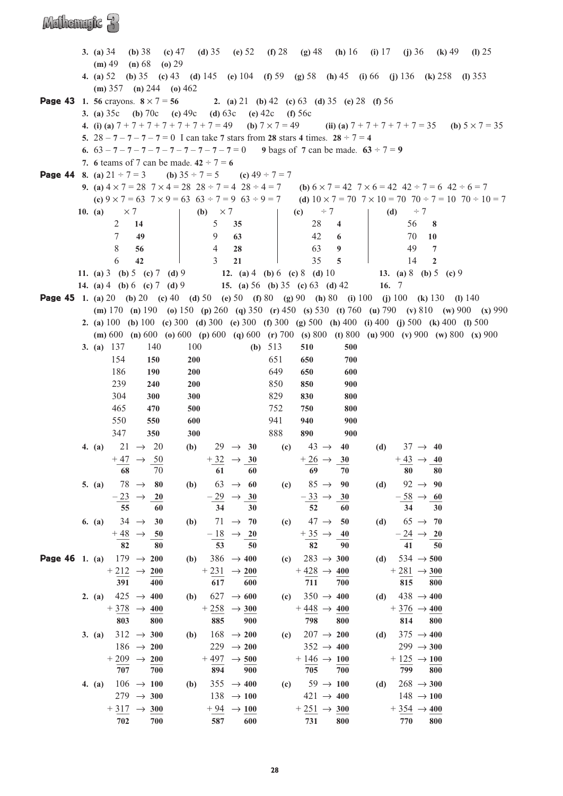|                                                                                                           | 3. (a) $34$                   | $(b)$ 38                                       | (c) $47$   |                                                                |                |                                            |                    | (d) 35 (e) 52 (f) 28 (g) 48                                                              |                 |         |                                            | ( <b>h</b> ) 16 ( <b>i</b> ) 17 ( <b>j</b> ) 36 ( <b>k</b> ) 49                                                                                           | (I) $25$                                                                                                                                            |
|-----------------------------------------------------------------------------------------------------------|-------------------------------|------------------------------------------------|------------|----------------------------------------------------------------|----------------|--------------------------------------------|--------------------|------------------------------------------------------------------------------------------|-----------------|---------|--------------------------------------------|-----------------------------------------------------------------------------------------------------------------------------------------------------------|-----------------------------------------------------------------------------------------------------------------------------------------------------|
|                                                                                                           | $(m)$ 49 (n) 68 (o) 29        |                                                |            |                                                                |                |                                            |                    |                                                                                          |                 |         |                                            |                                                                                                                                                           |                                                                                                                                                     |
|                                                                                                           |                               |                                                |            |                                                                |                |                                            |                    |                                                                                          |                 |         |                                            | 4. (a) 52 (b) 35 (c) 43 (d) 145 (e) 104 (f) 59 (g) 58 (h) 45 (i) 66 (j) 136 (k) 258 (l) 353                                                               |                                                                                                                                                     |
|                                                                                                           | (m) $357$ (n) $244$ (o) $462$ |                                                |            |                                                                |                |                                            |                    |                                                                                          |                 |         |                                            |                                                                                                                                                           |                                                                                                                                                     |
| <b>Page 43</b> 1. 56 crayons. $8 \times 7 = 56$ 2. (a) 21 (b) 42 (c) 63 (d) 35 (e) 28 (f) 56              |                               |                                                |            |                                                                |                |                                            |                    |                                                                                          |                 |         |                                            |                                                                                                                                                           |                                                                                                                                                     |
|                                                                                                           |                               |                                                |            | 3. (a) $35c$ (b) $70c$ (c) $49c$ (d) $63c$ (e) $42c$ (f) $56c$ |                |                                            |                    |                                                                                          |                 |         |                                            |                                                                                                                                                           |                                                                                                                                                     |
|                                                                                                           |                               |                                                |            |                                                                |                |                                            |                    |                                                                                          |                 |         |                                            |                                                                                                                                                           | 4. (i) (a) $7 + 7 + 7 + 7 + 7 + 7 + 7 = 49$ (b) $7 \times 7 = 49$ (ii) (a) $7 + 7 + 7 + 7 + 7 = 35$ (b) $5 \times 7 = 35$                           |
|                                                                                                           |                               |                                                |            |                                                                |                |                                            |                    | 5. $28 - 7 - 7 - 7 - 7 = 0$ I can take 7 stars from 28 stars 4 times. $28 \div 7 = 4$    |                 |         |                                            |                                                                                                                                                           |                                                                                                                                                     |
|                                                                                                           |                               |                                                |            |                                                                |                |                                            |                    | 6. $63 - 7 - 7 - 7 - 7 - 7 - 7 - 7 - 7 - 7 = 0$ 9 bags of 7 can be made. $63 \div 7 = 9$ |                 |         |                                            |                                                                                                                                                           |                                                                                                                                                     |
|                                                                                                           |                               |                                                |            | 7. 6 teams of 7 can be made. $42 \div 7 = 6$                   |                |                                            |                    |                                                                                          |                 |         |                                            |                                                                                                                                                           |                                                                                                                                                     |
| <b>Page 44</b> 8. (a) $21 \div 7 = 3$ (b) $35 \div 7 = 5$ (c) $49 \div 7 = 7$                             |                               |                                                |            |                                                                |                |                                            |                    |                                                                                          |                 |         |                                            |                                                                                                                                                           |                                                                                                                                                     |
|                                                                                                           |                               |                                                |            |                                                                |                |                                            |                    |                                                                                          |                 |         |                                            | <b>9.</b> (a) $4 \times 7 = 28$ $7 \times 4 = 28$ $28 \div 7 = 4$ $28 \div 4 = 7$ (b) $6 \times 7 = 42$ $7 \times 6 = 42$ $42 \div 7 = 6$ $42 \div 6 = 7$ | (c) $9 \times 7 = 63$ $7 \times 9 = 63$ $63 \div 7 = 9$ $63 \div 9 = 7$ (d) $10 \times 7 = 70$ $7 \times 10 = 70$ $70 \div 7 = 10$ $70 \div 10 = 7$ |
|                                                                                                           | 10. (a)                       | $\times$ 7                                     |            |                                                                | (b) $\times 7$ |                                            |                    | $\textbf{(c)} \quad \div 7$                                                              |                 | (d)     | $\div$ 7                                   |                                                                                                                                                           |                                                                                                                                                     |
|                                                                                                           | 2                             | 14                                             |            |                                                                | 5 <sup>5</sup> | 35                                         |                    | 28                                                                                       | $\overline{4}$  |         | 56                                         | 8                                                                                                                                                         |                                                                                                                                                     |
|                                                                                                           | 7                             | 49                                             |            |                                                                | 9              | 63                                         |                    | 42                                                                                       | 6               |         | 70                                         | <b>10</b>                                                                                                                                                 |                                                                                                                                                     |
|                                                                                                           | 8                             | 56                                             |            |                                                                | $\overline{4}$ | 28                                         |                    | 63                                                                                       | 9               |         | 49                                         | $7\phantom{.0}$                                                                                                                                           |                                                                                                                                                     |
|                                                                                                           | 6                             | 42                                             |            |                                                                | $\mathfrak{Z}$ | 21                                         |                    | 35                                                                                       | $\overline{5}$  |         | 14                                         | $\overline{2}$                                                                                                                                            |                                                                                                                                                     |
|                                                                                                           |                               |                                                |            |                                                                |                |                                            |                    |                                                                                          |                 |         |                                            | 11. (a) 3 (b) 5 (c) 7 (d) 9 12. (a) 4 (b) 6 (c) 8 (d) 10 13. (a) 8 (b) 5 (c) 9                                                                            |                                                                                                                                                     |
|                                                                                                           |                               |                                                |            |                                                                |                |                                            |                    | 14. (a) 4 (b) 6 (c) 7 (d) 9 15. (a) 56 (b) 35 (c) 63 (d) 42                              |                 | 16. $7$ |                                            |                                                                                                                                                           |                                                                                                                                                     |
| <b>Page 45</b> 1. (a) 20 (b) 20 (c) 40 (d) 50 (e) 50 (f) 80 (g) 90 (h) 80 (i) 100 (j) 100 (k) 130 (l) 140 |                               |                                                |            |                                                                |                |                                            |                    |                                                                                          |                 |         |                                            |                                                                                                                                                           |                                                                                                                                                     |
|                                                                                                           |                               |                                                |            |                                                                |                |                                            |                    |                                                                                          |                 |         |                                            |                                                                                                                                                           | (m) 170 (n) 190 (o) 150 (p) 260 (q) 350 (r) 450 (s) 530 (t) 760 (u) 790 (v) 810 (w) 900 (x) 990                                                     |
|                                                                                                           |                               |                                                |            |                                                                |                |                                            |                    |                                                                                          |                 |         |                                            | 2. (a) 100 (b) 100 (c) 300 (d) 300 (e) 300 (f) 300 (g) 500 (h) 400 (i) 400 (j) 500 (k) 400 (l) 500                                                        |                                                                                                                                                     |
|                                                                                                           |                               |                                                |            |                                                                |                |                                            |                    |                                                                                          |                 |         |                                            |                                                                                                                                                           | (m) 600 (n) 600 (o) 600 (p) 600 (q) 600 (r) 700 (s) 800 (t) 800 (u) 900 (v) 900 (w) 800 (x) 900                                                     |
|                                                                                                           | 3. (a) $137$                  |                                                | 140        | 100                                                            |                |                                            | ( <b>b</b> ) $513$ | 510                                                                                      | 500             |         |                                            |                                                                                                                                                           |                                                                                                                                                     |
|                                                                                                           | 154                           |                                                | 150        | 200                                                            |                |                                            | 651                | 650                                                                                      | 700             |         |                                            |                                                                                                                                                           |                                                                                                                                                     |
|                                                                                                           | 186                           |                                                | <b>190</b> | 200                                                            |                |                                            | 649                | 650                                                                                      | 600             |         |                                            |                                                                                                                                                           |                                                                                                                                                     |
|                                                                                                           | 239                           |                                                | 240        | 200                                                            |                |                                            | 850                | 850                                                                                      | 900             |         |                                            |                                                                                                                                                           |                                                                                                                                                     |
|                                                                                                           | 304                           |                                                | 300        | 300                                                            |                |                                            | 829                | 830                                                                                      | 800             |         |                                            |                                                                                                                                                           |                                                                                                                                                     |
|                                                                                                           | 465                           |                                                | 470        | 500                                                            |                |                                            | 752                | 750                                                                                      | 800             |         |                                            |                                                                                                                                                           |                                                                                                                                                     |
|                                                                                                           | 550                           |                                                | 550        | 600                                                            |                |                                            | 941                | 940                                                                                      | 900             |         |                                            |                                                                                                                                                           |                                                                                                                                                     |
|                                                                                                           | 347                           |                                                | 350        | 300                                                            |                |                                            | 888                | 890                                                                                      | 900             |         |                                            |                                                                                                                                                           |                                                                                                                                                     |
|                                                                                                           | 4. (a) $21 \rightarrow 20$    |                                                |            | (b)                                                            |                | $29 \rightarrow 30$                        |                    | (c) $43 \rightarrow$                                                                     | 40              | (d)     |                                            | $37 \rightarrow 40$                                                                                                                                       |                                                                                                                                                     |
|                                                                                                           |                               | $+47 \rightarrow 50$                           |            |                                                                |                | $+32 \rightarrow 30$                       |                    | $+26 \rightarrow 30$                                                                     |                 |         | $+43 \rightarrow 40$                       |                                                                                                                                                           |                                                                                                                                                     |
|                                                                                                           |                               | 68                                             | 70         |                                                                |                | 61 60                                      |                    | 69                                                                                       | $70\,$          |         | 80 80                                      |                                                                                                                                                           |                                                                                                                                                     |
|                                                                                                           | 5. (a) $78 \rightarrow 80$    |                                                |            | (b)                                                            |                | $63 \rightarrow 60$                        |                    | (c) $85 \to 90$                                                                          |                 |         | (d) $92 \to 90$                            |                                                                                                                                                           |                                                                                                                                                     |
|                                                                                                           |                               | $\frac{-23}{55}$ $\rightarrow$ $\frac{20}{60}$ |            |                                                                |                | $\frac{-29}{34} \rightarrow \frac{30}{30}$ |                    | $\frac{-33}{52} \rightarrow \frac{30}{60}$                                               |                 |         | $\frac{-58}{34} \rightarrow \frac{60}{30}$ |                                                                                                                                                           |                                                                                                                                                     |
|                                                                                                           |                               |                                                |            |                                                                |                |                                            |                    |                                                                                          |                 |         |                                            |                                                                                                                                                           |                                                                                                                                                     |
|                                                                                                           | 6. (a) $34 \rightarrow 30$    |                                                |            | (b)                                                            |                | $71 \rightarrow 70$                        |                    | (c) $47 \rightarrow$                                                                     | - 50            |         | (d) $65 \to 70$                            |                                                                                                                                                           |                                                                                                                                                     |
|                                                                                                           |                               | $+\frac{48}{82}$ $\rightarrow$ $\frac{50}{80}$ |            |                                                                |                | $\frac{-18}{53} \rightarrow \frac{20}{50}$ |                    | $+\frac{35}{82}$ $\rightarrow$                                                           | $\frac{40}{90}$ |         | $\frac{-24}{41} \rightarrow \frac{20}{50}$ |                                                                                                                                                           |                                                                                                                                                     |
|                                                                                                           |                               |                                                |            |                                                                |                |                                            |                    |                                                                                          |                 |         |                                            |                                                                                                                                                           |                                                                                                                                                     |
| <b>Page 46</b> 1. (a) $179 \rightarrow 200$                                                               |                               |                                                |            |                                                                |                | (b) $386 \rightarrow 400$                  |                    | (c) $283 \to 300$                                                                        |                 |         | (d) $534 \rightarrow 500$                  |                                                                                                                                                           |                                                                                                                                                     |
|                                                                                                           |                               | $+212 \rightarrow 200$                         |            |                                                                |                | $+231 \rightarrow 200$                     |                    | $+428 \rightarrow 400$                                                                   |                 |         | $+281 \rightarrow 300$                     |                                                                                                                                                           |                                                                                                                                                     |
|                                                                                                           |                               | 391                                            | 400        |                                                                | 617            | 600                                        |                    | 711                                                                                      | 700             |         |                                            | 815 800                                                                                                                                                   |                                                                                                                                                     |
|                                                                                                           | 2. (a) $425 \rightarrow 400$  |                                                |            |                                                                |                | (b) $627 \to 600$                          |                    | (c) $350 \to 400$                                                                        |                 |         | (d) $438 \rightarrow 400$                  |                                                                                                                                                           |                                                                                                                                                     |
|                                                                                                           |                               | $+378$ $\rightarrow$ 400                       |            |                                                                |                | $+258 \rightarrow 300$                     |                    | $+448 \rightarrow 400$                                                                   |                 |         | $+376 \rightarrow 400$                     |                                                                                                                                                           |                                                                                                                                                     |
|                                                                                                           |                               | 803                                            | 800        |                                                                | 885            | 900                                        |                    | 798                                                                                      | 800             |         |                                            | 814 800                                                                                                                                                   |                                                                                                                                                     |
|                                                                                                           | 3. (a) $312 \rightarrow 300$  |                                                |            | (b)                                                            |                | $168 \rightarrow 200$                      |                    | (c) $207 \to 200$                                                                        |                 | (d)     | $375 \rightarrow 400$                      |                                                                                                                                                           |                                                                                                                                                     |
|                                                                                                           |                               | $186 \rightarrow 200$                          |            |                                                                |                | 229 $\rightarrow$ 200                      |                    | $352 \rightarrow 400$                                                                    |                 |         | 299 $\rightarrow$ 300                      |                                                                                                                                                           |                                                                                                                                                     |
|                                                                                                           |                               | $+209 \rightarrow 200$                         |            |                                                                |                | $+497 \rightarrow 500$                     |                    | $+146 \rightarrow 100$                                                                   |                 |         | $+125 \rightarrow 100$                     |                                                                                                                                                           |                                                                                                                                                     |
|                                                                                                           |                               | 707                                            | 700        |                                                                | 894            | 900                                        |                    | 705                                                                                      | 700             |         |                                            | 799 800                                                                                                                                                   |                                                                                                                                                     |
|                                                                                                           | 4. $(a)$                      | $106 \rightarrow 100$                          |            | (b)                                                            |                | $355 \rightarrow 400$                      |                    | (c) $59 \to 100$                                                                         |                 | (d)     | $268 \rightarrow 300$                      |                                                                                                                                                           |                                                                                                                                                     |
|                                                                                                           |                               | 279 $\rightarrow$ 300                          |            |                                                                |                | $138 \rightarrow 100$                      |                    | $421 \rightarrow 400$                                                                    |                 |         | $148 \rightarrow 100$                      |                                                                                                                                                           |                                                                                                                                                     |
|                                                                                                           |                               | $+317 \rightarrow 300$                         |            |                                                                |                | $+94 \rightarrow 100$                      |                    | $+251 \rightarrow 300$                                                                   |                 |         | $+354 \rightarrow 400$                     |                                                                                                                                                           |                                                                                                                                                     |
|                                                                                                           |                               | 702                                            | 700        |                                                                | 587            | 600                                        |                    | 731                                                                                      | 800             |         | 770                                        | 800                                                                                                                                                       |                                                                                                                                                     |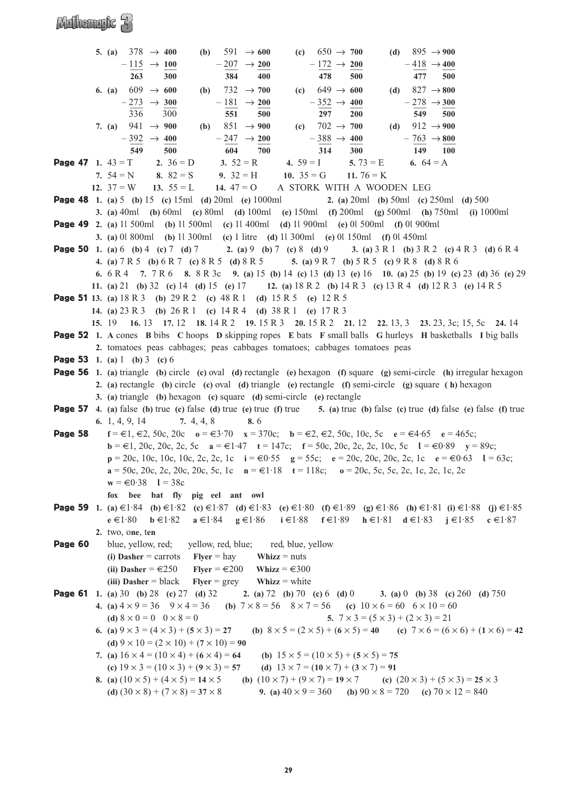### Mulhemryte 3

|         | 5. (a) $378 \rightarrow 400$<br>(c) $650 \to 700$<br>(d) $895 \rightarrow 900$<br>591 $\rightarrow$ 600<br>(b)                                                                                                                                                                                 |
|---------|------------------------------------------------------------------------------------------------------------------------------------------------------------------------------------------------------------------------------------------------------------------------------------------------|
|         | $-207 \rightarrow 200$<br>$-172 \rightarrow 200$<br>$-418 \rightarrow 400$<br>$-115 \rightarrow 100$                                                                                                                                                                                           |
|         | 263<br>300<br>384<br>400<br>478<br>500<br>477<br>500                                                                                                                                                                                                                                           |
|         | (c) $649 \to 600$<br>(d) $827 \rightarrow 800$<br>$609 \rightarrow 600$<br>732 $\rightarrow$ 700<br>6. (a)<br>(b)                                                                                                                                                                              |
|         | $-181 \rightarrow 200$<br>$-352 \rightarrow 400$<br>$-273 \rightarrow 300$<br>$-278 \rightarrow 300$                                                                                                                                                                                           |
|         | 336<br>300<br>297<br>200<br>549<br>500<br>551<br>500                                                                                                                                                                                                                                           |
|         | 7. (a) $941 \rightarrow 900$<br>(b) $851 \rightarrow 900$<br>(d) $912 \rightarrow 900$<br>(c) $702 \to 700$                                                                                                                                                                                    |
|         | $-388 \rightarrow 400$<br>$-247 \rightarrow 200$<br>$-763 \rightarrow 800$<br>$-392 \rightarrow 400$                                                                                                                                                                                           |
|         | 549<br>314<br>500<br>604<br>149 100<br>700<br>300                                                                                                                                                                                                                                              |
|         | <b>Page 47</b> 1. $43 = T$ 2. $36 = D$<br>3. $52 = R$<br>4. $59 = I$ 5. $73 = E$<br>6. $64 = A$                                                                                                                                                                                                |
|         | 7. $54 = N$ 8. $82 = S$<br>9. $32 = H$ 10. $35 = G$<br>11. $76 = K$                                                                                                                                                                                                                            |
|         | 12. $37 = W$ 13. $55 = L$ 14. $47 = O$ A STORK WITH A WOODEN LEG                                                                                                                                                                                                                               |
|         | <b>Page 48</b> 1. (a) 5 (b) 15 (c) 15ml (d) 20ml (e) 1000ml 2. (a) 20ml (b) 50ml (c) 250ml (d) 500                                                                                                                                                                                             |
|         | <b>3.</b> (a) 40ml (b) 60ml (c) 80ml (d) 100ml (e) 150ml (f) 200ml (g) 500ml (h) 750ml (i) 1000ml                                                                                                                                                                                              |
|         | <b>Page 49</b> 2. (a) 11 500ml (b) 11 500ml (c) 11 400ml (d) 11 900ml (e) 01 500ml (f) 01 900ml                                                                                                                                                                                                |
|         | <b>3.</b> (a) 01 800ml (b) 11 300ml (c) 1 litre (d) 11 300ml (e) 01 150ml (f) 01 450ml                                                                                                                                                                                                         |
|         | <b>Page 50</b> 1. (a) 6 (b) 4 (c) 7 (d) 7 $\bullet$ 2. (a) 9 (b) 7 (c) 8 (d) 9 $\bullet$ 3. (a) 3 R 1 (b) 3 R 2 (c) 4 R 3 (d) 6 R 4                                                                                                                                                            |
|         | 4. (a) 7 R 5 (b) 6 R 7 (c) 8 R 5 (d) 8 R 5 5. (a) 9 R 7 (b) 5 R 5 (c) 9 R 8 (d) 8 R 6                                                                                                                                                                                                          |
|         | 6. 6 R 4 7. 7 R 6 8. 8 R 3c 9. (a) 15 (b) 14 (c) 13 (d) 13 (e) 16 10. (a) 25 (b) 19 (c) 23 (d) 36 (e) 29                                                                                                                                                                                       |
|         | 11. (a) 21 (b) 32 (c) 14 (d) 15 (e) 17 12. (a) 18 R 2 (b) 14 R 3 (c) 13 R 4 (d) 12 R 3 (e) 14 R 5                                                                                                                                                                                              |
|         |                                                                                                                                                                                                                                                                                                |
|         | <b>Page 51</b> 13. (a) $18 R 3$ (b) $29 R 2$ (c) $48 R 1$ (d) $15 R 5$ (e) $12 R 5$<br>14. (a) 23 R 3 (b) 26 R 1 (c) 14 R 4 (d) 38 R 1 (e) 17 R 3                                                                                                                                              |
|         |                                                                                                                                                                                                                                                                                                |
|         | 15. 19 16. 13 17. 12 18. 14 R 2 19. 15 R 3 20. 15 R 2 21. 12 22. 13, 3 23. 23, 3c; 15, 5c 24. 14<br><b>Page 52</b> 1. A cones B bibs C hoops D skipping ropes E bats F small balls G hurleys H basketballs I big balls                                                                         |
|         |                                                                                                                                                                                                                                                                                                |
|         | 2. tomatoes peas cabbages; peas cabbages tomatoes; cabbages tomatoes peas<br><b>Page 53</b> 1. (a) 1 (b) 3 (c) 6                                                                                                                                                                               |
|         | <b>Page 56</b> 1. (a) triangle (b) circle (c) oval (d) rectangle (e) hexagon (f) square (g) semi-circle (h) irregular hexagon                                                                                                                                                                  |
|         |                                                                                                                                                                                                                                                                                                |
|         |                                                                                                                                                                                                                                                                                                |
|         | 2. (a) rectangle (b) circle (c) oval (d) triangle (e) rectangle (f) semi-circle (g) square (h) hexagon                                                                                                                                                                                         |
|         | 3. (a) triangle (b) hexagon (c) square (d) semi-circle (e) rectangle                                                                                                                                                                                                                           |
|         | <b>Page 57</b> 4. (a) false (b) true (c) false (d) true (e) true (f) true 5. (a) true (b) false (c) true (d) false (e) false (f) true                                                                                                                                                          |
|         | 7. $4, 4, 8$<br>6. 1, 4, 9, 14<br>8.6                                                                                                                                                                                                                                                          |
| Page 58 | $f = \epsilon 1, \epsilon 2, 50c, 20c$ $o = \epsilon 3.70$ $x = 370c$ ; $b = \epsilon 2, \epsilon 2, 50c, 10c, 5c$ $e = \epsilon 4.65$ $e = 465c$ ;                                                                                                                                            |
|         | $\mathbf{b} = \in 1, 20c, 20c, 2c, 5c$ $\mathbf{a} = \in 1.47$ $\mathbf{t} = 147c;$ $\mathbf{f} = 50c, 20c, 2c, 2c, 10c, 5c$ $\mathbf{l} = \in 0.89$ $\mathbf{y} = 89c;$                                                                                                                       |
|         | $p = 20c$ , 10c, 10c, 10c, 2c, 2c, 1c $i = 0.55$ $g = 55c$ ; $e = 20c$ , 20c, 20c, 2c, 1c $e = 0.63$ $l = 63c$ ;                                                                                                                                                                               |
|         | $a = 50c$ , 20c, 2c, 20c, 20c, 5c, 1c $n = \text{\textsterling}1.18$ $t = 118c$ ; $o = 20c$ , 5c, 5c, 2c, 1c, 2c, 1c, 2c                                                                                                                                                                       |
|         | $w = \text{\textsterling}0.38$ $l = 38c$                                                                                                                                                                                                                                                       |
|         | fox bee bat fly pig eel ant owl                                                                                                                                                                                                                                                                |
|         | <b>Page 59</b> 1. (a) €1.84 (b) €1.82 (c) €1.87 (d) €1.83 (e) €1.80 (f) €1.89 (g) €1.86 (h) €1.81 (i) €1.88 (j) €1.85                                                                                                                                                                          |
|         | $a \in 1.84$ $g \in 1.86$ $i \in 1.88$ $f \in 1.89$ $h \in 1.81$ $d \in 1.83$ $j \in 1.85$ $c \in 1.87$<br>$e \in 1.80$ $b \in 1.82$                                                                                                                                                           |
|         | 2. two, one, ten                                                                                                                                                                                                                                                                               |
| Page 60 | blue, yellow, red; yellow, red, blue; red, blue, yellow                                                                                                                                                                                                                                        |
|         | (i) Dasher = carrots $Flyer = hay$<br>Whizz $=$ nuts                                                                                                                                                                                                                                           |
|         | (ii) Dasher = $\epsilon$ 250 Flyer = $\epsilon$ 200 Whizz = $\epsilon$ 300                                                                                                                                                                                                                     |
|         | (iii) Dasher = black Flyer = grey Whizz = white                                                                                                                                                                                                                                                |
|         | <b>Page 61</b> 1. (a) 30 (b) 28 (c) 27 (d) 32 2. (a) 72 (b) 70 (c) 6 (d) 0 3. (a) 0 (b) 38 (c) 260 (d) 750                                                                                                                                                                                     |
|         | 4. (a) $4 \times 9 = 36$ $9 \times 4 = 36$ (b) $7 \times 8 = 56$ $8 \times 7 = 56$ (c) $10 \times 6 = 60$ $6 \times 10 = 60$                                                                                                                                                                   |
|         | (d) $8 \times 0 = 0$ $0 \times 8 = 0$<br>5. $7 \times 3 = (5 \times 3) + (2 \times 3) = 21$                                                                                                                                                                                                    |
|         | (b) $8 \times 5 = (2 \times 5) + (6 \times 5) = 40$ (c) $7 \times 6 = (6 \times 6) + (1 \times 6) = 42$<br>6. (a) $9 \times 3 = (4 \times 3) + (5 \times 3) = 27$                                                                                                                              |
|         | (d) $9 \times 10 = (2 \times 10) + (7 \times 10) = 90$                                                                                                                                                                                                                                         |
|         | 7. (a) $16 \times 4 = (10 \times 4) + (6 \times 4) = 64$<br>(b) $15 \times 5 = (10 \times 5) + (5 \times 5) = 75$                                                                                                                                                                              |
|         | (c) $19 \times 3 = (10 \times 3) + (9 \times 3) = 57$<br>(d) $13 \times 7 = (10 \times 7) + (3 \times 7) = 91$                                                                                                                                                                                 |
|         | 8. (a) $(10 \times 5) + (4 \times 5) = 14 \times 5$<br>(b) $(10 \times 7) + (9 \times 7) = 19 \times 7$<br>(c) $(20 \times 3) + (5 \times 3) = 25 \times 3$<br>9. (a) $40 \times 9 = 360$ (b) $90 \times 8 = 720$ (c) $70 \times 12 = 840$<br>(d) $(30 \times 8) + (7 \times 8) = 37 \times 8$ |